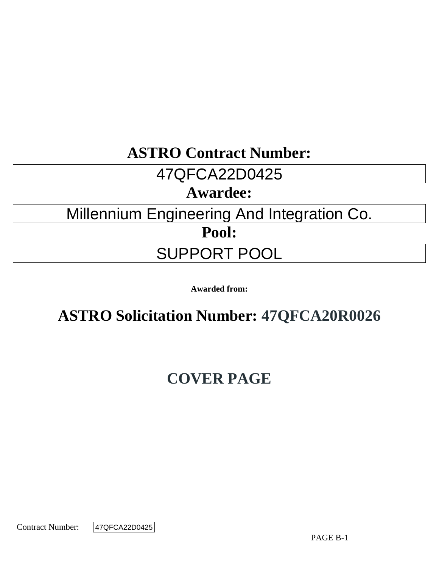# **ASTRO Contract Number:**

# 47QFCA22D0425

# **Awardee:**

# Millennium Engineering And Integration Co.

**Pool:**

# SUPPORT POOL

**Awarded from:**

# **ASTRO Solicitation Number: 47QFCA20R0026**

# **COVER PAGE**

Contract Number:

47QFCA22D0425

PAGE B-1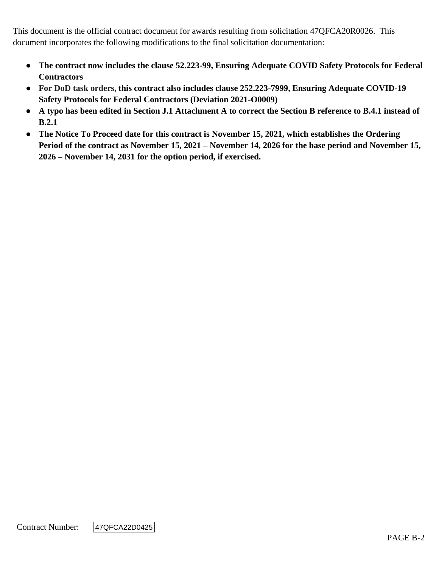This document is the official contract document for awards resulting from solicitation 47QFCA20R0026. This document incorporates the following modifications to the final solicitation documentation:

- **The contract now includes the clause 52.223-99, Ensuring Adequate COVID Safety Protocols for Federal Contractors**
- **For DoD task orders, this contract also includes clause 252.223-7999, Ensuring Adequate COVID-19 Safety Protocols for Federal Contractors (Deviation 2021-O0009)**
- **A typo has been edited in Section J.1 Attachment A to correct the Section B reference to B.4.1 instead of B.2.1**
- **The Notice To Proceed date for this contract is November 15, 2021, which establishes the Ordering Period of the contract as November 15, 2021 – November 14, 2026 for the base period and November 15, 2026 – November 14, 2031 for the option period, if exercised.**

Contract Number:

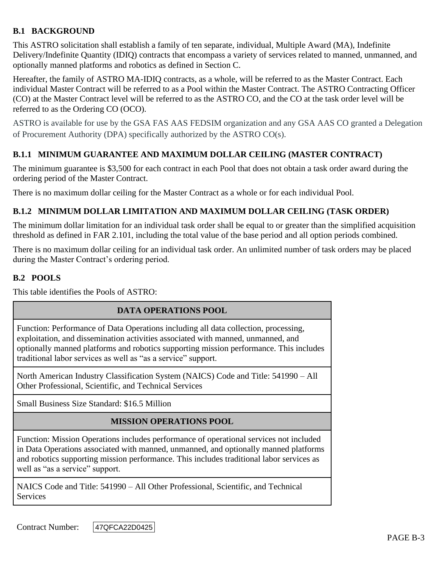# **B.1 BACKGROUND**

This ASTRO solicitation shall establish a family of ten separate, individual, Multiple Award (MA), Indefinite Delivery/Indefinite Quantity (IDIQ) contracts that encompass a variety of services related to manned, unmanned, and optionally manned platforms and robotics as defined in Section C.

Hereafter, the family of ASTRO MA-IDIQ contracts, as a whole, will be referred to as the Master Contract. Each individual Master Contract will be referred to as a Pool within the Master Contract. The ASTRO Contracting Officer (CO) at the Master Contract level will be referred to as the ASTRO CO, and the CO at the task order level will be referred to as the Ordering CO (OCO).

ASTRO is available for use by the GSA FAS AAS FEDSIM organization and any GSA AAS CO granted a Delegation of Procurement Authority (DPA) specifically authorized by the ASTRO CO(s).

# **B.1.1 MINIMUM GUARANTEE AND MAXIMUM DOLLAR CEILING (MASTER CONTRACT)**

The minimum guarantee is \$3,500 for each contract in each Pool that does not obtain a task order award during the ordering period of the Master Contract.

There is no maximum dollar ceiling for the Master Contract as a whole or for each individual Pool.

# **B.1.2 MINIMUM DOLLAR LIMITATION AND MAXIMUM DOLLAR CEILING (TASK ORDER)**

The minimum dollar limitation for an individual task order shall be equal to or greater than the simplified acquisition threshold as defined in FAR 2.101, including the total value of the base period and all option periods combined.

There is no maximum dollar ceiling for an individual task order. An unlimited number of task orders may be placed during the Master Contract's ordering period.

# **B.2 POOLS**

This table identifies the Pools of ASTRO:

#### **DATA OPERATIONS POOL**

Function: Performance of Data Operations including all data collection, processing, exploitation, and dissemination activities associated with manned, unmanned, and optionally manned platforms and robotics supporting mission performance. This includes traditional labor services as well as "as a service" support.

North American Industry Classification System (NAICS) Code and Title: 541990 – All Other Professional, Scientific, and Technical Services

Small Business Size Standard: \$16.5 Million

#### **MISSION OPERATIONS POOL**

Function: Mission Operations includes performance of operational services not included in Data Operations associated with manned, unmanned, and optionally manned platforms and robotics supporting mission performance. This includes traditional labor services as well as "as a service" support.

NAICS Code and Title: 541990 – All Other Professional, Scientific, and Technical **Services** 

Contract Number:

47QFCA22D0425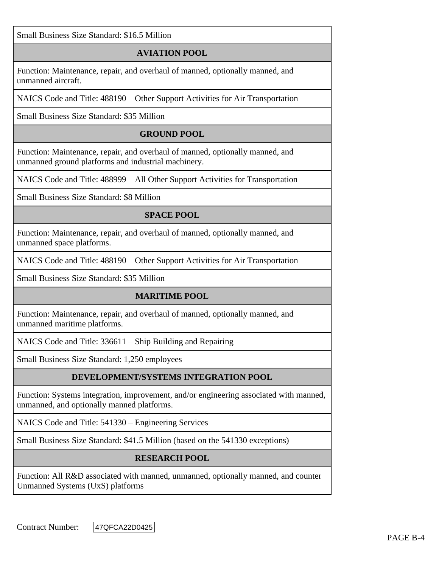Small Business Size Standard: \$16.5 Million

# **AVIATION POOL**

Function: Maintenance, repair, and overhaul of manned, optionally manned, and unmanned aircraft.

NAICS Code and Title: 488190 – Other Support Activities for Air Transportation

Small Business Size Standard: \$35 Million

# **GROUND POOL**

Function: Maintenance, repair, and overhaul of manned, optionally manned, and unmanned ground platforms and industrial machinery.

NAICS Code and Title: 488999 – All Other Support Activities for Transportation

Small Business Size Standard: \$8 Million

# **SPACE POOL**

Function: Maintenance, repair, and overhaul of manned, optionally manned, and unmanned space platforms.

NAICS Code and Title: 488190 – Other Support Activities for Air Transportation

Small Business Size Standard: \$35 Million

#### **MARITIME POOL**

Function: Maintenance, repair, and overhaul of manned, optionally manned, and unmanned maritime platforms.

NAICS Code and Title: 336611 – Ship Building and Repairing

Small Business Size Standard: 1,250 employees

# **DEVELOPMENT/SYSTEMS INTEGRATION POOL**

Function: Systems integration, improvement, and/or engineering associated with manned, unmanned, and optionally manned platforms.

NAICS Code and Title: 541330 – Engineering Services

Small Business Size Standard: \$41.5 Million (based on the 541330 exceptions)

#### **RESEARCH POOL**

Function: All R&D associated with manned, unmanned, optionally manned, and counter Unmanned Systems (UxS) platforms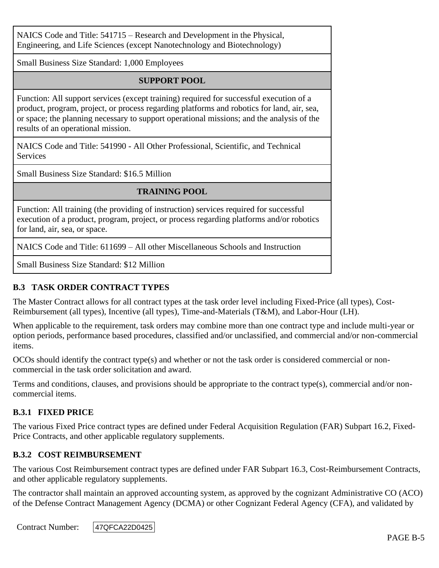NAICS Code and Title: 541715 – Research and Development in the Physical, Engineering, and Life Sciences (except Nanotechnology and Biotechnology)

Small Business Size Standard: 1,000 Employees

# **SUPPORT POOL**

Function: All support services (except training) required for successful execution of a product, program, project, or process regarding platforms and robotics for land, air, sea, or space; the planning necessary to support operational missions; and the analysis of the results of an operational mission.

NAICS Code and Title: 541990 - All Other Professional, Scientific, and Technical **Services** 

Small Business Size Standard: \$16.5 Million

# **TRAINING POOL**

Function: All training (the providing of instruction) services required for successful execution of a product, program, project, or process regarding platforms and/or robotics for land, air, sea, or space.

NAICS Code and Title: 611699 – All other Miscellaneous Schools and Instruction

Small Business Size Standard: \$12 Million

# **B.3 TASK ORDER CONTRACT TYPES**

The Master Contract allows for all contract types at the task order level including Fixed-Price (all types), Cost-Reimbursement (all types), Incentive (all types), Time-and-Materials (T&M), and Labor-Hour (LH).

When applicable to the requirement, task orders may combine more than one contract type and include multi-year or option periods, performance based procedures, classified and/or unclassified, and commercial and/or non-commercial items.

OCOs should identify the contract type(s) and whether or not the task order is considered commercial or noncommercial in the task order solicitation and award.

Terms and conditions, clauses, and provisions should be appropriate to the contract type(s), commercial and/or noncommercial items.

#### **B.3.1 FIXED PRICE**

The various Fixed Price contract types are defined under Federal Acquisition Regulation (FAR) Subpart 16.2, Fixed-Price Contracts, and other applicable regulatory supplements.

#### **B.3.2 COST REIMBURSEMENT**

The various Cost Reimbursement contract types are defined under FAR Subpart 16.3, Cost-Reimbursement Contracts, and other applicable regulatory supplements.

The contractor shall maintain an approved accounting system, as approved by the cognizant Administrative CO (ACO) of the Defense Contract Management Agency (DCMA) or other Cognizant Federal Agency (CFA), and validated by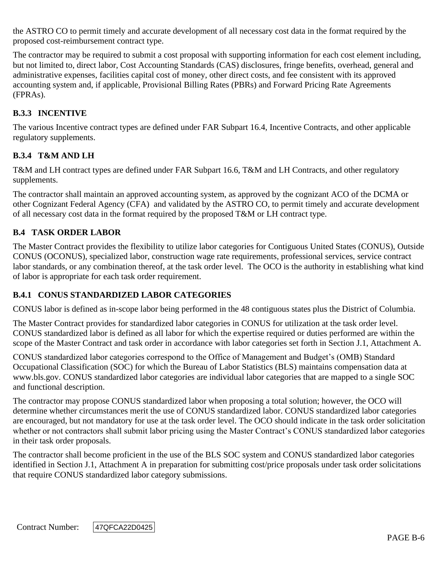the ASTRO CO to permit timely and accurate development of all necessary cost data in the format required by the proposed cost-reimbursement contract type.

The contractor may be required to submit a cost proposal with supporting information for each cost element including, but not limited to, direct labor, Cost Accounting Standards (CAS) disclosures, fringe benefits, overhead, general and administrative expenses, facilities capital cost of money, other direct costs, and fee consistent with its approved accounting system and, if applicable, Provisional Billing Rates (PBRs) and Forward Pricing Rate Agreements (FPRAs).

# **B.3.3 INCENTIVE**

The various Incentive contract types are defined under FAR Subpart 16.4, Incentive Contracts, and other applicable regulatory supplements.

# **B.3.4 T&M AND LH**

T&M and LH contract types are defined under FAR Subpart 16.6, T&M and LH Contracts, and other regulatory supplements.

The contractor shall maintain an approved accounting system, as approved by the cognizant ACO of the DCMA or other Cognizant Federal Agency (CFA) and validated by the ASTRO CO, to permit timely and accurate development of all necessary cost data in the format required by the proposed T&M or LH contract type.

# **B.4 TASK ORDER LABOR**

The Master Contract provides the flexibility to utilize labor categories for Contiguous United States (CONUS), Outside CONUS (OCONUS), specialized labor, construction wage rate requirements, professional services, service contract labor standards, or any combination thereof, at the task order level. The OCO is the authority in establishing what kind of labor is appropriate for each task order requirement.

#### **B.4.1 CONUS STANDARDIZED LABOR CATEGORIES**

CONUS labor is defined as in-scope labor being performed in the 48 contiguous states plus the District of Columbia.

The Master Contract provides for standardized labor categories in CONUS for utilization at the task order level. CONUS standardized labor is defined as all labor for which the expertise required or duties performed are within the scope of the Master Contract and task order in accordance with labor categories set forth in Section J.1, Attachment A.

CONUS standardized labor categories correspond to the Office of Management and Budget's (OMB) Standard Occupational Classification (SOC) for which the Bureau of Labor Statistics (BLS) maintains compensation data at www.bls.gov. CONUS standardized labor categories are individual labor categories that are mapped to a single SOC and functional description.

The contractor may propose CONUS standardized labor when proposing a total solution; however, the OCO will determine whether circumstances merit the use of CONUS standardized labor. CONUS standardized labor categories are encouraged, but not mandatory for use at the task order level. The OCO should indicate in the task order solicitation whether or not contractors shall submit labor pricing using the Master Contract's CONUS standardized labor categories in their task order proposals.

The contractor shall become proficient in the use of the BLS SOC system and CONUS standardized labor categories identified in Section J.1, Attachment A in preparation for submitting cost/price proposals under task order solicitations that require CONUS standardized labor category submissions.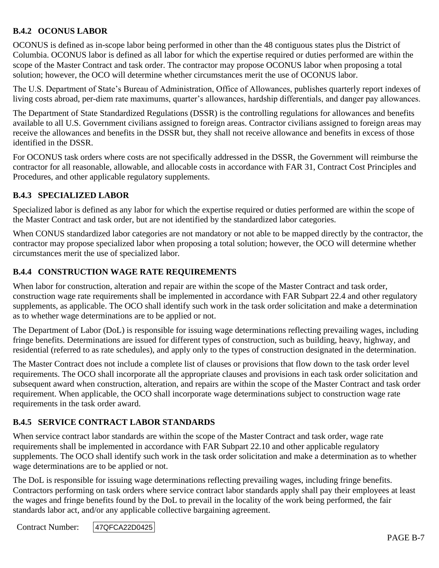# **B.4.2 OCONUS LABOR**

OCONUS is defined as in-scope labor being performed in other than the 48 contiguous states plus the District of Columbia. OCONUS labor is defined as all labor for which the expertise required or duties performed are within the scope of the Master Contract and task order. The contractor may propose OCONUS labor when proposing a total solution; however, the OCO will determine whether circumstances merit the use of OCONUS labor.

The U.S. Department of State's Bureau of Administration, Office of Allowances, publishes quarterly report indexes of living costs abroad, per-diem rate maximums, quarter's allowances, hardship differentials, and danger pay allowances.

The Department of State Standardized Regulations (DSSR) is the controlling regulations for allowances and benefits available to all U.S. Government civilians assigned to foreign areas. Contractor civilians assigned to foreign areas may receive the allowances and benefits in the DSSR but, they shall not receive allowance and benefits in excess of those identified in the DSSR.

For OCONUS task orders where costs are not specifically addressed in the DSSR, the Government will reimburse the contractor for all reasonable, allowable, and allocable costs in accordance with FAR 31, Contract Cost Principles and Procedures, and other applicable regulatory supplements.

#### **B.4.3 SPECIALIZED LABOR**

Specialized labor is defined as any labor for which the expertise required or duties performed are within the scope of the Master Contract and task order, but are not identified by the standardized labor categories.

When CONUS standardized labor categories are not mandatory or not able to be mapped directly by the contractor, the contractor may propose specialized labor when proposing a total solution; however, the OCO will determine whether circumstances merit the use of specialized labor.

# **B.4.4 CONSTRUCTION WAGE RATE REQUIREMENTS**

When labor for construction, alteration and repair are within the scope of the Master Contract and task order, construction wage rate requirements shall be implemented in accordance with FAR Subpart 22.4 and other regulatory supplements, as applicable. The OCO shall identify such work in the task order solicitation and make a determination as to whether wage determinations are to be applied or not.

The Department of Labor (DoL) is responsible for issuing wage determinations reflecting prevailing wages, including fringe benefits. Determinations are issued for different types of construction, such as building, heavy, highway, and residential (referred to as rate schedules), and apply only to the types of construction designated in the determination.

The Master Contract does not include a complete list of clauses or provisions that flow down to the task order level requirements. The OCO shall incorporate all the appropriate clauses and provisions in each task order solicitation and subsequent award when construction, alteration, and repairs are within the scope of the Master Contract and task order requirement. When applicable, the OCO shall incorporate wage determinations subject to construction wage rate requirements in the task order award.

#### **B.4.5 SERVICE CONTRACT LABOR STANDARDS**

When service contract labor standards are within the scope of the Master Contract and task order, wage rate requirements shall be implemented in accordance with FAR Subpart 22.10 and other applicable regulatory supplements. The OCO shall identify such work in the task order solicitation and make a determination as to whether wage determinations are to be applied or not.

The DoL is responsible for issuing wage determinations reflecting prevailing wages, including fringe benefits. Contractors performing on task orders where service contract labor standards apply shall pay their employees at least the wages and fringe benefits found by the DoL to prevail in the locality of the work being performed, the fair standards labor act, and/or any applicable collective bargaining agreement.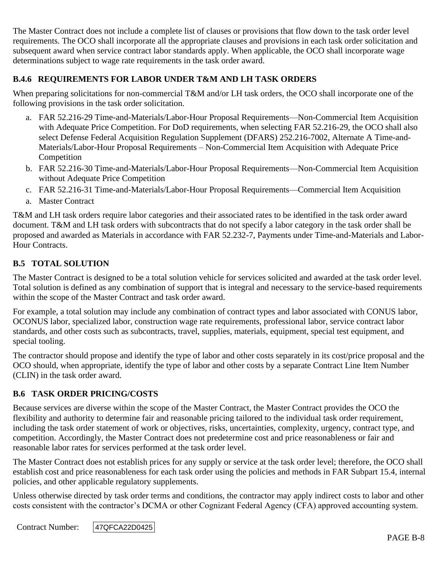The Master Contract does not include a complete list of clauses or provisions that flow down to the task order level requirements. The OCO shall incorporate all the appropriate clauses and provisions in each task order solicitation and subsequent award when service contract labor standards apply. When applicable, the OCO shall incorporate wage determinations subject to wage rate requirements in the task order award.

# **B.4.6 REQUIREMENTS FOR LABOR UNDER T&M AND LH TASK ORDERS**

When preparing solicitations for non-commercial T&M and/or LH task orders, the OCO shall incorporate one of the following provisions in the task order solicitation.

- a. FAR 52.216-29 Time-and-Materials/Labor-Hour Proposal Requirements—Non-Commercial Item Acquisition with Adequate Price Competition. For DoD requirements, when selecting FAR 52.216-29, the OCO shall also select Defense Federal Acquisition Regulation Supplement (DFARS) 252.216-7002, Alternate A Time-and-Materials/Labor-Hour Proposal Requirements – Non-Commercial Item Acquisition with Adequate Price Competition
- b. FAR 52.216-30 Time-and-Materials/Labor-Hour Proposal Requirements—Non-Commercial Item Acquisition without Adequate Price Competition
- c. FAR 52.216-31 Time-and-Materials/Labor-Hour Proposal Requirements—Commercial Item Acquisition
- a. Master Contract

T&M and LH task orders require labor categories and their associated rates to be identified in the task order award document. T&M and LH task orders with subcontracts that do not specify a labor category in the task order shall be proposed and awarded as Materials in accordance with FAR 52.232-7, Payments under Time-and-Materials and Labor-Hour Contracts.

# **B.5 TOTAL SOLUTION**

The Master Contract is designed to be a total solution vehicle for services solicited and awarded at the task order level. Total solution is defined as any combination of support that is integral and necessary to the service-based requirements within the scope of the Master Contract and task order award.

For example, a total solution may include any combination of contract types and labor associated with CONUS labor, OCONUS labor, specialized labor, construction wage rate requirements, professional labor, service contract labor standards, and other costs such as subcontracts, travel, supplies, materials, equipment, special test equipment, and special tooling.

The contractor should propose and identify the type of labor and other costs separately in its cost/price proposal and the OCO should, when appropriate, identify the type of labor and other costs by a separate Contract Line Item Number (CLIN) in the task order award.

#### **B.6 TASK ORDER PRICING/COSTS**

Because services are diverse within the scope of the Master Contract, the Master Contract provides the OCO the flexibility and authority to determine fair and reasonable pricing tailored to the individual task order requirement, including the task order statement of work or objectives, risks, uncertainties, complexity, urgency, contract type, and competition. Accordingly, the Master Contract does not predetermine cost and price reasonableness or fair and reasonable labor rates for services performed at the task order level.

The Master Contract does not establish prices for any supply or service at the task order level; therefore, the OCO shall establish cost and price reasonableness for each task order using the policies and methods in FAR Subpart 15.4, internal policies, and other applicable regulatory supplements.

Unless otherwise directed by task order terms and conditions, the contractor may apply indirect costs to labor and other costs consistent with the contractor's DCMA or other Cognizant Federal Agency (CFA) approved accounting system.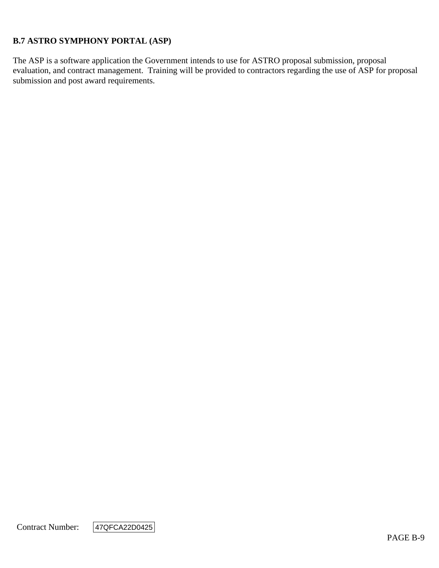# **B.7 ASTRO SYMPHONY PORTAL (ASP)**

The ASP is a software application the Government intends to use for ASTRO proposal submission, proposal evaluation, and contract management. Training will be provided to contractors regarding the use of ASP for proposal submission and post award requirements.

Contract Number:

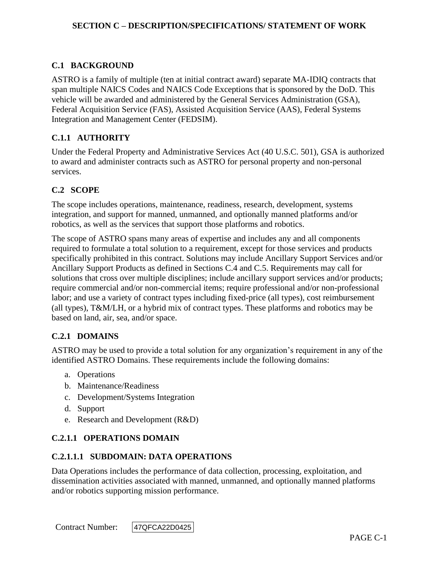# **C.1 BACKGROUND**

ASTRO is a family of multiple (ten at initial contract award) separate MA-IDIQ contracts that span multiple NAICS Codes and NAICS Code Exceptions that is sponsored by the DoD. This vehicle will be awarded and administered by the General Services Administration (GSA), Federal Acquisition Service (FAS), Assisted Acquisition Service (AAS), Federal Systems Integration and Management Center (FEDSIM).

#### **C.1.1 AUTHORITY**

Under the Federal Property and Administrative Services Act (40 U.S.C. 501), GSA is authorized to award and administer contracts such as ASTRO for personal property and non-personal services.

#### **C.2 SCOPE**

The scope includes operations, maintenance, readiness, research, development, systems integration, and support for manned, unmanned, and optionally manned platforms and/or robotics, as well as the services that support those platforms and robotics.

The scope of ASTRO spans many areas of expertise and includes any and all components required to formulate a total solution to a requirement, except for those services and products specifically prohibited in this contract. Solutions may include Ancillary Support Services and/or Ancillary Support Products as defined in Sections C.4 and C.5. Requirements may call for solutions that cross over multiple disciplines; include ancillary support services and/or products; require commercial and/or non-commercial items; require professional and/or non-professional labor; and use a variety of contract types including fixed-price (all types), cost reimbursement (all types), T&M/LH, or a hybrid mix of contract types. These platforms and robotics may be based on land, air, sea, and/or space.

#### **C.2.1 DOMAINS**

ASTRO may be used to provide a total solution for any organization's requirement in any of the identified ASTRO Domains. These requirements include the following domains:

- a. Operations
- b. Maintenance/Readiness
- c. Development/Systems Integration
- d. Support
- e. Research and Development (R&D)

#### **C.2.1.1 OPERATIONS DOMAIN**

#### **C.2.1.1.1 SUBDOMAIN: DATA OPERATIONS**

Data Operations includes the performance of data collection, processing, exploitation, and dissemination activities associated with manned, unmanned, and optionally manned platforms and/or robotics supporting mission performance.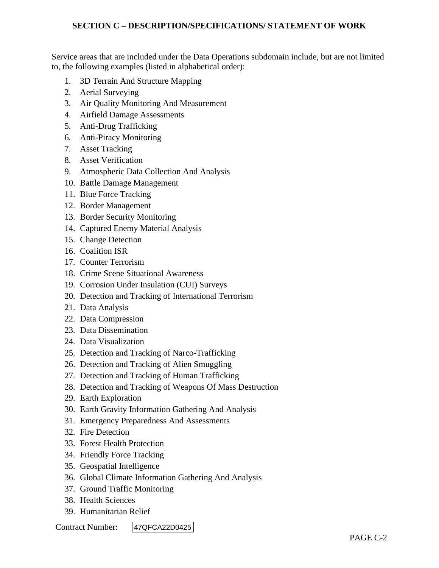Service areas that are included under the Data Operations subdomain include, but are not limited to, the following examples (listed in alphabetical order):

- 1. 3D Terrain And Structure Mapping
- 2. Aerial Surveying
- 3. Air Quality Monitoring And Measurement
- 4. Airfield Damage Assessments
- 5. Anti-Drug Trafficking
- 6. Anti-Piracy Monitoring
- 7. Asset Tracking
- 8. Asset Verification
- 9. Atmospheric Data Collection And Analysis
- 10. Battle Damage Management
- 11. Blue Force Tracking
- 12. Border Management
- 13. Border Security Monitoring
- 14. Captured Enemy Material Analysis
- 15. Change Detection
- 16. Coalition ISR
- 17. Counter Terrorism
- 18. Crime Scene Situational Awareness
- 19. Corrosion Under Insulation (CUI) Surveys
- 20. Detection and Tracking of International Terrorism
- 21. Data Analysis
- 22. Data Compression
- 23. Data Dissemination
- 24. Data Visualization
- 25. Detection and Tracking of Narco-Trafficking
- 26. Detection and Tracking of Alien Smuggling
- 27. Detection and Tracking of Human Trafficking
- 28. Detection and Tracking of Weapons Of Mass Destruction
- 29. Earth Exploration
- 30. Earth Gravity Information Gathering And Analysis
- 31. Emergency Preparedness And Assessments
- 32. Fire Detection
- 33. Forest Health Protection
- 34. Friendly Force Tracking
- 35. Geospatial Intelligence
- 36. Global Climate Information Gathering And Analysis
- 37. Ground Traffic Monitoring
- 38. Health Sciences
- 39. Humanitarian Relief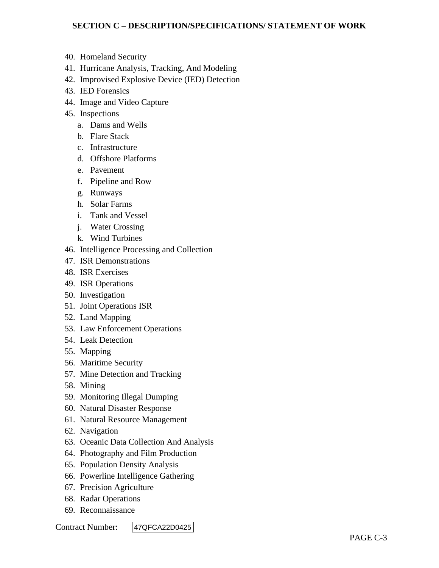- 40. Homeland Security
- 41. Hurricane Analysis, Tracking, And Modeling
- 42. Improvised Explosive Device (IED) Detection
- 43. IED Forensics
- 44. Image and Video Capture
- 45. Inspections
	- a. Dams and Wells
	- b. Flare Stack
	- c. Infrastructure
	- d. Offshore Platforms
	- e. Pavement
	- f. Pipeline and Row
	- g. Runways
	- h. Solar Farms
	- i. Tank and Vessel
	- j. Water Crossing
	- k. Wind Turbines
- 46. Intelligence Processing and Collection
- 47. ISR Demonstrations
- 48. ISR Exercises
- 49. ISR Operations
- 50. Investigation
- 51. Joint Operations ISR
- 52. Land Mapping
- 53. Law Enforcement Operations
- 54. Leak Detection
- 55. Mapping
- 56. Maritime Security
- 57. Mine Detection and Tracking
- 58. Mining
- 59. Monitoring Illegal Dumping
- 60. Natural Disaster Response
- 61. Natural Resource Management
- 62. Navigation
- 63. Oceanic Data Collection And Analysis
- 64. Photography and Film Production
- 65. Population Density Analysis
- 66. Powerline Intelligence Gathering
- 67. Precision Agriculture
- 68. Radar Operations
- 69. Reconnaissance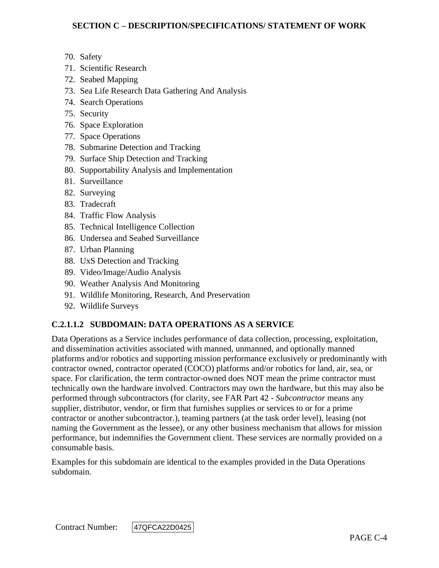- 70. Safety
- 71. Scientific Research
- 72. Seabed Mapping
- 73. Sea Life Research Data Gathering And Analysis
- 74. Search Operations
- 75. Security
- 76. Space Exploration
- 77. Space Operations
- 78. Submarine Detection and Tracking
- 79. Surface Ship Detection and Tracking
- 80. Supportability Analysis and Implementation
- 81. Surveillance
- 82. Surveying
- 83. Tradecraft
- 84. Traffic Flow Analysis
- 85. Technical Intelligence Collection
- 86. Undersea and Seabed Surveillance
- 87. Urban Planning
- 88. UxS Detection and Tracking
- 89. Video/Image/Audio Analysis
- 90. Weather Analysis And Monitoring
- 91. Wildlife Monitoring, Research, And Preservation
- 92. Wildlife Surveys

# **C.2.1.1.2 SUBDOMAIN: DATA OPERATIONS AS A SERVICE**

Data Operations as a Service includes performance of data collection, processing, exploitation, and dissemination activities associated with manned, unmanned, and optionally manned platforms and/or robotics and supporting mission performance exclusively or predominantly with contractor owned, contractor operated (COCO) platforms and/or robotics for land, air, sea, or space. For clarification, the term contractor-owned does NOT mean the prime contractor must technically own the hardware involved. Contractors may own the hardware, but this may also be performed through subcontractors (for clarity, see FAR Part 42 - *Subcontractor* means any supplier, distributor, vendor, or firm that furnishes supplies or services to or for a prime contractor or another subcontractor.), teaming partners (at the task order level), leasing (not naming the Government as the lessee), or any other business mechanism that allows for mission performance, but indemnifies the Government client. These services are normally provided on a consumable basis.

Examples for this subdomain are identical to the examples provided in the Data Operations subdomain.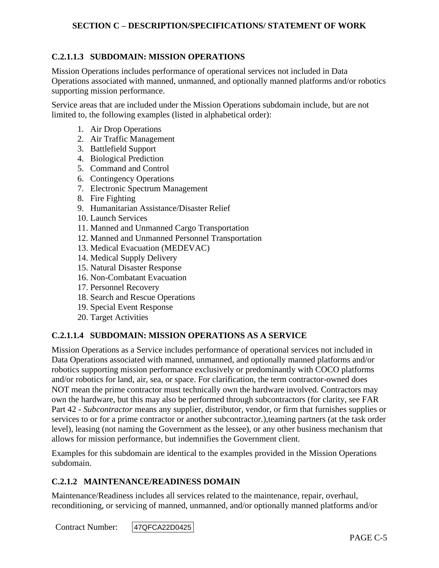# **C.2.1.1.3 SUBDOMAIN: MISSION OPERATIONS**

Mission Operations includes performance of operational services not included in Data Operations associated with manned, unmanned, and optionally manned platforms and/or robotics supporting mission performance.

Service areas that are included under the Mission Operations subdomain include, but are not limited to, the following examples (listed in alphabetical order):

- 1. Air Drop Operations
- 2. Air Traffic Management
- 3. Battlefield Support
- 4. Biological Prediction
- 5. Command and Control
- 6. Contingency Operations
- 7. Electronic Spectrum Management
- 8. Fire Fighting
- 9. Humanitarian Assistance/Disaster Relief
- 10. Launch Services
- 11. Manned and Unmanned Cargo Transportation
- 12. Manned and Unmanned Personnel Transportation
- 13. Medical Evacuation (MEDEVAC)
- 14. Medical Supply Delivery
- 15. Natural Disaster Response
- 16. Non-Combatant Evacuation
- 17. Personnel Recovery
- 18. Search and Rescue Operations
- 19. Special Event Response
- 20. Target Activities

#### **C.2.1.1.4 SUBDOMAIN: MISSION OPERATIONS AS A SERVICE**

Mission Operations as a Service includes performance of operational services not included in Data Operations associated with manned, unmanned, and optionally manned platforms and/or robotics supporting mission performance exclusively or predominantly with COCO platforms and/or robotics for land, air, sea, or space. For clarification, the term contractor-owned does NOT mean the prime contractor must technically own the hardware involved. Contractors may own the hardware, but this may also be performed through subcontractors (for clarity, see FAR Part 42 - *Subcontractor* means any supplier, distributor, vendor, or firm that furnishes supplies or services to or for a prime contractor or another subcontractor.),teaming partners (at the task order level), leasing (not naming the Government as the lessee), or any other business mechanism that allows for mission performance, but indemnifies the Government client.

Examples for this subdomain are identical to the examples provided in the Mission Operations subdomain.

#### **C.2.1.2 MAINTENANCE/READINESS DOMAIN**

Maintenance/Readiness includes all services related to the maintenance, repair, overhaul, reconditioning, or servicing of manned, unmanned, and/or optionally manned platforms and/or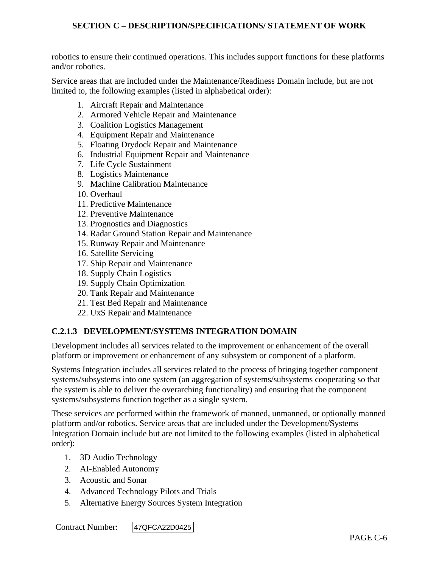robotics to ensure their continued operations. This includes support functions for these platforms and/or robotics.

Service areas that are included under the Maintenance/Readiness Domain include, but are not limited to, the following examples (listed in alphabetical order):

- 1. Aircraft Repair and Maintenance
- 2. Armored Vehicle Repair and Maintenance
- 3. Coalition Logistics Management
- 4. Equipment Repair and Maintenance
- 5. Floating Drydock Repair and Maintenance
- 6. Industrial Equipment Repair and Maintenance
- 7. Life Cycle Sustainment
- 8. Logistics Maintenance
- 9. Machine Calibration Maintenance
- 10. Overhaul
- 11. Predictive Maintenance
- 12. Preventive Maintenance
- 13. Prognostics and Diagnostics
- 14. Radar Ground Station Repair and Maintenance
- 15. Runway Repair and Maintenance
- 16. Satellite Servicing
- 17. Ship Repair and Maintenance
- 18. Supply Chain Logistics
- 19. Supply Chain Optimization
- 20. Tank Repair and Maintenance
- 21. Test Bed Repair and Maintenance
- 22. UxS Repair and Maintenance

#### **C.2.1.3 DEVELOPMENT/SYSTEMS INTEGRATION DOMAIN**

Development includes all services related to the improvement or enhancement of the overall platform or improvement or enhancement of any subsystem or component of a platform.

Systems Integration includes all services related to the process of bringing together component systems/subsystems into one system (an aggregation of systems/subsystems cooperating so that the system is able to deliver the overarching functionality) and ensuring that the component systems/subsystems function together as a single system.

These services are performed within the framework of manned, unmanned, or optionally manned platform and/or robotics. Service areas that are included under the Development/Systems Integration Domain include but are not limited to the following examples (listed in alphabetical order):

- 1. 3D Audio Technology
- 2. AI-Enabled Autonomy
- 3. Acoustic and Sonar
- 4. Advanced Technology Pilots and Trials
- 5. Alternative Energy Sources System Integration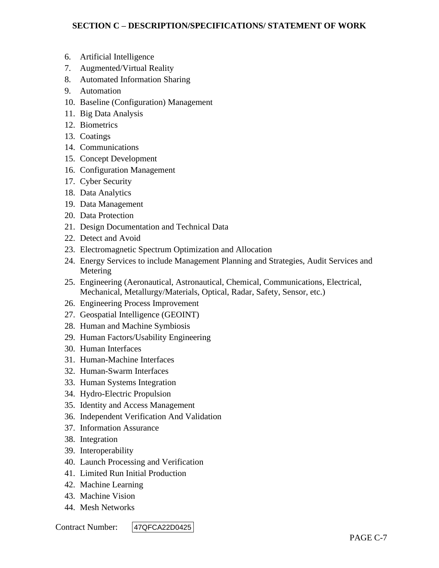- 6. Artificial Intelligence
- 7. Augmented/Virtual Reality
- 8. Automated Information Sharing
- 9. Automation
- 10. Baseline (Configuration) Management
- 11. Big Data Analysis
- 12. Biometrics
- 13. Coatings
- 14. Communications
- 15. Concept Development
- 16. Configuration Management
- 17. Cyber Security
- 18. Data Analytics
- 19. Data Management
- 20. Data Protection
- 21. Design Documentation and Technical Data
- 22. Detect and Avoid
- 23. Electromagnetic Spectrum Optimization and Allocation
- 24. Energy Services to include Management Planning and Strategies, Audit Services and Metering
- 25. Engineering (Aeronautical, Astronautical, Chemical, Communications, Electrical, Mechanical, Metallurgy/Materials, Optical, Radar, Safety, Sensor, etc.)
- 26. Engineering Process Improvement
- 27. Geospatial Intelligence (GEOINT)
- 28. Human and Machine Symbiosis
- 29. Human Factors/Usability Engineering
- 30. Human Interfaces
- 31. Human-Machine Interfaces
- 32. Human-Swarm Interfaces
- 33. Human Systems Integration
- 34. Hydro-Electric Propulsion
- 35. Identity and Access Management
- 36. Independent Verification And Validation
- 37. Information Assurance
- 38. Integration
- 39. Interoperability
- 40. Launch Processing and Verification
- 41. Limited Run Initial Production
- 42. Machine Learning
- 43. Machine Vision
- 44. Mesh Networks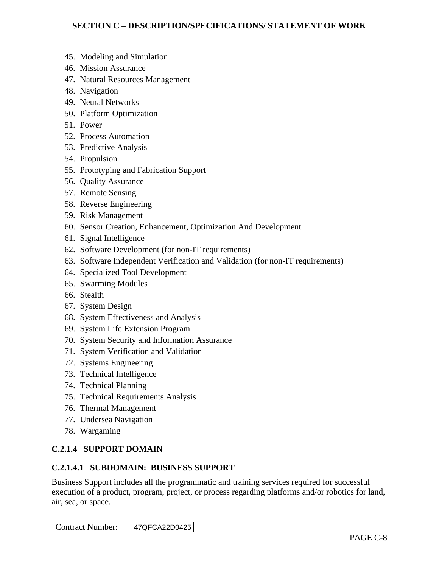- 45. Modeling and Simulation
- 46. Mission Assurance
- 47. Natural Resources Management
- 48. Navigation
- 49. Neural Networks
- 50. Platform Optimization
- 51. Power
- 52. Process Automation
- 53. Predictive Analysis
- 54. Propulsion
- 55. Prototyping and Fabrication Support
- 56. Quality Assurance
- 57. Remote Sensing
- 58. Reverse Engineering
- 59. Risk Management
- 60. Sensor Creation, Enhancement, Optimization And Development
- 61. Signal Intelligence
- 62. Software Development (for non-IT requirements)
- 63. Software Independent Verification and Validation (for non-IT requirements)
- 64. Specialized Tool Development
- 65. Swarming Modules
- 66. Stealth
- 67. System Design
- 68. System Effectiveness and Analysis
- 69. System Life Extension Program
- 70. System Security and Information Assurance
- 71. System Verification and Validation
- 72. Systems Engineering
- 73. Technical Intelligence
- 74. Technical Planning
- 75. Technical Requirements Analysis
- 76. Thermal Management
- 77. Undersea Navigation
- 78. Wargaming

#### **C.2.1.4 SUPPORT DOMAIN**

#### **C.2.1.4.1 SUBDOMAIN: BUSINESS SUPPORT**

Business Support includes all the programmatic and training services required for successful execution of a product, program, project, or process regarding platforms and/or robotics for land, air, sea, or space.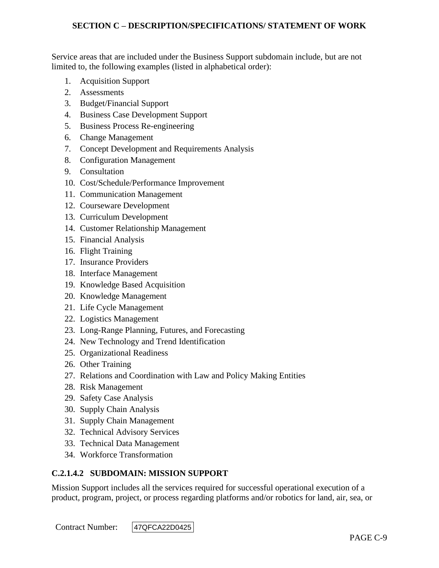Service areas that are included under the Business Support subdomain include, but are not limited to, the following examples (listed in alphabetical order):

- 1. Acquisition Support
- 2. Assessments
- 3. Budget/Financial Support
- 4. Business Case Development Support
- 5. Business Process Re-engineering
- 6. Change Management
- 7. Concept Development and Requirements Analysis
- 8. Configuration Management
- 9. Consultation
- 10. Cost/Schedule/Performance Improvement
- 11. Communication Management
- 12. Courseware Development
- 13. Curriculum Development
- 14. Customer Relationship Management
- 15. Financial Analysis
- 16. Flight Training
- 17. Insurance Providers
- 18. Interface Management
- 19. Knowledge Based Acquisition
- 20. Knowledge Management
- 21. Life Cycle Management
- 22. Logistics Management
- 23. Long-Range Planning, Futures, and Forecasting
- 24. New Technology and Trend Identification
- 25. Organizational Readiness
- 26. Other Training
- 27. Relations and Coordination with Law and Policy Making Entities
- 28. Risk Management
- 29. Safety Case Analysis
- 30. Supply Chain Analysis
- 31. Supply Chain Management
- 32. Technical Advisory Services
- 33. Technical Data Management
- 34. Workforce Transformation

# **C.2.1.4.2 SUBDOMAIN: MISSION SUPPORT**

Mission Support includes all the services required for successful operational execution of a product, program, project, or process regarding platforms and/or robotics for land, air, sea, or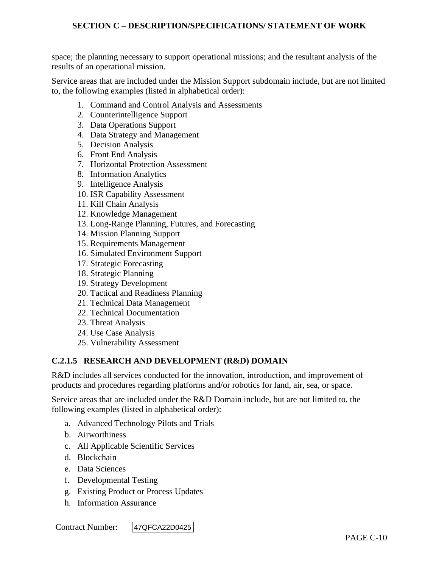space; the planning necessary to support operational missions; and the resultant analysis of the results of an operational mission.

Service areas that are included under the Mission Support subdomain include, but are not limited to, the following examples (listed in alphabetical order):

- 1. Command and Control Analysis and Assessments
- 2. Counterintelligence Support
- 3. Data Operations Support
- 4. Data Strategy and Management
- 5. Decision Analysis
- 6. Front End Analysis
- 7. Horizontal Protection Assessment
- 8. Information Analytics
- 9. Intelligence Analysis
- 10. ISR Capability Assessment
- 11. Kill Chain Analysis
- 12. Knowledge Management
- 13. Long-Range Planning, Futures, and Forecasting
- 14. Mission Planning Support
- 15. Requirements Management
- 16. Simulated Environment Support
- 17. Strategic Forecasting
- 18. Strategic Planning
- 19. Strategy Development
- 20. Tactical and Readiness Planning
- 21. Technical Data Management
- 22. Technical Documentation
- 23. Threat Analysis
- 24. Use Case Analysis
- 25. Vulnerability Assessment

#### **C.2.1.5 RESEARCH AND DEVELOPMENT (R&D) DOMAIN**

R&D includes all services conducted for the innovation, introduction, and improvement of products and procedures regarding platforms and/or robotics for land, air, sea, or space.

Service areas that are included under the R&D Domain include, but are not limited to, the following examples (listed in alphabetical order):

- a. Advanced Technology Pilots and Trials
- b. Airworthiness
- c. All Applicable Scientific Services
- d. Blockchain
- e. Data Sciences
- f. Developmental Testing
- g. Existing Product or Process Updates
- h. Information Assurance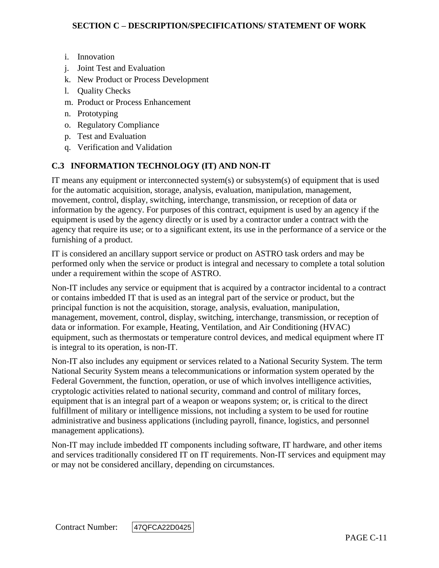- i. Innovation
- j. Joint Test and Evaluation
- k. New Product or Process Development
- l. Quality Checks
- m. Product or Process Enhancement
- n. Prototyping
- o. Regulatory Compliance
- p. Test and Evaluation
- q. Verification and Validation

# **C.3 INFORMATION TECHNOLOGY (IT) AND NON-IT**

IT means any equipment or interconnected system(s) or subsystem(s) of equipment that is used for the automatic acquisition, storage, analysis, evaluation, manipulation, management, movement, control, display, switching, interchange, transmission, or reception of data or information by the agency. For purposes of this contract, equipment is used by an agency if the equipment is used by the agency directly or is used by a contractor under a contract with the agency that require its use; or to a significant extent, its use in the performance of a service or the furnishing of a product.

IT is considered an ancillary support service or product on ASTRO task orders and may be performed only when the service or product is integral and necessary to complete a total solution under a requirement within the scope of ASTRO.

Non-IT includes any service or equipment that is acquired by a contractor incidental to a contract or contains imbedded IT that is used as an integral part of the service or product, but the principal function is not the acquisition, storage, analysis, evaluation, manipulation, management, movement, control, display, switching, interchange, transmission, or reception of data or information. For example, Heating, Ventilation, and Air Conditioning (HVAC) equipment, such as thermostats or temperature control devices, and medical equipment where IT is integral to its operation, is non-IT.

Non-IT also includes any equipment or services related to a National Security System. The term National Security System means a telecommunications or information system operated by the Federal Government, the function, operation, or use of which involves intelligence activities, cryptologic activities related to national security, command and control of military forces, equipment that is an integral part of a weapon or weapons system; or, is critical to the direct fulfillment of military or intelligence missions, not including a system to be used for routine administrative and business applications (including payroll, finance, logistics, and personnel management applications).

Non-IT may include imbedded IT components including software, IT hardware, and other items and services traditionally considered IT on IT requirements. Non-IT services and equipment may or may not be considered ancillary, depending on circumstances.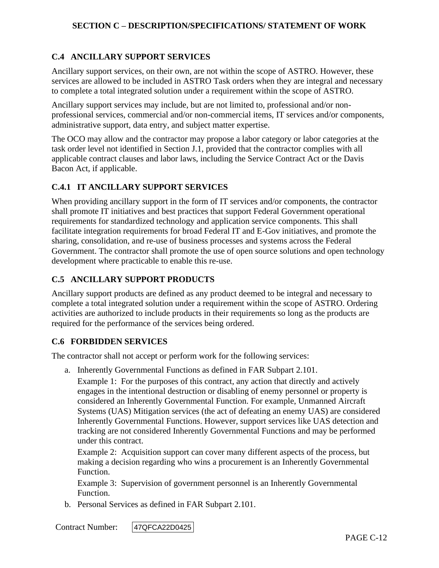# **C.4 ANCILLARY SUPPORT SERVICES**

Ancillary support services, on their own, are not within the scope of ASTRO. However, these services are allowed to be included in ASTRO Task orders when they are integral and necessary to complete a total integrated solution under a requirement within the scope of ASTRO.

Ancillary support services may include, but are not limited to, professional and/or nonprofessional services, commercial and/or non-commercial items, IT services and/or components, administrative support, data entry, and subject matter expertise.

The OCO may allow and the contractor may propose a labor category or labor categories at the task order level not identified in Section J.1, provided that the contractor complies with all applicable contract clauses and labor laws, including the Service Contract Act or the Davis Bacon Act, if applicable.

#### **C.4.1 IT ANCILLARY SUPPORT SERVICES**

When providing ancillary support in the form of IT services and/or components, the contractor shall promote IT initiatives and best practices that support Federal Government operational requirements for standardized technology and application service components. This shall facilitate integration requirements for broad Federal IT and E-Gov initiatives, and promote the sharing, consolidation, and re-use of business processes and systems across the Federal Government. The contractor shall promote the use of open source solutions and open technology development where practicable to enable this re-use.

# **C.5 ANCILLARY SUPPORT PRODUCTS**

Ancillary support products are defined as any product deemed to be integral and necessary to complete a total integrated solution under a requirement within the scope of ASTRO. Ordering activities are authorized to include products in their requirements so long as the products are required for the performance of the services being ordered.

#### **C.6 FORBIDDEN SERVICES**

The contractor shall not accept or perform work for the following services:

a. Inherently Governmental Functions as defined in FAR Subpart 2.101.

Example 1: For the purposes of this contract, any action that directly and actively engages in the intentional destruction or disabling of enemy personnel or property is considered an Inherently Governmental Function. For example, Unmanned Aircraft Systems (UAS) Mitigation services (the act of defeating an enemy UAS) are considered Inherently Governmental Functions. However, support services like UAS detection and tracking are not considered Inherently Governmental Functions and may be performed under this contract.

Example 2: Acquisition support can cover many different aspects of the process, but making a decision regarding who wins a procurement is an Inherently Governmental Function.

Example 3: Supervision of government personnel is an Inherently Governmental Function.

b. Personal Services as defined in FAR Subpart 2.101.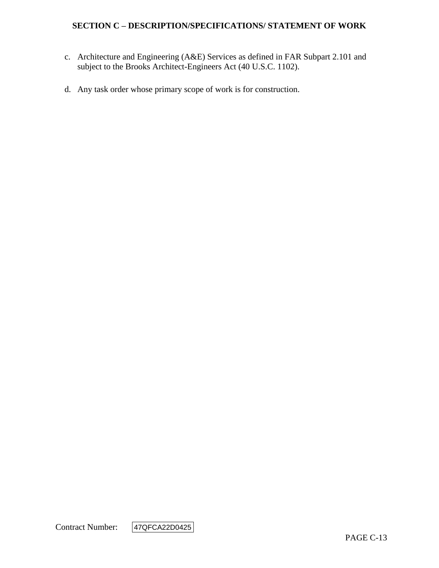- c. Architecture and Engineering (A&E) Services as defined in FAR Subpart 2.101 and subject to the Brooks Architect-Engineers Act (40 U.S.C. 1102).
- d. Any task order whose primary scope of work is for construction.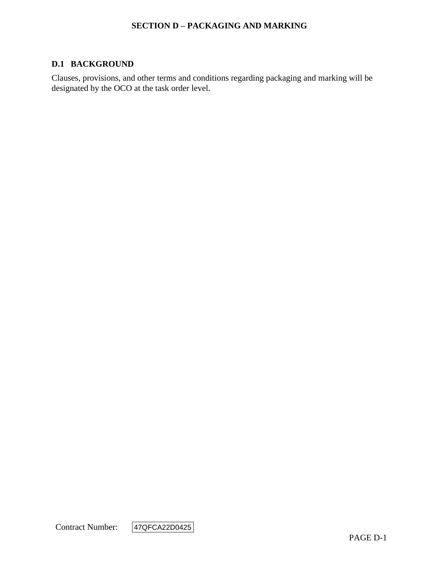#### **SECTION D – PACKAGING AND MARKING**

#### **D.1 BACKGROUND**

Clauses, provisions, and other terms and conditions regarding packaging and marking will be designated by the OCO at the task order level.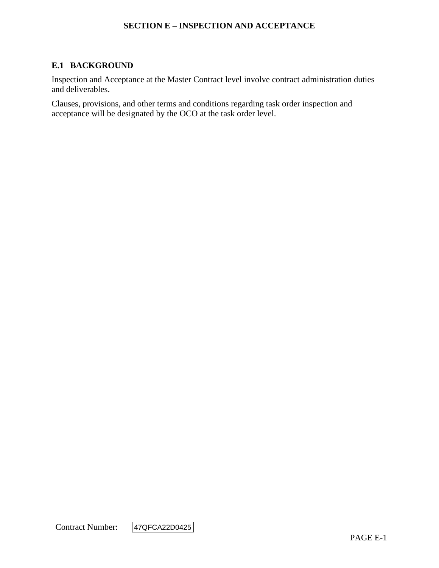#### **SECTION E – INSPECTION AND ACCEPTANCE**

# **E.1 BACKGROUND**

Inspection and Acceptance at the Master Contract level involve contract administration duties and deliverables.

Clauses, provisions, and other terms and conditions regarding task order inspection and acceptance will be designated by the OCO at the task order level.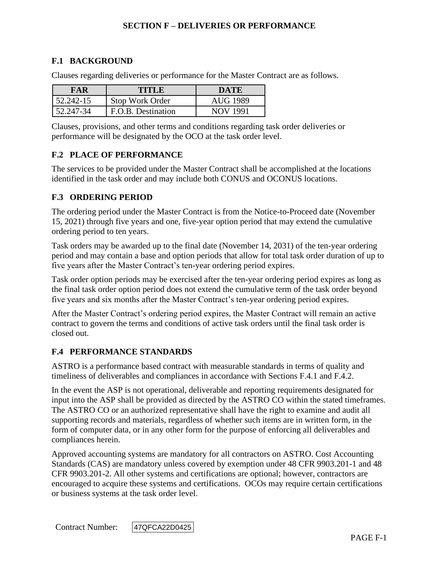# **F.1 BACKGROUND**

Clauses regarding deliveries or performance for the Master Contract are as follows.

| FAR       | TITLE              | DATE     |
|-----------|--------------------|----------|
| 52.242-15 | Stop Work Order    | AUG 1989 |
| 52.247-34 | F.O.B. Destination | NOV 1991 |

Clauses, provisions, and other terms and conditions regarding task order deliveries or performance will be designated by the OCO at the task order level.

#### **F.2 PLACE OF PERFORMANCE**

The services to be provided under the Master Contract shall be accomplished at the locations identified in the task order and may include both CONUS and OCONUS locations.

#### **F.3 ORDERING PERIOD**

The ordering period under the Master Contract is from the Notice-to-Proceed date (November 15, 2021) through five years and one, five-year option period that may extend the cumulative ordering period to ten years.

Task orders may be awarded up to the final date (November 14, 2031) of the ten-year ordering period and may contain a base and option periods that allow for total task order duration of up to five years after the Master Contract's ten-year ordering period expires.

Task order option periods may be exercised after the ten-year ordering period expires as long as the final task order option period does not extend the cumulative term of the task order beyond five years and six months after the Master Contract's ten-year ordering period expires.

After the Master Contract's ordering period expires, the Master Contract will remain an active contract to govern the terms and conditions of active task orders until the final task order is closed out.

#### **F.4 PERFORMANCE STANDARDS**

ASTRO is a performance based contract with measurable standards in terms of quality and timeliness of deliverables and compliances in accordance with Sections F.4.1 and F.4.2.

In the event the ASP is not operational, deliverable and reporting requirements designated for input into the ASP shall be provided as directed by the ASTRO CO within the stated timeframes. The ASTRO CO or an authorized representative shall have the right to examine and audit all supporting records and materials, regardless of whether such items are in written form, in the form of computer data, or in any other form for the purpose of enforcing all deliverables and compliances herein.

Approved accounting systems are mandatory for all contractors on ASTRO. Cost Accounting Standards (CAS) are mandatory unless covered by exemption under 48 CFR 9903.201-1 and 48 CFR 9903.201-2. All other systems and certifications are optional; however, contractors are encouraged to acquire these systems and certifications. OCOs may require certain certifications or business systems at the task order level.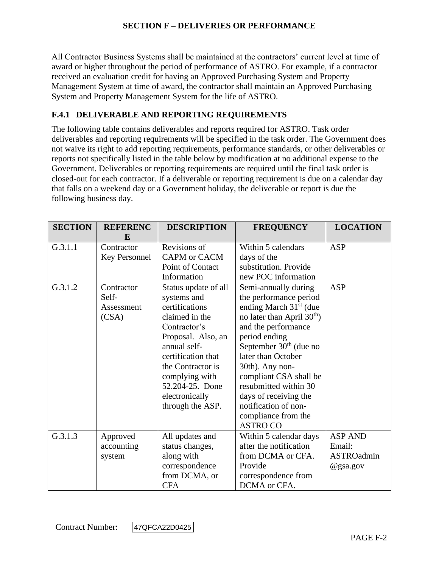All Contractor Business Systems shall be maintained at the contractors' current level at time of award or higher throughout the period of performance of ASTRO. For example, if a contractor received an evaluation credit for having an Approved Purchasing System and Property Management System at time of award, the contractor shall maintain an Approved Purchasing System and Property Management System for the life of ASTRO.

# **F.4.1 DELIVERABLE AND REPORTING REQUIREMENTS**

The following table contains deliverables and reports required for ASTRO. Task order deliverables and reporting requirements will be specified in the task order. The Government does not waive its right to add reporting requirements, performance standards, or other deliverables or reports not specifically listed in the table below by modification at no additional expense to the Government. Deliverables or reporting requirements are required until the final task order is closed-out for each contractor. If a deliverable or reporting requirement is due on a calendar day that falls on a weekend day or a Government holiday, the deliverable or report is due the following business day.

| <b>SECTION</b> | <b>REFERENC</b><br>E                       | <b>DESCRIPTION</b>                                                                                                                                                                                                                                  | <b>FREQUENCY</b>                                                                                                                                                                                                                                                                                                                                                      | <b>LOCATION</b>                                    |
|----------------|--------------------------------------------|-----------------------------------------------------------------------------------------------------------------------------------------------------------------------------------------------------------------------------------------------------|-----------------------------------------------------------------------------------------------------------------------------------------------------------------------------------------------------------------------------------------------------------------------------------------------------------------------------------------------------------------------|----------------------------------------------------|
| G.3.1.1        | Contractor<br>Key Personnel                | Revisions of<br><b>CAPM</b> or <b>CACM</b>                                                                                                                                                                                                          | Within 5 calendars<br>days of the                                                                                                                                                                                                                                                                                                                                     | <b>ASP</b>                                         |
|                |                                            | Point of Contact<br>Information                                                                                                                                                                                                                     | substitution. Provide<br>new POC information                                                                                                                                                                                                                                                                                                                          |                                                    |
| G.3.1.2        | Contractor<br>Self-<br>Assessment<br>(CSA) | Status update of all<br>systems and<br>certifications<br>claimed in the<br>Contractor's<br>Proposal. Also, an<br>annual self-<br>certification that<br>the Contractor is<br>complying with<br>52.204-25. Done<br>electronically<br>through the ASP. | Semi-annually during<br>the performance period<br>ending March $31st$ (due<br>no later than April $30th$ )<br>and the performance<br>period ending<br>September $30th$ (due no<br>later than October<br>30th). Any non-<br>compliant CSA shall be<br>resubmitted within 30<br>days of receiving the<br>notification of non-<br>compliance from the<br><b>ASTRO CO</b> | <b>ASP</b>                                         |
| G.3.1.3        | Approved<br>accounting<br>system           | All updates and<br>status changes,<br>along with<br>correspondence<br>from DCMA, or<br><b>CFA</b>                                                                                                                                                   | Within 5 calendar days<br>after the notification<br>from DCMA or CFA.<br>Provide<br>correspondence from<br>DCMA or CFA.                                                                                                                                                                                                                                               | <b>ASP AND</b><br>Email:<br>ASTROadmin<br>@gsa.gov |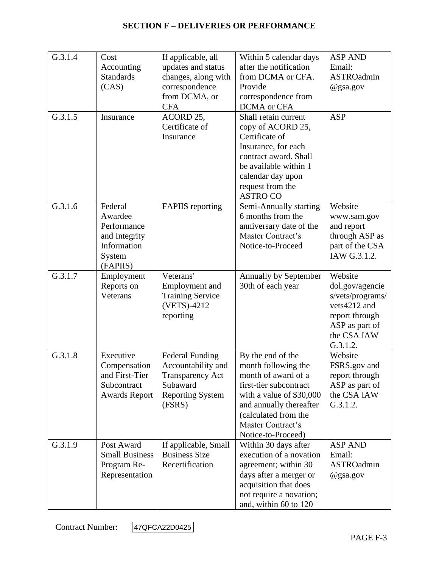| G.3.1.4 | Cost<br>Accounting<br><b>Standards</b><br>(CAS)                                         | If applicable, all<br>updates and status<br>changes, along with<br>correspondence<br>from DCMA, or<br><b>CFA</b>         | Within 5 calendar days<br>after the notification<br>from DCMA or CFA.<br>Provide<br>correspondence from<br>DCMA or CFA                                                                                              | <b>ASP AND</b><br>Email:<br>ASTROadmin<br>@gsa.gov                                                                            |
|---------|-----------------------------------------------------------------------------------------|--------------------------------------------------------------------------------------------------------------------------|---------------------------------------------------------------------------------------------------------------------------------------------------------------------------------------------------------------------|-------------------------------------------------------------------------------------------------------------------------------|
| G.3.1.5 | Insurance                                                                               | ACORD 25,<br>Certificate of<br>Insurance                                                                                 | Shall retain current<br>copy of ACORD 25,<br>Certificate of<br>Insurance, for each<br>contract award. Shall<br>be available within 1<br>calendar day upon<br>request from the<br><b>ASTRO CO</b>                    | <b>ASP</b>                                                                                                                    |
| G.3.1.6 | Federal<br>Awardee<br>Performance<br>and Integrity<br>Information<br>System<br>(FAPIIS) | <b>FAPIIS</b> reporting                                                                                                  | Semi-Annually starting<br>6 months from the<br>anniversary date of the<br>Master Contract's<br>Notice-to-Proceed                                                                                                    | Website<br>www.sam.gov<br>and report<br>through ASP as<br>part of the CSA<br>IAW G.3.1.2.                                     |
| G.3.1.7 | Employment<br>Reports on<br>Veterans                                                    | Veterans'<br>Employment and<br><b>Training Service</b><br>(VETS)-4212<br>reporting                                       | Annually by September<br>30th of each year                                                                                                                                                                          | Website<br>dol.gov/agencie<br>s/vets/programs/<br>vets4212 and<br>report through<br>ASP as part of<br>the CSA IAW<br>G.3.1.2. |
| G.3.1.8 | Executive<br>Compensation<br>and First-Tier<br>Subcontract<br><b>Awards Report</b>      | <b>Federal Funding</b><br>Accountability and<br><b>Transparency Act</b><br>Subaward<br><b>Reporting System</b><br>(FSRS) | By the end of the<br>month following the<br>month of award of a<br>first-tier subcontract<br>with a value of \$30,000<br>and annually thereafter<br>(calculated from the<br>Master Contract's<br>Notice-to-Proceed) | Website<br>FSRS.gov and<br>report through<br>ASP as part of<br>the CSA IAW<br>G.3.1.2.                                        |
| G.3.1.9 | Post Award<br><b>Small Business</b><br>Program Re-<br>Representation                    | If applicable, Small<br><b>Business Size</b><br>Recertification                                                          | Within 30 days after<br>execution of a novation<br>agreement; within 30<br>days after a merger or<br>acquisition that does<br>not require a novation;<br>and, within 60 to 120                                      | <b>ASP AND</b><br>Email:<br>ASTROadmin<br>@gsa.gov                                                                            |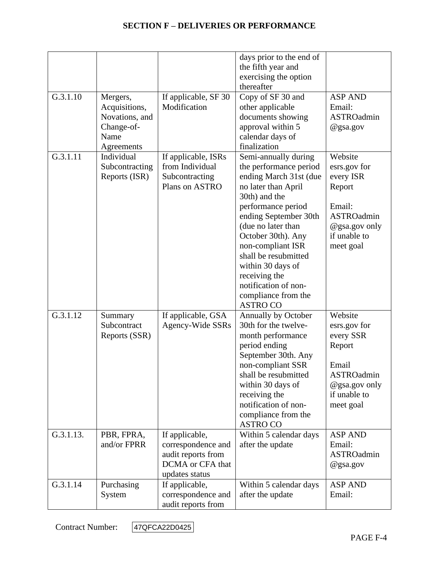|           |                                                                                 |                                                                                                  | days prior to the end of<br>the fifth year and<br>exercising the option<br>thereafter                                                                                                                                                                                                                                                                            |                                                                                                                             |
|-----------|---------------------------------------------------------------------------------|--------------------------------------------------------------------------------------------------|------------------------------------------------------------------------------------------------------------------------------------------------------------------------------------------------------------------------------------------------------------------------------------------------------------------------------------------------------------------|-----------------------------------------------------------------------------------------------------------------------------|
| G.3.1.10  | Mergers,<br>Acquisitions,<br>Novations, and<br>Change-of-<br>Name<br>Agreements | If applicable, SF 30<br>Modification                                                             | Copy of SF 30 and<br>other applicable<br>documents showing<br>approval within 5<br>calendar days of<br>finalization                                                                                                                                                                                                                                              | <b>ASP AND</b><br>Email:<br>ASTROadmin<br>@gsa.gov                                                                          |
| G.3.1.11  | Individual<br>Subcontracting<br>Reports (ISR)                                   | If applicable, ISRs<br>from Individual<br>Subcontracting<br>Plans on ASTRO                       | Semi-annually during<br>the performance period<br>ending March 31st (due<br>no later than April<br>30th) and the<br>performance period<br>ending September 30th<br>(due no later than<br>October 30th). Any<br>non-compliant ISR<br>shall be resubmitted<br>within 30 days of<br>receiving the<br>notification of non-<br>compliance from the<br><b>ASTRO CO</b> | Website<br>esrs.gov for<br>every ISR<br>Report<br>Email:<br><b>ASTROadmin</b><br>@gsa.gov only<br>if unable to<br>meet goal |
| G.3.1.12  | Summary<br>Subcontract<br>Reports (SSR)                                         | If applicable, GSA<br>Agency-Wide SSRs                                                           | Annually by October<br>30th for the twelve-<br>month performance<br>period ending<br>September 30th. Any<br>non-compliant SSR<br>shall be resubmitted<br>within 30 days of<br>receiving the<br>notification of non-<br>compliance from the<br><b>ASTRO CO</b>                                                                                                    | Website<br>esrs.gov for<br>every SSR<br>Report<br>Email<br><b>ASTROadmin</b><br>@gsa.gov only<br>if unable to<br>meet goal  |
| G.3.1.13. | PBR, FPRA,<br>and/or FPRR                                                       | If applicable,<br>correspondence and<br>audit reports from<br>DCMA or CFA that<br>updates status | Within 5 calendar days<br>after the update                                                                                                                                                                                                                                                                                                                       | <b>ASP AND</b><br>Email:<br>ASTROadmin<br>@gsa.gov                                                                          |
| G.3.1.14  | Purchasing<br>System                                                            | If applicable,<br>correspondence and<br>audit reports from                                       | Within 5 calendar days<br>after the update                                                                                                                                                                                                                                                                                                                       | <b>ASP AND</b><br>Email:                                                                                                    |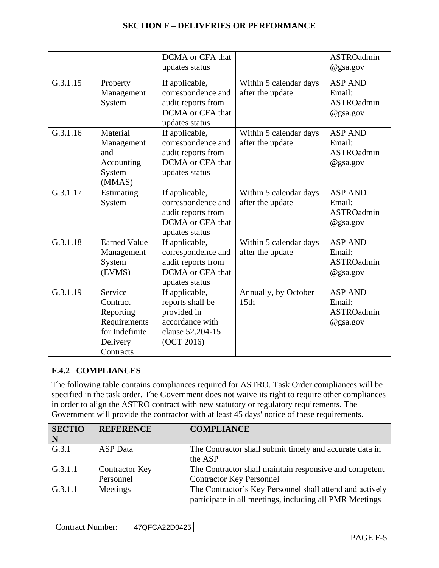|          |                                                                                             | DCMA or CFA that<br>updates status                                                                     |                                            | <b>ASTROadmin</b><br>$@$ gsa.gov                             |
|----------|---------------------------------------------------------------------------------------------|--------------------------------------------------------------------------------------------------------|--------------------------------------------|--------------------------------------------------------------|
| G.3.1.15 | Property<br>Management<br>System                                                            | If applicable,<br>correspondence and<br>audit reports from<br>DCMA or CFA that<br>updates status       | Within 5 calendar days<br>after the update | <b>ASP AND</b><br>Email:<br><b>ASTROadmin</b><br>@gsa.gov    |
| G.3.1.16 | Material<br>Management<br>and<br>Accounting<br>System<br>(MMAS)                             | If applicable,<br>correspondence and<br>audit reports from<br>DCMA or CFA that<br>updates status       | Within 5 calendar days<br>after the update | <b>ASP AND</b><br>Email:<br><b>ASTROadmin</b><br>@gsa.gov    |
| G.3.1.17 | Estimating<br>System                                                                        | If applicable,<br>correspondence and<br>audit reports from<br>DCMA or CFA that<br>updates status       | Within 5 calendar days<br>after the update | <b>ASP AND</b><br>Email:<br><b>ASTROadmin</b><br>$@$ gsa.gov |
| G.3.1.18 | <b>Earned Value</b><br>Management<br>System<br>(EVMS)                                       | If applicable,<br>correspondence and<br>audit reports from<br>DCMA or CFA that<br>updates status       | Within 5 calendar days<br>after the update | <b>ASP AND</b><br>Email:<br><b>ASTROadmin</b><br>$@$ gsa.gov |
| G.3.1.19 | Service<br>Contract<br>Reporting<br>Requirements<br>for Indefinite<br>Delivery<br>Contracts | If applicable,<br>reports shall be<br>provided in<br>accordance with<br>clause 52.204-15<br>(OCT 2016) | Annually, by October<br>15th               | <b>ASP AND</b><br>Email:<br><b>ASTROadmin</b><br>@gsa.gov    |

#### **F.4.2 COMPLIANCES**

The following table contains compliances required for ASTRO. Task Order compliances will be specified in the task order. The Government does not waive its right to require other compliances in order to align the ASTRO contract with new statutory or regulatory requirements. The Government will provide the contractor with at least 45 days' notice of these requirements.

| <b>SECTIO</b> | <b>REFERENCE</b>      | <b>COMPLIANCE</b>                                        |
|---------------|-----------------------|----------------------------------------------------------|
| $\mid N$      |                       |                                                          |
| G.3.1         | <b>ASP</b> Data       | The Contractor shall submit timely and accurate data in  |
|               |                       | the ASP                                                  |
| G.3.1.1       | <b>Contractor Key</b> | The Contractor shall maintain responsive and competent   |
|               | Personnel             | <b>Contractor Key Personnel</b>                          |
| G.3.1.1       | Meetings              | The Contractor's Key Personnel shall attend and actively |
|               |                       | participate in all meetings, including all PMR Meetings  |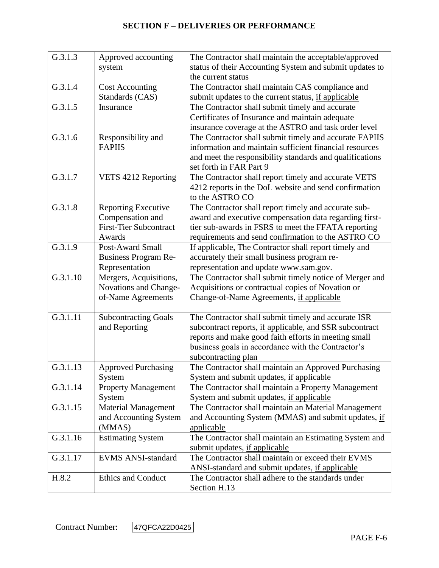| G.3.1.3              |                               |                                                          |
|----------------------|-------------------------------|----------------------------------------------------------|
|                      | Approved accounting           | The Contractor shall maintain the acceptable/approved    |
|                      | system                        | status of their Accounting System and submit updates to  |
|                      |                               | the current status                                       |
| G.3.1.4              | <b>Cost Accounting</b>        | The Contractor shall maintain CAS compliance and         |
|                      | Standards (CAS)               | submit updates to the current status, if applicable      |
| G.3.1.5              | Insurance                     | The Contractor shall submit timely and accurate          |
|                      |                               | Certificates of Insurance and maintain adequate          |
|                      |                               | insurance coverage at the ASTRO and task order level     |
| G.3.1.6              | Responsibility and            | The Contractor shall submit timely and accurate FAPIIS   |
|                      | <b>FAPIIS</b>                 | information and maintain sufficient financial resources  |
|                      |                               | and meet the responsibility standards and qualifications |
|                      |                               | set forth in FAR Part 9                                  |
| G.3.1.7              | VETS 4212 Reporting           | The Contractor shall report timely and accurate VETS     |
|                      |                               | 4212 reports in the DoL website and send confirmation    |
|                      |                               | to the ASTRO CO                                          |
| G.3.1.8              | <b>Reporting Executive</b>    | The Contractor shall report timely and accurate sub-     |
|                      | Compensation and              | award and executive compensation data regarding first-   |
|                      | <b>First-Tier Subcontract</b> | tier sub-awards in FSRS to meet the FFATA reporting      |
|                      | Awards                        | requirements and send confirmation to the ASTRO CO       |
| $\overline{G}.3.1.9$ | Post-Award Small              | If applicable, The Contractor shall report timely and    |
|                      | <b>Business Program Re-</b>   | accurately their small business program re-              |
|                      | Representation                | representation and update www.sam.gov.                   |
| G.3.1.10             | Mergers, Acquisitions,        | The Contractor shall submit timely notice of Merger and  |
|                      | Novations and Change-         | Acquisitions or contractual copies of Novation or        |
|                      | of-Name Agreements            | Change-of-Name Agreements, if applicable                 |
|                      |                               |                                                          |
| G.3.1.11             | <b>Subcontracting Goals</b>   | The Contractor shall submit timely and accurate ISR      |
|                      | and Reporting                 | subcontract reports, if applicable, and SSR subcontract  |
|                      |                               | reports and make good faith efforts in meeting small     |
|                      |                               | business goals in accordance with the Contractor's       |
|                      |                               | subcontracting plan                                      |
| G.3.1.13             | <b>Approved Purchasing</b>    | The Contractor shall maintain an Approved Purchasing     |
|                      | System                        | System and submit updates, if applicable                 |
| G.3.1.14             | <b>Property Management</b>    | The Contractor shall maintain a Property Management      |
|                      | System                        | System and submit updates, if applicable                 |
| G.3.1.15             | <b>Material Management</b>    | The Contractor shall maintain an Material Management     |
|                      | and Accounting System         | and Accounting System (MMAS) and submit updates, if      |
|                      | (MMAS)                        | applicable                                               |
| G.3.1.16             | <b>Estimating System</b>      | The Contractor shall maintain an Estimating System and   |
|                      |                               | submit updates, if applicable                            |
| G.3.1.17             | <b>EVMS ANSI-standard</b>     | The Contractor shall maintain or exceed their EVMS       |
|                      |                               | ANSI-standard and submit updates, if applicable          |
| H.8.2                | Ethics and Conduct            | The Contractor shall adhere to the standards under       |
|                      |                               | Section H.13                                             |
|                      |                               |                                                          |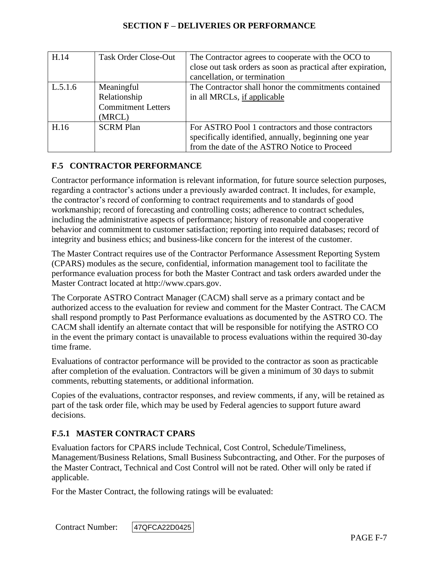| H.14    | <b>Task Order Close-Out</b>                                       | The Contractor agrees to cooperate with the OCO to<br>close out task orders as soon as practical after expiration,<br>cancellation, or termination          |
|---------|-------------------------------------------------------------------|-------------------------------------------------------------------------------------------------------------------------------------------------------------|
| L.5.1.6 | Meaningful<br>Relationship<br><b>Commitment Letters</b><br>(MRCL) | The Contractor shall honor the commitments contained<br>in all MRCLs, if applicable                                                                         |
| H.16    | <b>SCRM Plan</b>                                                  | For ASTRO Pool 1 contractors and those contractors<br>specifically identified, annually, beginning one year<br>from the date of the ASTRO Notice to Proceed |

# **F.5 CONTRACTOR PERFORMANCE**

Contractor performance information is relevant information, for future source selection purposes, regarding a contractor's actions under a previously awarded contract. It includes, for example, the contractor's record of conforming to contract requirements and to standards of good workmanship; record of forecasting and controlling costs; adherence to contract schedules, including the administrative aspects of performance; history of reasonable and cooperative behavior and commitment to customer satisfaction; reporting into required databases; record of integrity and business ethics; and business-like concern for the interest of the customer.

The Master Contract requires use of the Contractor Performance Assessment Reporting System (CPARS) modules as the secure, confidential, information management tool to facilitate the performance evaluation process for both the Master Contract and task orders awarded under the Master Contract located at http://www.cpars.gov.

The Corporate ASTRO Contract Manager (CACM) shall serve as a primary contact and be authorized access to the evaluation for review and comment for the Master Contract. The CACM shall respond promptly to Past Performance evaluations as documented by the ASTRO CO. The CACM shall identify an alternate contact that will be responsible for notifying the ASTRO CO in the event the primary contact is unavailable to process evaluations within the required 30-day time frame.

Evaluations of contractor performance will be provided to the contractor as soon as practicable after completion of the evaluation. Contractors will be given a minimum of 30 days to submit comments, rebutting statements, or additional information.

Copies of the evaluations, contractor responses, and review comments, if any, will be retained as part of the task order file, which may be used by Federal agencies to support future award decisions.

#### **F.5.1 MASTER CONTRACT CPARS**

Evaluation factors for CPARS include Technical, Cost Control, Schedule/Timeliness, Management/Business Relations, Small Business Subcontracting, and Other. For the purposes of the Master Contract, Technical and Cost Control will not be rated. Other will only be rated if applicable.

For the Master Contract, the following ratings will be evaluated: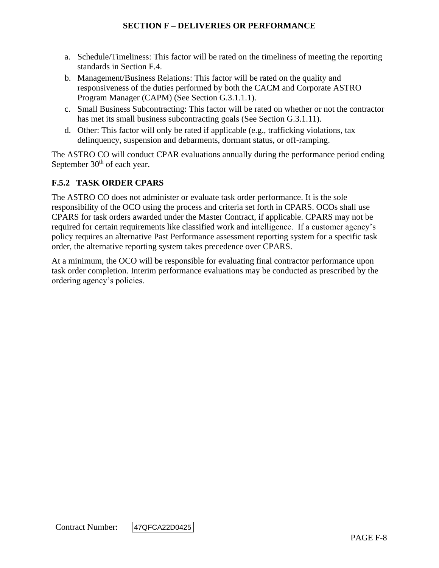- a. Schedule/Timeliness: This factor will be rated on the timeliness of meeting the reporting standards in Section F.4.
- b. Management/Business Relations: This factor will be rated on the quality and responsiveness of the duties performed by both the CACM and Corporate ASTRO Program Manager (CAPM) (See Section G.3.1.1.1).
- c. Small Business Subcontracting: This factor will be rated on whether or not the contractor has met its small business subcontracting goals (See Section G.3.1.11).
- d. Other: This factor will only be rated if applicable (e.g., trafficking violations, tax delinquency, suspension and debarments, dormant status, or off-ramping.

The ASTRO CO will conduct CPAR evaluations annually during the performance period ending September  $30<sup>th</sup>$  of each year.

# **F.5.2 TASK ORDER CPARS**

The ASTRO CO does not administer or evaluate task order performance. It is the sole responsibility of the OCO using the process and criteria set forth in CPARS. OCOs shall use CPARS for task orders awarded under the Master Contract, if applicable. CPARS may not be required for certain requirements like classified work and intelligence. If a customer agency's policy requires an alternative Past Performance assessment reporting system for a specific task order, the alternative reporting system takes precedence over CPARS.

At a minimum, the OCO will be responsible for evaluating final contractor performance upon task order completion. Interim performance evaluations may be conducted as prescribed by the ordering agency's policies.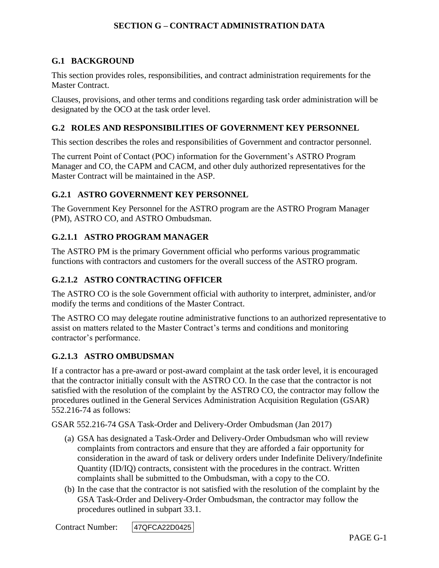#### **G.1 BACKGROUND**

This section provides roles, responsibilities, and contract administration requirements for the Master Contract.

Clauses, provisions, and other terms and conditions regarding task order administration will be designated by the OCO at the task order level.

#### **G.2 ROLES AND RESPONSIBILITIES OF GOVERNMENT KEY PERSONNEL**

This section describes the roles and responsibilities of Government and contractor personnel.

The current Point of Contact (POC) information for the Government's ASTRO Program Manager and CO, the CAPM and CACM, and other duly authorized representatives for the Master Contract will be maintained in the ASP.

#### **G.2.1 ASTRO GOVERNMENT KEY PERSONNEL**

The Government Key Personnel for the ASTRO program are the ASTRO Program Manager (PM), ASTRO CO, and ASTRO Ombudsman.

#### **G.2.1.1 ASTRO PROGRAM MANAGER**

The ASTRO PM is the primary Government official who performs various programmatic functions with contractors and customers for the overall success of the ASTRO program.

#### **G.2.1.2 ASTRO CONTRACTING OFFICER**

The ASTRO CO is the sole Government official with authority to interpret, administer, and/or modify the terms and conditions of the Master Contract.

The ASTRO CO may delegate routine administrative functions to an authorized representative to assist on matters related to the Master Contract's terms and conditions and monitoring contractor's performance.

#### **G.2.1.3 ASTRO OMBUDSMAN**

If a contractor has a pre-award or post-award complaint at the task order level, it is encouraged that the contractor initially consult with the ASTRO CO. In the case that the contractor is not satisfied with the resolution of the complaint by the ASTRO CO, the contractor may follow the procedures outlined in the General Services Administration Acquisition Regulation (GSAR) 552.216-74 as follows:

GSAR 552.216-74 GSA Task-Order and Delivery-Order Ombudsman (Jan 2017)

- (a) GSA has designated a Task-Order and Delivery-Order Ombudsman who will review complaints from contractors and ensure that they are afforded a fair opportunity for consideration in the award of task or delivery orders under Indefinite Delivery/Indefinite Quantity (ID/IQ) contracts, consistent with the procedures in the contract. Written complaints shall be submitted to the Ombudsman, with a copy to the CO.
- (b) In the case that the contractor is not satisfied with the resolution of the complaint by the GSA Task-Order and Delivery-Order Ombudsman, the contractor may follow the procedures outlined in subpart 33.1.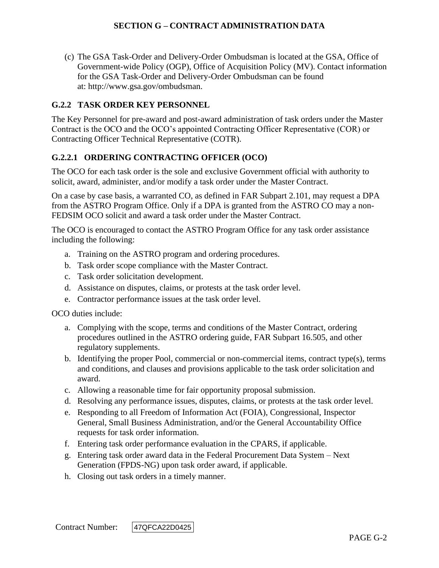(c) The GSA Task-Order and Delivery-Order Ombudsman is located at the GSA, Office of Government-wide Policy (OGP), Office of Acquisition Policy (MV). Contact information for the GSA Task-Order and Delivery-Order Ombudsman can be found at: http://www.gsa.gov/ombudsman.

# **G.2.2 TASK ORDER KEY PERSONNEL**

The Key Personnel for pre-award and post-award administration of task orders under the Master Contract is the OCO and the OCO's appointed Contracting Officer Representative (COR) or Contracting Officer Technical Representative (COTR).

# **G.2.2.1 ORDERING CONTRACTING OFFICER (OCO)**

The OCO for each task order is the sole and exclusive Government official with authority to solicit, award, administer, and/or modify a task order under the Master Contract.

On a case by case basis, a warranted CO, as defined in FAR Subpart 2.101, may request a DPA from the ASTRO Program Office. Only if a DPA is granted from the ASTRO CO may a non-FEDSIM OCO solicit and award a task order under the Master Contract.

The OCO is encouraged to contact the ASTRO Program Office for any task order assistance including the following:

- a. Training on the ASTRO program and ordering procedures.
- b. Task order scope compliance with the Master Contract.
- c. Task order solicitation development.
- d. Assistance on disputes, claims, or protests at the task order level.
- e. Contractor performance issues at the task order level.

OCO duties include:

- a. Complying with the scope, terms and conditions of the Master Contract, ordering procedures outlined in the ASTRO ordering guide, FAR Subpart 16.505, and other regulatory supplements.
- b. Identifying the proper Pool, commercial or non-commercial items, contract type(s), terms and conditions, and clauses and provisions applicable to the task order solicitation and award.
- c. Allowing a reasonable time for fair opportunity proposal submission.
- d. Resolving any performance issues, disputes, claims, or protests at the task order level.
- e. Responding to all Freedom of Information Act (FOIA), Congressional, Inspector General, Small Business Administration, and/or the General Accountability Office requests for task order information.
- f. Entering task order performance evaluation in the CPARS, if applicable.
- g. Entering task order award data in the Federal Procurement Data System Next Generation (FPDS-NG) upon task order award, if applicable.
- h. Closing out task orders in a timely manner.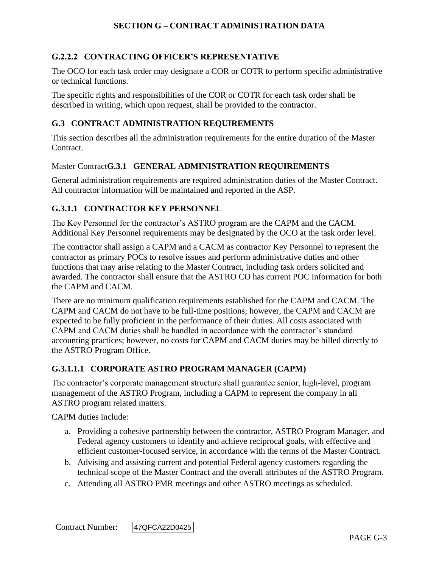# **G.2.2.2 CONTRACTING OFFICER'S REPRESENTATIVE**

The OCO for each task order may designate a COR or COTR to perform specific administrative or technical functions.

The specific rights and responsibilities of the COR or COTR for each task order shall be described in writing, which upon request, shall be provided to the contractor.

#### **G.3 CONTRACT ADMINISTRATION REQUIREMENTS**

This section describes all the administration requirements for the entire duration of the Master Contract.

#### Master Contract**G.3.1 GENERAL ADMINISTRATION REQUIREMENTS**

General administration requirements are required administration duties of the Master Contract. All contractor information will be maintained and reported in the ASP.

#### **G.3.1.1 CONTRACTOR KEY PERSONNEL**

The Key Personnel for the contractor's ASTRO program are the CAPM and the CACM. Additional Key Personnel requirements may be designated by the OCO at the task order level.

The contractor shall assign a CAPM and a CACM as contractor Key Personnel to represent the contractor as primary POCs to resolve issues and perform administrative duties and other functions that may arise relating to the Master Contract, including task orders solicited and awarded. The contractor shall ensure that the ASTRO CO has current POC information for both the CAPM and CACM.

There are no minimum qualification requirements established for the CAPM and CACM. The CAPM and CACM do not have to be full-time positions; however, the CAPM and CACM are expected to be fully proficient in the performance of their duties. All costs associated with CAPM and CACM duties shall be handled in accordance with the contractor's standard accounting practices; however, no costs for CAPM and CACM duties may be billed directly to the ASTRO Program Office.

#### **G.3.1.1.1 CORPORATE ASTRO PROGRAM MANAGER (CAPM)**

The contractor's corporate management structure shall guarantee senior, high-level, program management of the ASTRO Program, including a CAPM to represent the company in all ASTRO program related matters.

CAPM duties include:

- a. Providing a cohesive partnership between the contractor, ASTRO Program Manager, and Federal agency customers to identify and achieve reciprocal goals, with effective and efficient customer-focused service, in accordance with the terms of the Master Contract.
- b. Advising and assisting current and potential Federal agency customers regarding the technical scope of the Master Contract and the overall attributes of the ASTRO Program.
- c. Attending all ASTRO PMR meetings and other ASTRO meetings as scheduled.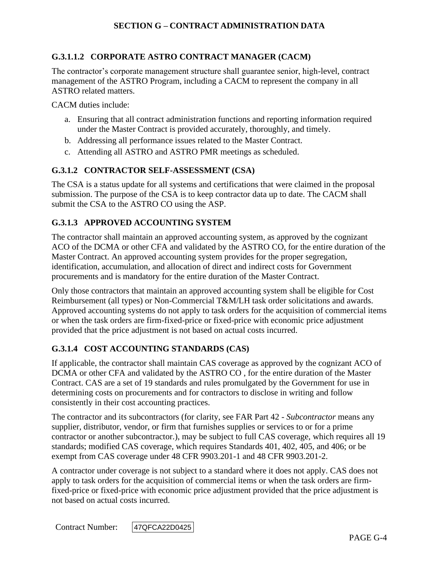# **G.3.1.1.2 CORPORATE ASTRO CONTRACT MANAGER (CACM)**

The contractor's corporate management structure shall guarantee senior, high-level, contract management of the ASTRO Program, including a CACM to represent the company in all ASTRO related matters.

CACM duties include:

- a. Ensuring that all contract administration functions and reporting information required under the Master Contract is provided accurately, thoroughly, and timely.
- b. Addressing all performance issues related to the Master Contract.
- c. Attending all ASTRO and ASTRO PMR meetings as scheduled.

#### **G.3.1.2 CONTRACTOR SELF-ASSESSMENT (CSA)**

The CSA is a status update for all systems and certifications that were claimed in the proposal submission. The purpose of the CSA is to keep contractor data up to date. The CACM shall submit the CSA to the ASTRO CO using the ASP.

#### **G.3.1.3 APPROVED ACCOUNTING SYSTEM**

The contractor shall maintain an approved accounting system, as approved by the cognizant ACO of the DCMA or other CFA and validated by the ASTRO CO, for the entire duration of the Master Contract. An approved accounting system provides for the proper segregation, identification, accumulation, and allocation of direct and indirect costs for Government procurements and is mandatory for the entire duration of the Master Contract.

Only those contractors that maintain an approved accounting system shall be eligible for Cost Reimbursement (all types) or Non-Commercial T&M/LH task order solicitations and awards. Approved accounting systems do not apply to task orders for the acquisition of commercial items or when the task orders are firm-fixed-price or fixed-price with economic price adjustment provided that the price adjustment is not based on actual costs incurred.

#### **G.3.1.4 COST ACCOUNTING STANDARDS (CAS)**

If applicable, the contractor shall maintain CAS coverage as approved by the cognizant ACO of DCMA or other CFA and validated by the ASTRO CO , for the entire duration of the Master Contract. CAS are a set of 19 standards and rules promulgated by the Government for use in determining costs on procurements and for contractors to disclose in writing and follow consistently in their cost accounting practices.

The contractor and its subcontractors (for clarity, see FAR Part 42 - *Subcontractor* means any supplier, distributor, vendor, or firm that furnishes supplies or services to or for a prime contractor or another subcontractor.), may be subject to full CAS coverage, which requires all 19 standards; modified CAS coverage, which requires Standards 401, 402, 405, and 406; or be exempt from CAS coverage under 48 CFR 9903.201-1 and 48 CFR 9903.201-2.

A contractor under coverage is not subject to a standard where it does not apply. CAS does not apply to task orders for the acquisition of commercial items or when the task orders are firmfixed-price or fixed-price with economic price adjustment provided that the price adjustment is not based on actual costs incurred.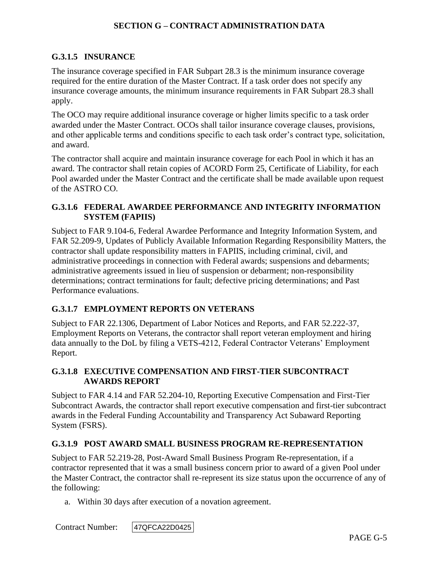### **G.3.1.5 INSURANCE**

The insurance coverage specified in FAR Subpart 28.3 is the minimum insurance coverage required for the entire duration of the Master Contract. If a task order does not specify any insurance coverage amounts, the minimum insurance requirements in FAR Subpart 28.3 shall apply.

The OCO may require additional insurance coverage or higher limits specific to a task order awarded under the Master Contract. OCOs shall tailor insurance coverage clauses, provisions, and other applicable terms and conditions specific to each task order's contract type, solicitation, and award.

The contractor shall acquire and maintain insurance coverage for each Pool in which it has an award. The contractor shall retain copies of ACORD Form 25, Certificate of Liability, for each Pool awarded under the Master Contract and the certificate shall be made available upon request of the ASTRO CO.

## **G.3.1.6 FEDERAL AWARDEE PERFORMANCE AND INTEGRITY INFORMATION SYSTEM (FAPIIS)**

Subject to FAR 9.104-6, Federal Awardee Performance and Integrity Information System, and FAR 52.209-9, Updates of Publicly Available Information Regarding Responsibility Matters, the contractor shall update responsibility matters in FAPIIS, including criminal, civil, and administrative proceedings in connection with Federal awards; suspensions and debarments; administrative agreements issued in lieu of suspension or debarment; non-responsibility determinations; contract terminations for fault; defective pricing determinations; and Past Performance evaluations.

## **G.3.1.7 EMPLOYMENT REPORTS ON VETERANS**

Subject to FAR 22.1306, Department of Labor Notices and Reports, and FAR 52.222-37, Employment Reports on Veterans, the contractor shall report veteran employment and hiring data annually to the DoL by filing a VETS-4212, Federal Contractor Veterans' Employment Report.

### **G.3.1.8 EXECUTIVE COMPENSATION AND FIRST-TIER SUBCONTRACT AWARDS REPORT**

Subject to FAR 4.14 and FAR 52.204-10, Reporting Executive Compensation and First-Tier Subcontract Awards, the contractor shall report executive compensation and first-tier subcontract awards in the Federal Funding Accountability and Transparency Act Subaward Reporting System (FSRS).

#### **G.3.1.9 POST AWARD SMALL BUSINESS PROGRAM RE-REPRESENTATION**

Subject to FAR 52.219-28, Post-Award Small Business Program Re-representation, if a contractor represented that it was a small business concern prior to award of a given Pool under the Master Contract, the contractor shall re-represent its size status upon the occurrence of any of the following:

a. Within 30 days after execution of a novation agreement.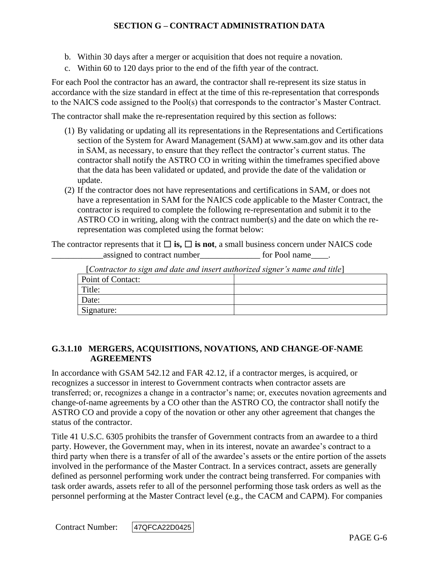- b. Within 30 days after a merger or acquisition that does not require a novation.
- c. Within 60 to 120 days prior to the end of the fifth year of the contract.

For each Pool the contractor has an award, the contractor shall re-represent its size status in accordance with the size standard in effect at the time of this re-representation that corresponds to the NAICS code assigned to the Pool(s) that corresponds to the contractor's Master Contract.

The contractor shall make the re-representation required by this section as follows:

- (1) By validating or updating all its representations in the Representations and Certifications section of the System for Award Management (SAM) at www.sam.gov and its other data in SAM, as necessary, to ensure that they reflect the contractor's current status. The contractor shall notify the ASTRO CO in writing within the timeframes specified above that the data has been validated or updated, and provide the date of the validation or update.
- (2) If the contractor does not have representations and certifications in SAM, or does not have a representation in SAM for the NAICS code applicable to the Master Contract, the contractor is required to complete the following re-representation and submit it to the ASTRO CO in writing, along with the contract number(s) and the date on which the rerepresentation was completed using the format below:

The contractor represents that it  $\Box$  **is,**  $\Box$  **is not**, a small business concern under NAICS code assigned to contract number<br>
<u>equals</u> for Pool name

| $\mathcal{L}$ contractor to sign and date and insert dumorized signer is name and three |  |  |
|-----------------------------------------------------------------------------------------|--|--|
| <b>Point of Contact:</b>                                                                |  |  |
| Title:                                                                                  |  |  |
| Date:                                                                                   |  |  |
| Signature:                                                                              |  |  |

[*Contractor to sign and date and insert authorized signer's name and title*]

### **G.3.1.10 MERGERS, ACQUISITIONS, NOVATIONS, AND CHANGE-OF-NAME AGREEMENTS**

In accordance with GSAM 542.12 and FAR 42.12, if a contractor merges, is acquired, or recognizes a successor in interest to Government contracts when contractor assets are transferred; or, recognizes a change in a contractor's name; or, executes novation agreements and change-of-name agreements by a CO other than the ASTRO CO, the contractor shall notify the ASTRO CO and provide a copy of the novation or other any other agreement that changes the status of the contractor.

Title 41 U.S.C. 6305 prohibits the transfer of Government contracts from an awardee to a third party. However, the Government may, when in its interest, novate an awardee's contract to a third party when there is a transfer of all of the awardee's assets or the entire portion of the assets involved in the performance of the Master Contract. In a services contract, assets are generally defined as personnel performing work under the contract being transferred. For companies with task order awards, assets refer to all of the personnel performing those task orders as well as the personnel performing at the Master Contract level (e.g., the CACM and CAPM). For companies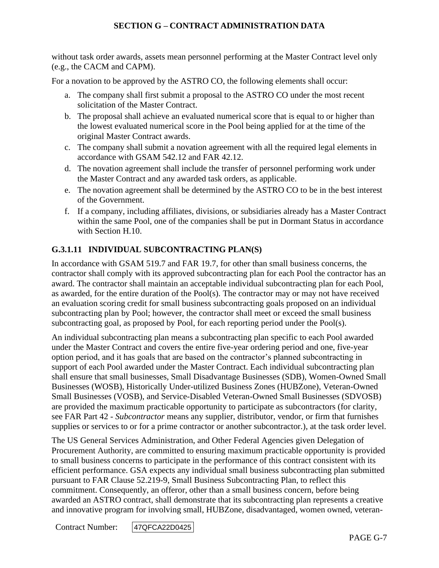without task order awards, assets mean personnel performing at the Master Contract level only (e.g., the CACM and CAPM).

For a novation to be approved by the ASTRO CO, the following elements shall occur:

- a. The company shall first submit a proposal to the ASTRO CO under the most recent solicitation of the Master Contract.
- b. The proposal shall achieve an evaluated numerical score that is equal to or higher than the lowest evaluated numerical score in the Pool being applied for at the time of the original Master Contract awards.
- c. The company shall submit a novation agreement with all the required legal elements in accordance with GSAM 542.12 and FAR 42.12.
- d. The novation agreement shall include the transfer of personnel performing work under the Master Contract and any awarded task orders, as applicable.
- e. The novation agreement shall be determined by the ASTRO CO to be in the best interest of the Government.
- f. If a company, including affiliates, divisions, or subsidiaries already has a Master Contract within the same Pool, one of the companies shall be put in Dormant Status in accordance with Section H.10.

## **G.3.1.11 INDIVIDUAL SUBCONTRACTING PLAN(S)**

In accordance with GSAM 519.7 and FAR 19.7, for other than small business concerns, the contractor shall comply with its approved subcontracting plan for each Pool the contractor has an award. The contractor shall maintain an acceptable individual subcontracting plan for each Pool, as awarded, for the entire duration of the Pool(s). The contractor may or may not have received an evaluation scoring credit for small business subcontracting goals proposed on an individual subcontracting plan by Pool; however, the contractor shall meet or exceed the small business subcontracting goal, as proposed by Pool, for each reporting period under the Pool(s).

An individual subcontracting plan means a subcontracting plan specific to each Pool awarded under the Master Contract and covers the entire five-year ordering period and one, five-year option period, and it has goals that are based on the contractor's planned subcontracting in support of each Pool awarded under the Master Contract. Each individual subcontracting plan shall ensure that small businesses, Small Disadvantage Businesses (SDB), Women-Owned Small Businesses (WOSB), Historically Under-utilized Business Zones (HUBZone), Veteran-Owned Small Businesses (VOSB), and Service-Disabled Veteran-Owned Small Businesses (SDVOSB) are provided the maximum practicable opportunity to participate as subcontractors (for clarity, see FAR Part 42 - *Subcontractor* means any supplier, distributor, vendor, or firm that furnishes supplies or services to or for a prime contractor or another subcontractor.), at the task order level.

The US General Services Administration, and Other Federal Agencies given Delegation of Procurement Authority, are committed to ensuring maximum practicable opportunity is provided to small business concerns to participate in the performance of this contract consistent with its efficient performance. GSA expects any individual small business subcontracting plan submitted pursuant to FAR Clause 52.219-9, Small Business Subcontracting Plan, to reflect this commitment. Consequently, an offeror, other than a small business concern, before being awarded an ASTRO contract, shall demonstrate that its subcontracting plan represents a creative and innovative program for involving small, HUBZone, disadvantaged, women owned, veteran-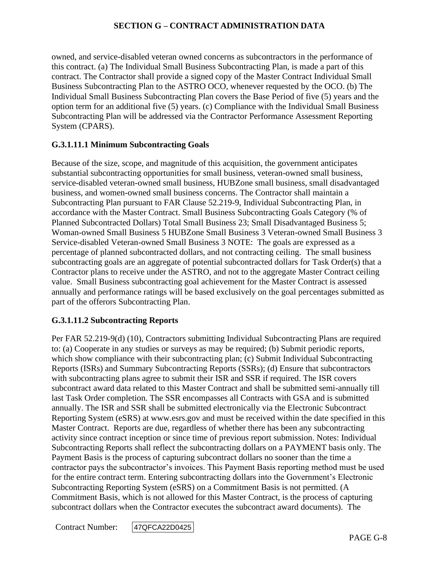owned, and service-disabled veteran owned concerns as subcontractors in the performance of this contract. (a) The Individual Small Business Subcontracting Plan, is made a part of this contract. The Contractor shall provide a signed copy of the Master Contract Individual Small Business Subcontracting Plan to the ASTRO OCO, whenever requested by the OCO. (b) The Individual Small Business Subcontracting Plan covers the Base Period of five (5) years and the option term for an additional five (5) years. (c) Compliance with the Individual Small Business Subcontracting Plan will be addressed via the Contractor Performance Assessment Reporting System (CPARS).

## **G.3.1.11.1 Minimum Subcontracting Goals**

Because of the size, scope, and magnitude of this acquisition, the government anticipates substantial subcontracting opportunities for small business, veteran-owned small business, service-disabled veteran-owned small business, HUBZone small business, small disadvantaged business, and women-owned small business concerns. The Contractor shall maintain a Subcontracting Plan pursuant to FAR Clause 52.219-9, Individual Subcontracting Plan, in accordance with the Master Contract. Small Business Subcontracting Goals Category (% of Planned Subcontracted Dollars) Total Small Business 23; Small Disadvantaged Business 5; Woman-owned Small Business 5 HUBZone Small Business 3 Veteran-owned Small Business 3 Service-disabled Veteran-owned Small Business 3 NOTE: The goals are expressed as a percentage of planned subcontracted dollars, and not contracting ceiling. The small business subcontracting goals are an aggregate of potential subcontracted dollars for Task Order(s) that a Contractor plans to receive under the ASTRO, and not to the aggregate Master Contract ceiling value. Small Business subcontracting goal achievement for the Master Contract is assessed annually and performance ratings will be based exclusively on the goal percentages submitted as part of the offerors Subcontracting Plan.

#### **G.3.1.11.2 Subcontracting Reports**

Per FAR 52.219-9(d) (10), Contractors submitting Individual Subcontracting Plans are required to: (a) Cooperate in any studies or surveys as may be required; (b) Submit periodic reports, which show compliance with their subcontracting plan; (c) Submit Individual Subcontracting Reports (ISRs) and Summary Subcontracting Reports (SSRs); (d) Ensure that subcontractors with subcontracting plans agree to submit their ISR and SSR if required. The ISR covers subcontract award data related to this Master Contract and shall be submitted semi-annually till last Task Order completion. The SSR encompasses all Contracts with GSA and is submitted annually. The ISR and SSR shall be submitted electronically via the Electronic Subcontract Reporting System (eSRS) at www.esrs.gov and must be received within the date specified in this Master Contract. Reports are due, regardless of whether there has been any subcontracting activity since contract inception or since time of previous report submission. Notes: Individual Subcontracting Reports shall reflect the subcontracting dollars on a PAYMENT basis only. The Payment Basis is the process of capturing subcontract dollars no sooner than the time a contractor pays the subcontractor's invoices. This Payment Basis reporting method must be used for the entire contract term. Entering subcontracting dollars into the Government's Electronic Subcontracting Reporting System (eSRS) on a Commitment Basis is not permitted. (A Commitment Basis, which is not allowed for this Master Contract, is the process of capturing subcontract dollars when the Contractor executes the subcontract award documents). The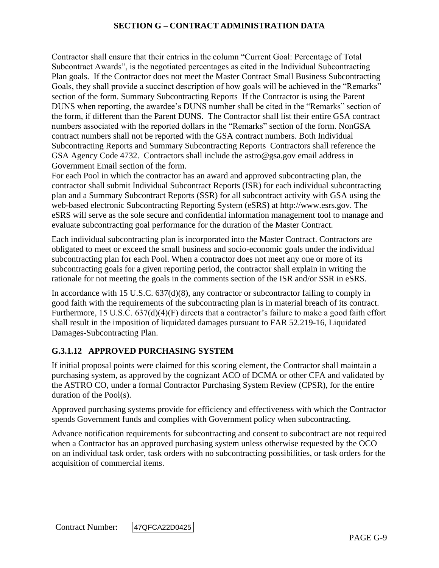Contractor shall ensure that their entries in the column "Current Goal: Percentage of Total Subcontract Awards", is the negotiated percentages as cited in the Individual Subcontracting Plan goals. If the Contractor does not meet the Master Contract Small Business Subcontracting Goals, they shall provide a succinct description of how goals will be achieved in the "Remarks" section of the form. Summary Subcontracting Reports If the Contractor is using the Parent DUNS when reporting, the awardee's DUNS number shall be cited in the "Remarks" section of the form, if different than the Parent DUNS. The Contractor shall list their entire GSA contract numbers associated with the reported dollars in the "Remarks" section of the form. NonGSA contract numbers shall not be reported with the GSA contract numbers. Both Individual Subcontracting Reports and Summary Subcontracting Reports Contractors shall reference the GSA Agency Code 4732. Contractors shall include the astro@gsa.gov email address in Government Email section of the form.

For each Pool in which the contractor has an award and approved subcontracting plan, the contractor shall submit Individual Subcontract Reports (ISR) for each individual subcontracting plan and a Summary Subcontract Reports (SSR) for all subcontract activity with GSA using the web-based electronic Subcontracting Reporting System (eSRS) at http://www.esrs.gov*.* The eSRS will serve as the sole secure and confidential information management tool to manage and evaluate subcontracting goal performance for the duration of the Master Contract.

Each individual subcontracting plan is incorporated into the Master Contract. Contractors are obligated to meet or exceed the small business and socio-economic goals under the individual subcontracting plan for each Pool. When a contractor does not meet any one or more of its subcontracting goals for a given reporting period, the contractor shall explain in writing the rationale for not meeting the goals in the comments section of the ISR and/or SSR in eSRS.

In accordance with 15 U.S.C. 637(d)(8), any contractor or subcontractor failing to comply in good faith with the requirements of the subcontracting plan is in material breach of its contract. Furthermore, 15 U.S.C. 637(d)(4)(F) directs that a contractor's failure to make a good faith effort shall result in the imposition of liquidated damages pursuant to FAR 52.219-16, Liquidated Damages-Subcontracting Plan.

## **G.3.1.12 APPROVED PURCHASING SYSTEM**

If initial proposal points were claimed for this scoring element, the Contractor shall maintain a purchasing system, as approved by the cognizant ACO of DCMA or other CFA and validated by the ASTRO CO, under a formal Contractor Purchasing System Review (CPSR), for the entire duration of the Pool(s).

Approved purchasing systems provide for efficiency and effectiveness with which the Contractor spends Government funds and complies with Government policy when subcontracting.

Advance notification requirements for subcontracting and consent to subcontract are not required when a Contractor has an approved purchasing system unless otherwise requested by the OCO on an individual task order, task orders with no subcontracting possibilities, or task orders for the acquisition of commercial items.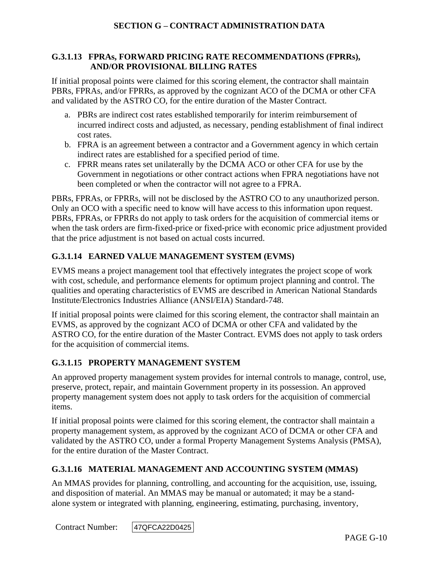### **G.3.1.13 FPRAs, FORWARD PRICING RATE RECOMMENDATIONS (FPRRs), AND/OR PROVISIONAL BILLING RATES**

If initial proposal points were claimed for this scoring element, the contractor shall maintain PBRs, FPRAs, and/or FPRRs, as approved by the cognizant ACO of the DCMA or other CFA and validated by the ASTRO CO, for the entire duration of the Master Contract.

- a. PBRs are indirect cost rates established temporarily for interim reimbursement of incurred indirect costs and adjusted, as necessary, pending establishment of final indirect cost rates.
- b. FPRA is an agreement between a contractor and a Government agency in which certain indirect rates are established for a specified period of time.
- c. FPRR means rates set unilaterally by the DCMA ACO or other CFA for use by the Government in negotiations or other contract actions when FPRA negotiations have not been completed or when the contractor will not agree to a FPRA.

PBRs, FPRAs, or FPRRs, will not be disclosed by the ASTRO CO to any unauthorized person. Only an OCO with a specific need to know will have access to this information upon request. PBRs, FPRAs, or FPRRs do not apply to task orders for the acquisition of commercial items or when the task orders are firm-fixed-price or fixed-price with economic price adjustment provided that the price adjustment is not based on actual costs incurred.

# **G.3.1.14 EARNED VALUE MANAGEMENT SYSTEM (EVMS)**

EVMS means a project management tool that effectively integrates the project scope of work with cost, schedule, and performance elements for optimum project planning and control. The qualities and operating characteristics of EVMS are described in American National Standards Institute/Electronics Industries Alliance (ANSI/EIA) Standard-748.

If initial proposal points were claimed for this scoring element, the contractor shall maintain an EVMS, as approved by the cognizant ACO of DCMA or other CFA and validated by the ASTRO CO, for the entire duration of the Master Contract. EVMS does not apply to task orders for the acquisition of commercial items.

# **G.3.1.15 PROPERTY MANAGEMENT SYSTEM**

An approved property management system provides for internal controls to manage, control, use, preserve, protect, repair, and maintain Government property in its possession. An approved property management system does not apply to task orders for the acquisition of commercial items.

If initial proposal points were claimed for this scoring element, the contractor shall maintain a property management system, as approved by the cognizant ACO of DCMA or other CFA and validated by the ASTRO CO, under a formal Property Management Systems Analysis (PMSA), for the entire duration of the Master Contract.

# **G.3.1.16 MATERIAL MANAGEMENT AND ACCOUNTING SYSTEM (MMAS)**

An MMAS provides for planning, controlling, and accounting for the acquisition, use, issuing, and disposition of material. An MMAS may be manual or automated; it may be a standalone system or integrated with planning, engineering, estimating, purchasing, inventory,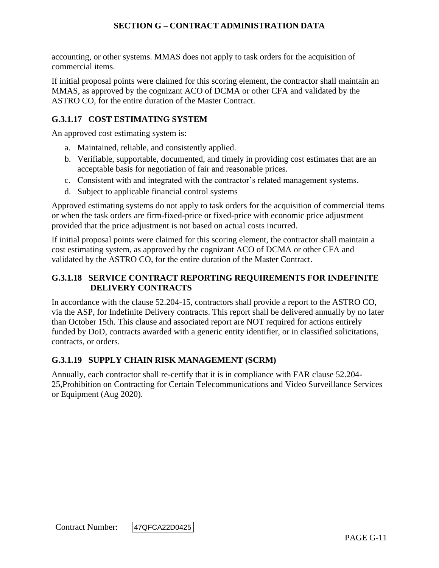accounting, or other systems. MMAS does not apply to task orders for the acquisition of commercial items.

If initial proposal points were claimed for this scoring element, the contractor shall maintain an MMAS, as approved by the cognizant ACO of DCMA or other CFA and validated by the ASTRO CO, for the entire duration of the Master Contract.

## **G.3.1.17 COST ESTIMATING SYSTEM**

An approved cost estimating system is:

- a. Maintained, reliable, and consistently applied.
- b. Verifiable, supportable, documented, and timely in providing cost estimates that are an acceptable basis for negotiation of fair and reasonable prices.
- c. Consistent with and integrated with the contractor's related management systems.
- d. Subject to applicable financial control systems

Approved estimating systems do not apply to task orders for the acquisition of commercial items or when the task orders are firm-fixed-price or fixed-price with economic price adjustment provided that the price adjustment is not based on actual costs incurred.

If initial proposal points were claimed for this scoring element, the contractor shall maintain a cost estimating system, as approved by the cognizant ACO of DCMA or other CFA and validated by the ASTRO CO, for the entire duration of the Master Contract.

## **G.3.1.18 SERVICE CONTRACT REPORTING REQUIREMENTS FOR INDEFINITE DELIVERY CONTRACTS**

In accordance with the clause 52.204-15, contractors shall provide a report to the ASTRO CO, via the ASP, for Indefinite Delivery contracts. This report shall be delivered annually by no later than October 15th. This clause and associated report are NOT required for actions entirely funded by DoD, contracts awarded with a generic entity identifier, or in classified solicitations, contracts, or orders.

## **G.3.1.19 SUPPLY CHAIN RISK MANAGEMENT (SCRM)**

Annually, each contractor shall re-certify that it is in compliance with FAR clause 52.204- 25,Prohibition on Contracting for Certain Telecommunications and Video Surveillance Services or Equipment (Aug 2020).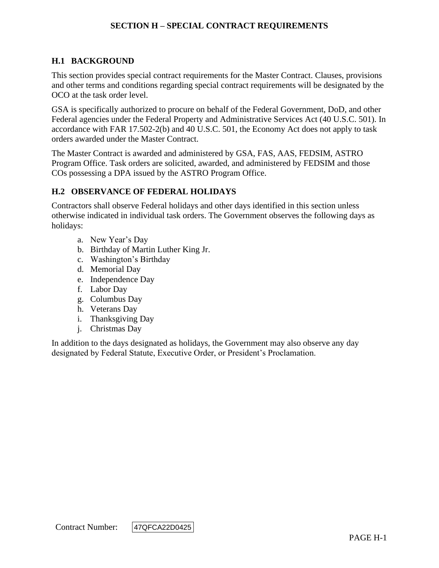## **H.1 BACKGROUND**

This section provides special contract requirements for the Master Contract. Clauses, provisions and other terms and conditions regarding special contract requirements will be designated by the OCO at the task order level.

GSA is specifically authorized to procure on behalf of the Federal Government, DoD, and other Federal agencies under the Federal Property and Administrative Services Act (40 U.S.C. 501). In accordance with FAR 17.502-2(b) and 40 U.S.C. 501, the Economy Act does not apply to task orders awarded under the Master Contract.

The Master Contract is awarded and administered by GSA, FAS, AAS, FEDSIM, ASTRO Program Office. Task orders are solicited, awarded, and administered by FEDSIM and those COs possessing a DPA issued by the ASTRO Program Office.

#### **H.2 OBSERVANCE OF FEDERAL HOLIDAYS**

Contractors shall observe Federal holidays and other days identified in this section unless otherwise indicated in individual task orders. The Government observes the following days as holidays:

- a. New Year's Day
- b. Birthday of Martin Luther King Jr.
- c. Washington's Birthday
- d. Memorial Day
- e. Independence Day
- f. Labor Day
- g. Columbus Day
- h. Veterans Day
- i. Thanksgiving Day
- j. Christmas Day

In addition to the days designated as holidays, the Government may also observe any day designated by Federal Statute, Executive Order, or President's Proclamation.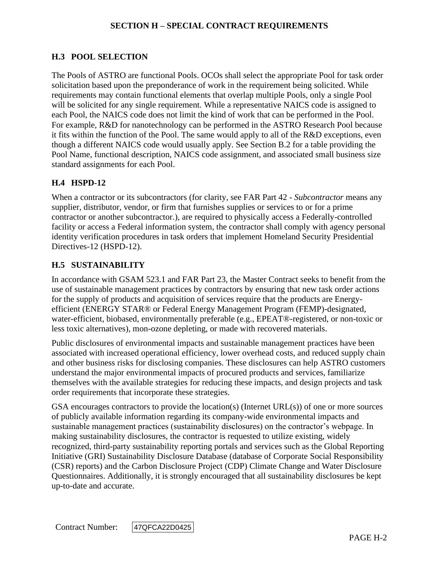## **H.3 POOL SELECTION**

The Pools of ASTRO are functional Pools. OCOs shall select the appropriate Pool for task order solicitation based upon the preponderance of work in the requirement being solicited. While requirements may contain functional elements that overlap multiple Pools, only a single Pool will be solicited for any single requirement. While a representative NAICS code is assigned to each Pool, the NAICS code does not limit the kind of work that can be performed in the Pool. For example, R&D for nanotechnology can be performed in the ASTRO Research Pool because it fits within the function of the Pool. The same would apply to all of the R&D exceptions, even though a different NAICS code would usually apply. See Section B.2 for a table providing the Pool Name, functional description, NAICS code assignment, and associated small business size standard assignments for each Pool.

### **H.4 HSPD-12**

When a contractor or its subcontractors (for clarity, see FAR Part 42 - *Subcontractor* means any supplier, distributor, vendor, or firm that furnishes supplies or services to or for a prime contractor or another subcontractor.), are required to physically access a Federally-controlled facility or access a Federal information system, the contractor shall comply with agency personal identity verification procedures in task orders that implement Homeland Security Presidential Directives-12 (HSPD-12).

### **H.5 SUSTAINABILITY**

In accordance with GSAM 523.1 and FAR Part 23, the Master Contract seeks to benefit from the use of sustainable management practices by contractors by ensuring that new task order actions for the supply of products and acquisition of services require that the products are Energyefficient (ENERGY STAR® or Federal Energy Management Program (FEMP)-designated, water-efficient, biobased, environmentally preferable (e.g., EPEAT®-registered, or non-toxic or less toxic alternatives), mon-ozone depleting, or made with recovered materials.

Public disclosures of environmental impacts and sustainable management practices have been associated with increased operational efficiency, lower overhead costs, and reduced supply chain and other business risks for disclosing companies. These disclosures can help ASTRO customers understand the major environmental impacts of procured products and services, familiarize themselves with the available strategies for reducing these impacts, and design projects and task order requirements that incorporate these strategies.

GSA encourages contractors to provide the location(s) (Internet  $URL(s)$ ) of one or more sources of publicly available information regarding its company-wide environmental impacts and sustainable management practices (sustainability disclosures) on the contractor's webpage. In making sustainability disclosures, the contractor is requested to utilize existing, widely recognized, third-party sustainability reporting portals and services such as the Global Reporting Initiative (GRI) Sustainability Disclosure Database (database of Corporate Social Responsibility (CSR) reports) and the Carbon Disclosure Project (CDP) Climate Change and Water Disclosure Questionnaires. Additionally, it is strongly encouraged that all sustainability disclosures be kept up-to-date and accurate.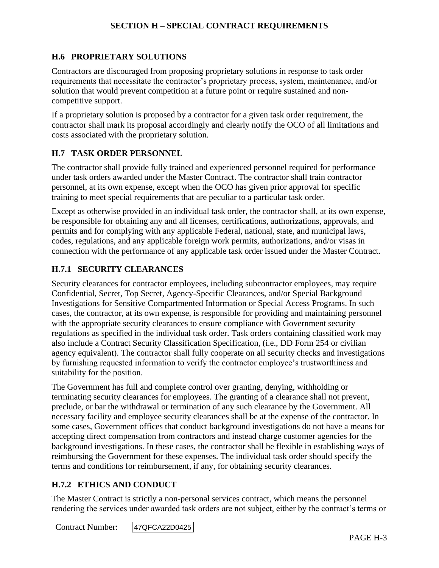### **H.6 PROPRIETARY SOLUTIONS**

Contractors are discouraged from proposing proprietary solutions in response to task order requirements that necessitate the contractor's proprietary process, system, maintenance, and/or solution that would prevent competition at a future point or require sustained and noncompetitive support.

If a proprietary solution is proposed by a contractor for a given task order requirement, the contractor shall mark its proposal accordingly and clearly notify the OCO of all limitations and costs associated with the proprietary solution.

#### **H.7 TASK ORDER PERSONNEL**

The contractor shall provide fully trained and experienced personnel required for performance under task orders awarded under the Master Contract. The contractor shall train contractor personnel, at its own expense, except when the OCO has given prior approval for specific training to meet special requirements that are peculiar to a particular task order.

Except as otherwise provided in an individual task order, the contractor shall, at its own expense, be responsible for obtaining any and all licenses, certifications, authorizations, approvals, and permits and for complying with any applicable Federal, national, state, and municipal laws, codes, regulations, and any applicable foreign work permits, authorizations, and/or visas in connection with the performance of any applicable task order issued under the Master Contract.

#### **H.7.1 SECURITY CLEARANCES**

Security clearances for contractor employees, including subcontractor employees, may require Confidential, Secret, Top Secret, Agency-Specific Clearances, and/or Special Background Investigations for Sensitive Compartmented Information or Special Access Programs. In such cases, the contractor, at its own expense, is responsible for providing and maintaining personnel with the appropriate security clearances to ensure compliance with Government security regulations as specified in the individual task order. Task orders containing classified work may also include a Contract Security Classification Specification, (i.e., DD Form 254 or civilian agency equivalent). The contractor shall fully cooperate on all security checks and investigations by furnishing requested information to verify the contractor employee's trustworthiness and suitability for the position.

The Government has full and complete control over granting, denying, withholding or terminating security clearances for employees. The granting of a clearance shall not prevent, preclude, or bar the withdrawal or termination of any such clearance by the Government. All necessary facility and employee security clearances shall be at the expense of the contractor. In some cases, Government offices that conduct background investigations do not have a means for accepting direct compensation from contractors and instead charge customer agencies for the background investigations. In these cases, the contractor shall be flexible in establishing ways of reimbursing the Government for these expenses. The individual task order should specify the terms and conditions for reimbursement, if any, for obtaining security clearances.

### **H.7.2 ETHICS AND CONDUCT**

The Master Contract is strictly a non-personal services contract, which means the personnel rendering the services under awarded task orders are not subject, either by the contract's terms or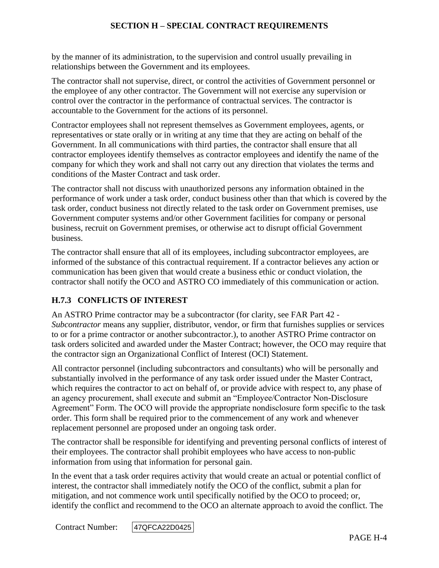by the manner of its administration, to the supervision and control usually prevailing in relationships between the Government and its employees.

The contractor shall not supervise, direct, or control the activities of Government personnel or the employee of any other contractor. The Government will not exercise any supervision or control over the contractor in the performance of contractual services. The contractor is accountable to the Government for the actions of its personnel.

Contractor employees shall not represent themselves as Government employees, agents, or representatives or state orally or in writing at any time that they are acting on behalf of the Government. In all communications with third parties, the contractor shall ensure that all contractor employees identify themselves as contractor employees and identify the name of the company for which they work and shall not carry out any direction that violates the terms and conditions of the Master Contract and task order.

The contractor shall not discuss with unauthorized persons any information obtained in the performance of work under a task order, conduct business other than that which is covered by the task order, conduct business not directly related to the task order on Government premises, use Government computer systems and/or other Government facilities for company or personal business, recruit on Government premises, or otherwise act to disrupt official Government business.

The contractor shall ensure that all of its employees, including subcontractor employees, are informed of the substance of this contractual requirement. If a contractor believes any action or communication has been given that would create a business ethic or conduct violation, the contractor shall notify the OCO and ASTRO CO immediately of this communication or action.

# **H.7.3 CONFLICTS OF INTEREST**

An ASTRO Prime contractor may be a subcontractor (for clarity, see FAR Part 42 - *Subcontractor* means any supplier, distributor, vendor, or firm that furnishes supplies or services to or for a prime contractor or another subcontractor.), to another ASTRO Prime contractor on task orders solicited and awarded under the Master Contract; however, the OCO may require that the contractor sign an Organizational Conflict of Interest (OCI) Statement.

All contractor personnel (including subcontractors and consultants) who will be personally and substantially involved in the performance of any task order issued under the Master Contract, which requires the contractor to act on behalf of, or provide advice with respect to, any phase of an agency procurement, shall execute and submit an "Employee/Contractor Non-Disclosure Agreement" Form. The OCO will provide the appropriate nondisclosure form specific to the task order. This form shall be required prior to the commencement of any work and whenever replacement personnel are proposed under an ongoing task order.

The contractor shall be responsible for identifying and preventing personal conflicts of interest of their employees. The contractor shall prohibit employees who have access to non-public information from using that information for personal gain.

In the event that a task order requires activity that would create an actual or potential conflict of interest, the contractor shall immediately notify the OCO of the conflict, submit a plan for mitigation, and not commence work until specifically notified by the OCO to proceed; or, identify the conflict and recommend to the OCO an alternate approach to avoid the conflict. The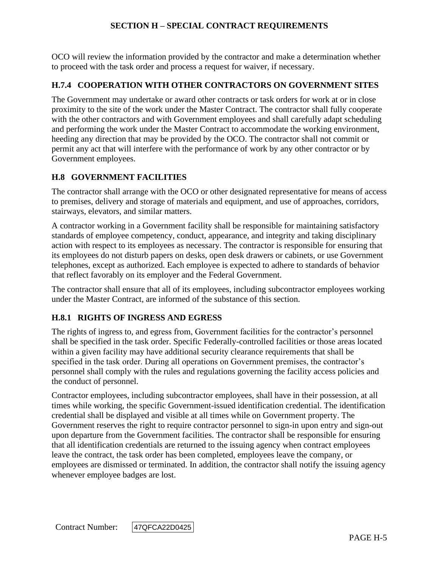OCO will review the information provided by the contractor and make a determination whether to proceed with the task order and process a request for waiver, if necessary.

### **H.7.4 COOPERATION WITH OTHER CONTRACTORS ON GOVERNMENT SITES**

The Government may undertake or award other contracts or task orders for work at or in close proximity to the site of the work under the Master Contract. The contractor shall fully cooperate with the other contractors and with Government employees and shall carefully adapt scheduling and performing the work under the Master Contract to accommodate the working environment, heeding any direction that may be provided by the OCO. The contractor shall not commit or permit any act that will interfere with the performance of work by any other contractor or by Government employees.

## **H.8 GOVERNMENT FACILITIES**

The contractor shall arrange with the OCO or other designated representative for means of access to premises, delivery and storage of materials and equipment, and use of approaches, corridors, stairways, elevators, and similar matters.

A contractor working in a Government facility shall be responsible for maintaining satisfactory standards of employee competency, conduct, appearance, and integrity and taking disciplinary action with respect to its employees as necessary. The contractor is responsible for ensuring that its employees do not disturb papers on desks, open desk drawers or cabinets, or use Government telephones, except as authorized. Each employee is expected to adhere to standards of behavior that reflect favorably on its employer and the Federal Government.

The contractor shall ensure that all of its employees, including subcontractor employees working under the Master Contract, are informed of the substance of this section.

## **H.8.1 RIGHTS OF INGRESS AND EGRESS**

The rights of ingress to, and egress from, Government facilities for the contractor's personnel shall be specified in the task order. Specific Federally-controlled facilities or those areas located within a given facility may have additional security clearance requirements that shall be specified in the task order. During all operations on Government premises, the contractor's personnel shall comply with the rules and regulations governing the facility access policies and the conduct of personnel.

Contractor employees, including subcontractor employees, shall have in their possession, at all times while working, the specific Government-issued identification credential. The identification credential shall be displayed and visible at all times while on Government property. The Government reserves the right to require contractor personnel to sign-in upon entry and sign-out upon departure from the Government facilities. The contractor shall be responsible for ensuring that all identification credentials are returned to the issuing agency when contract employees leave the contract, the task order has been completed, employees leave the company, or employees are dismissed or terminated. In addition, the contractor shall notify the issuing agency whenever employee badges are lost.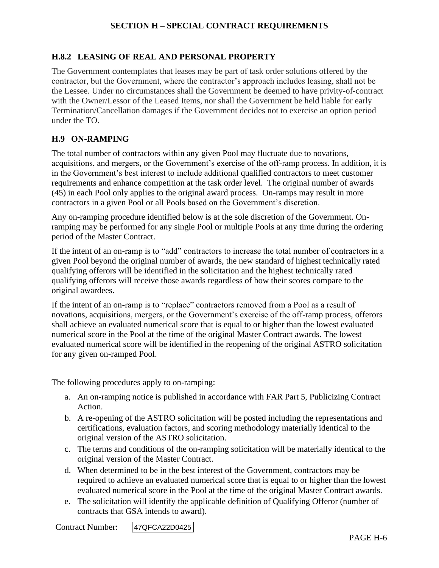### **H.8.2 LEASING OF REAL AND PERSONAL PROPERTY**

The Government contemplates that leases may be part of task order solutions offered by the contractor, but the Government, where the contractor's approach includes leasing, shall not be the Lessee. Under no circumstances shall the Government be deemed to have privity-of-contract with the Owner/Lessor of the Leased Items, nor shall the Government be held liable for early Termination/Cancellation damages if the Government decides not to exercise an option period under the TO.

#### **H.9 ON-RAMPING**

The total number of contractors within any given Pool may fluctuate due to novations, acquisitions, and mergers, or the Government's exercise of the off-ramp process. In addition, it is in the Government's best interest to include additional qualified contractors to meet customer requirements and enhance competition at the task order level. The original number of awards (45) in each Pool only applies to the original award process. On-ramps may result in more contractors in a given Pool or all Pools based on the Government's discretion.

Any on-ramping procedure identified below is at the sole discretion of the Government. Onramping may be performed for any single Pool or multiple Pools at any time during the ordering period of the Master Contract.

If the intent of an on-ramp is to "add" contractors to increase the total number of contractors in a given Pool beyond the original number of awards, the new standard of highest technically rated qualifying offerors will be identified in the solicitation and the highest technically rated qualifying offerors will receive those awards regardless of how their scores compare to the original awardees.

If the intent of an on-ramp is to "replace" contractors removed from a Pool as a result of novations, acquisitions, mergers, or the Government's exercise of the off-ramp process, offerors shall achieve an evaluated numerical score that is equal to or higher than the lowest evaluated numerical score in the Pool at the time of the original Master Contract awards. The lowest evaluated numerical score will be identified in the reopening of the original ASTRO solicitation for any given on-ramped Pool.

The following procedures apply to on-ramping:

- a. An on-ramping notice is published in accordance with FAR Part 5, Publicizing Contract Action.
- b. A re-opening of the ASTRO solicitation will be posted including the representations and certifications, evaluation factors, and scoring methodology materially identical to the original version of the ASTRO solicitation.
- c. The terms and conditions of the on-ramping solicitation will be materially identical to the original version of the Master Contract.
- d. When determined to be in the best interest of the Government, contractors may be required to achieve an evaluated numerical score that is equal to or higher than the lowest evaluated numerical score in the Pool at the time of the original Master Contract awards.
- e. The solicitation will identify the applicable definition of Qualifying Offeror (number of contracts that GSA intends to award).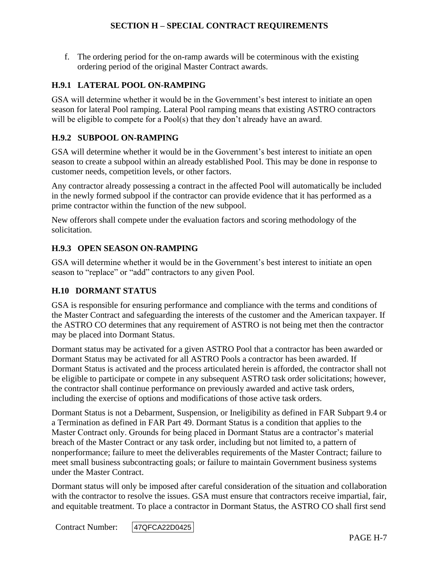f. The ordering period for the on-ramp awards will be coterminous with the existing ordering period of the original Master Contract awards.

### **H.9.1 LATERAL POOL ON-RAMPING**

GSA will determine whether it would be in the Government's best interest to initiate an open season for lateral Pool ramping. Lateral Pool ramping means that existing ASTRO contractors will be eligible to compete for a Pool(s) that they don't already have an award.

## **H.9.2 SUBPOOL ON-RAMPING**

GSA will determine whether it would be in the Government's best interest to initiate an open season to create a subpool within an already established Pool. This may be done in response to customer needs, competition levels, or other factors.

Any contractor already possessing a contract in the affected Pool will automatically be included in the newly formed subpool if the contractor can provide evidence that it has performed as a prime contractor within the function of the new subpool.

New offerors shall compete under the evaluation factors and scoring methodology of the solicitation.

## **H.9.3 OPEN SEASON ON-RAMPING**

GSA will determine whether it would be in the Government's best interest to initiate an open season to "replace" or "add" contractors to any given Pool.

## **H.10 DORMANT STATUS**

GSA is responsible for ensuring performance and compliance with the terms and conditions of the Master Contract and safeguarding the interests of the customer and the American taxpayer. If the ASTRO CO determines that any requirement of ASTRO is not being met then the contractor may be placed into Dormant Status.

Dormant status may be activated for a given ASTRO Pool that a contractor has been awarded or Dormant Status may be activated for all ASTRO Pools a contractor has been awarded. If Dormant Status is activated and the process articulated herein is afforded, the contractor shall not be eligible to participate or compete in any subsequent ASTRO task order solicitations; however, the contractor shall continue performance on previously awarded and active task orders, including the exercise of options and modifications of those active task orders.

Dormant Status is not a Debarment, Suspension, or Ineligibility as defined in FAR Subpart 9.4 or a Termination as defined in FAR Part 49. Dormant Status is a condition that applies to the Master Contract only. Grounds for being placed in Dormant Status are a contractor's material breach of the Master Contract or any task order, including but not limited to, a pattern of nonperformance; failure to meet the deliverables requirements of the Master Contract; failure to meet small business subcontracting goals; or failure to maintain Government business systems under the Master Contract.

Dormant status will only be imposed after careful consideration of the situation and collaboration with the contractor to resolve the issues. GSA must ensure that contractors receive impartial, fair, and equitable treatment. To place a contractor in Dormant Status, the ASTRO CO shall first send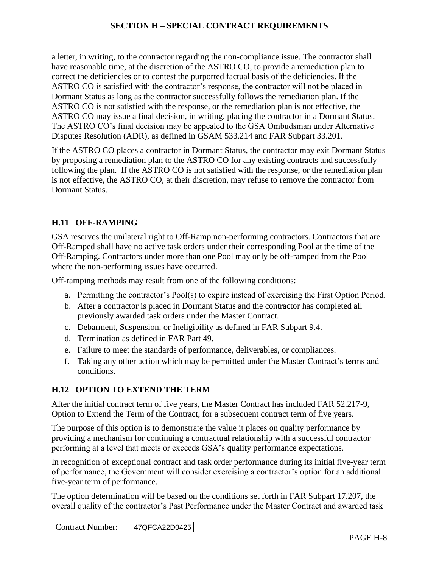a letter, in writing, to the contractor regarding the non-compliance issue. The contractor shall have reasonable time, at the discretion of the ASTRO CO, to provide a remediation plan to correct the deficiencies or to contest the purported factual basis of the deficiencies. If the ASTRO CO is satisfied with the contractor's response, the contractor will not be placed in Dormant Status as long as the contractor successfully follows the remediation plan. If the ASTRO CO is not satisfied with the response, or the remediation plan is not effective, the ASTRO CO may issue a final decision, in writing, placing the contractor in a Dormant Status. The ASTRO CO's final decision may be appealed to the GSA Ombudsman under Alternative Disputes Resolution (ADR), as defined in GSAM 533.214 and FAR Subpart 33.201.

If the ASTRO CO places a contractor in Dormant Status, the contractor may exit Dormant Status by proposing a remediation plan to the ASTRO CO for any existing contracts and successfully following the plan. If the ASTRO CO is not satisfied with the response, or the remediation plan is not effective, the ASTRO CO, at their discretion, may refuse to remove the contractor from Dormant Status.

### **H.11 OFF-RAMPING**

GSA reserves the unilateral right to Off-Ramp non-performing contractors. Contractors that are Off-Ramped shall have no active task orders under their corresponding Pool at the time of the Off-Ramping. Contractors under more than one Pool may only be off-ramped from the Pool where the non-performing issues have occurred.

Off-ramping methods may result from one of the following conditions:

- a. Permitting the contractor's Pool(s) to expire instead of exercising the First Option Period.
- b. After a contractor is placed in Dormant Status and the contractor has completed all previously awarded task orders under the Master Contract.
- c. Debarment, Suspension, or Ineligibility as defined in FAR Subpart 9.4.
- d. Termination as defined in FAR Part 49.
- e. Failure to meet the standards of performance, deliverables, or compliances.
- f. Taking any other action which may be permitted under the Master Contract's terms and conditions.

#### **H.12 OPTION TO EXTEND THE TERM**

After the initial contract term of five years, the Master Contract has included FAR 52.217-9, Option to Extend the Term of the Contract, for a subsequent contract term of five years.

The purpose of this option is to demonstrate the value it places on quality performance by providing a mechanism for continuing a contractual relationship with a successful contractor performing at a level that meets or exceeds GSA's quality performance expectations.

In recognition of exceptional contract and task order performance during its initial five-year term of performance, the Government will consider exercising a contractor's option for an additional five-year term of performance.

The option determination will be based on the conditions set forth in FAR Subpart 17.207, the overall quality of the contractor's Past Performance under the Master Contract and awarded task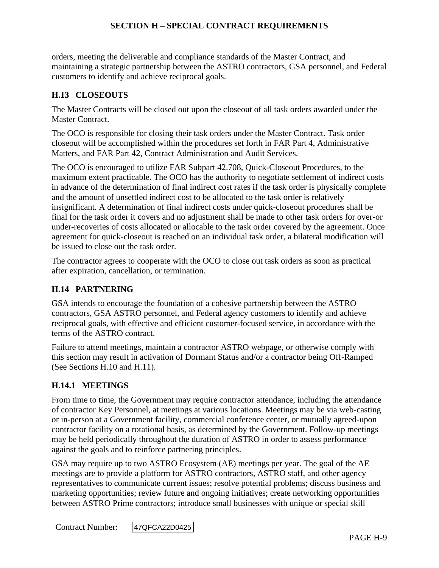orders, meeting the deliverable and compliance standards of the Master Contract, and maintaining a strategic partnership between the ASTRO contractors, GSA personnel, and Federal customers to identify and achieve reciprocal goals.

### **H.13 CLOSEOUTS**

The Master Contracts will be closed out upon the closeout of all task orders awarded under the Master Contract.

The OCO is responsible for closing their task orders under the Master Contract. Task order closeout will be accomplished within the procedures set forth in FAR Part 4, Administrative Matters, and FAR Part 42, Contract Administration and Audit Services.

The OCO is encouraged to utilize FAR Subpart 42.708, Quick-Closeout Procedures, to the maximum extent practicable. The OCO has the authority to negotiate settlement of indirect costs in advance of the determination of final indirect cost rates if the task order is physically complete and the amount of unsettled indirect cost to be allocated to the task order is relatively insignificant. A determination of final indirect costs under quick-closeout procedures shall be final for the task order it covers and no adjustment shall be made to other task orders for over-or under-recoveries of costs allocated or allocable to the task order covered by the agreement. Once agreement for quick-closeout is reached on an individual task order, a bilateral modification will be issued to close out the task order.

The contractor agrees to cooperate with the OCO to close out task orders as soon as practical after expiration, cancellation, or termination.

#### **H.14 PARTNERING**

GSA intends to encourage the foundation of a cohesive partnership between the ASTRO contractors, GSA ASTRO personnel, and Federal agency customers to identify and achieve reciprocal goals, with effective and efficient customer-focused service, in accordance with the terms of the ASTRO contract.

Failure to attend meetings, maintain a contractor ASTRO webpage, or otherwise comply with this section may result in activation of Dormant Status and/or a contractor being Off-Ramped (See Sections H.10 and H.11).

#### **H.14.1 MEETINGS**

From time to time, the Government may require contractor attendance, including the attendance of contractor Key Personnel, at meetings at various locations. Meetings may be via web-casting or in-person at a Government facility, commercial conference center, or mutually agreed-upon contractor facility on a rotational basis, as determined by the Government. Follow-up meetings may be held periodically throughout the duration of ASTRO in order to assess performance against the goals and to reinforce partnering principles.

GSA may require up to two ASTRO Ecosystem (AE) meetings per year. The goal of the AE meetings are to provide a platform for ASTRO contractors, ASTRO staff, and other agency representatives to communicate current issues; resolve potential problems; discuss business and marketing opportunities; review future and ongoing initiatives; create networking opportunities between ASTRO Prime contractors; introduce small businesses with unique or special skill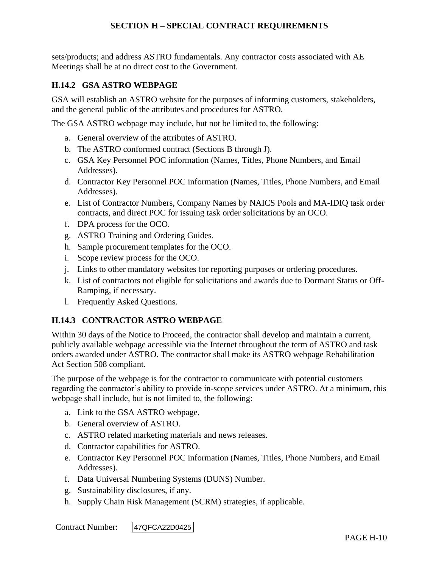sets/products; and address ASTRO fundamentals. Any contractor costs associated with AE Meetings shall be at no direct cost to the Government.

## **H.14.2 GSA ASTRO WEBPAGE**

GSA will establish an ASTRO website for the purposes of informing customers, stakeholders, and the general public of the attributes and procedures for ASTRO.

The GSA ASTRO webpage may include, but not be limited to, the following:

- a. General overview of the attributes of ASTRO.
- b. The ASTRO conformed contract (Sections B through J).
- c. GSA Key Personnel POC information (Names, Titles, Phone Numbers, and Email Addresses).
- d. Contractor Key Personnel POC information (Names, Titles, Phone Numbers, and Email Addresses).
- e. List of Contractor Numbers, Company Names by NAICS Pools and MA-IDIQ task order contracts, and direct POC for issuing task order solicitations by an OCO.
- f. DPA process for the OCO.
- g. ASTRO Training and Ordering Guides.
- h. Sample procurement templates for the OCO.
- i. Scope review process for the OCO.
- j. Links to other mandatory websites for reporting purposes or ordering procedures.
- k. List of contractors not eligible for solicitations and awards due to Dormant Status or Off-Ramping, if necessary.
- l. Frequently Asked Questions.

## **H.14.3 CONTRACTOR ASTRO WEBPAGE**

Within 30 days of the Notice to Proceed, the contractor shall develop and maintain a current, publicly available webpage accessible via the Internet throughout the term of ASTRO and task orders awarded under ASTRO. The contractor shall make its ASTRO webpage Rehabilitation Act Section 508 compliant.

The purpose of the webpage is for the contractor to communicate with potential customers regarding the contractor's ability to provide in-scope services under ASTRO. At a minimum, this webpage shall include, but is not limited to, the following:

- a. Link to the GSA ASTRO webpage.
- b. General overview of ASTRO.
- c. ASTRO related marketing materials and news releases.
- d. Contractor capabilities for ASTRO.
- e. Contractor Key Personnel POC information (Names, Titles, Phone Numbers, and Email Addresses).
- f. Data Universal Numbering Systems (DUNS) Number.
- g. Sustainability disclosures, if any.
- h. Supply Chain Risk Management (SCRM) strategies, if applicable.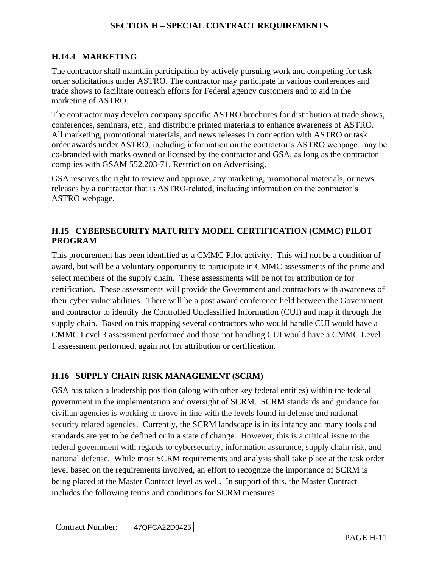## **H.14.4 MARKETING**

The contractor shall maintain participation by actively pursuing work and competing for task order solicitations under ASTRO. The contractor may participate in various conferences and trade shows to facilitate outreach efforts for Federal agency customers and to aid in the marketing of ASTRO.

The contractor may develop company specific ASTRO brochures for distribution at trade shows, conferences, seminars, etc., and distribute printed materials to enhance awareness of ASTRO. All marketing, promotional materials, and news releases in connection with ASTRO or task order awards under ASTRO, including information on the contractor's ASTRO webpage, may be co-branded with marks owned or licensed by the contractor and GSA, as long as the contractor complies with GSAM 552.203-71, Restriction on Advertising.

GSA reserves the right to review and approve, any marketing, promotional materials, or news releases by a contractor that is ASTRO-related, including information on the contractor's ASTRO webpage.

## **H.15 CYBERSECURITY MATURITY MODEL CERTIFICATION (CMMC) PILOT PROGRAM**

This procurement has been identified as a CMMC Pilot activity. This will not be a condition of award, but will be a voluntary opportunity to participate in CMMC assessments of the prime and select members of the supply chain. These assessments will be not for attribution or for certification. These assessments will provide the Government and contractors with awareness of their cyber vulnerabilities. There will be a post award conference held between the Government and contractor to identify the Controlled Unclassified Information (CUI) and map it through the supply chain. Based on this mapping several contractors who would handle CUI would have a CMMC Level 3 assessment performed and those not handling CUI would have a CMMC Level 1 assessment performed, again not for attribution or certification.

# **H.16 SUPPLY CHAIN RISK MANAGEMENT (SCRM)**

GSA has taken a leadership position (along with other key federal entities) within the federal government in the implementation and oversight of SCRM. SCRM standards and guidance for civilian agencies is working to move in line with the levels found in defense and national security related agencies. Currently, the SCRM landscape is in its infancy and many tools and standards are yet to be defined or in a state of change. However, this is a critical issue to the federal government with regards to cybersecurity, information assurance, supply chain risk, and national defense. While most SCRM requirements and analysis shall take place at the task order level based on the requirements involved, an effort to recognize the importance of SCRM is being placed at the Master Contract level as well. In support of this, the Master Contract includes the following terms and conditions for SCRM measures: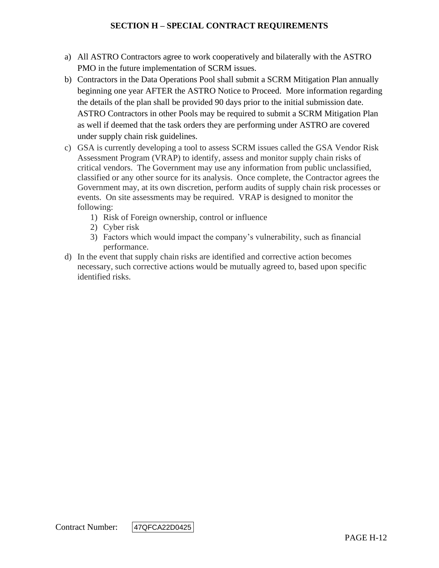- a) All ASTRO Contractors agree to work cooperatively and bilaterally with the ASTRO PMO in the future implementation of SCRM issues.
- b) Contractors in the Data Operations Pool shall submit a SCRM Mitigation Plan annually beginning one year AFTER the ASTRO Notice to Proceed. More information regarding the details of the plan shall be provided 90 days prior to the initial submission date. ASTRO Contractors in other Pools may be required to submit a SCRM Mitigation Plan as well if deemed that the task orders they are performing under ASTRO are covered under supply chain risk guidelines.
- c) GSA is currently developing a tool to assess SCRM issues called the GSA Vendor Risk Assessment Program (VRAP) to identify, assess and monitor supply chain risks of critical vendors. The Government may use any information from public unclassified, classified or any other source for its analysis. Once complete, the Contractor agrees the Government may, at its own discretion, perform audits of supply chain risk processes or events. On site assessments may be required. VRAP is designed to monitor the following:
	- 1) Risk of Foreign ownership, control or influence
	- 2) Cyber risk
	- 3) Factors which would impact the company's vulnerability, such as financial performance.
- d) In the event that supply chain risks are identified and corrective action becomes necessary, such corrective actions would be mutually agreed to, based upon specific identified risks.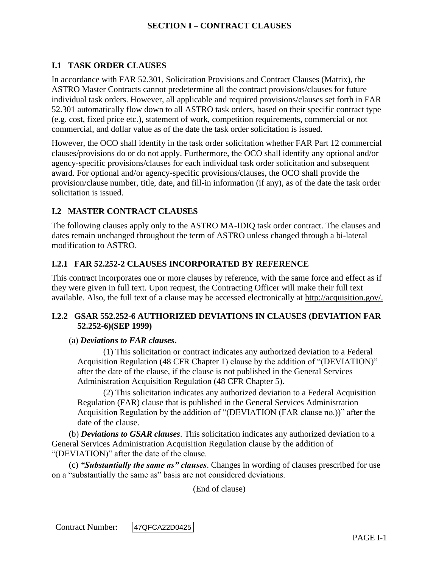## **I.1 TASK ORDER CLAUSES**

In accordance with FAR 52.301, Solicitation Provisions and Contract Clauses (Matrix), the ASTRO Master Contracts cannot predetermine all the contract provisions/clauses for future individual task orders. However, all applicable and required provisions/clauses set forth in FAR 52.301 automatically flow down to all ASTRO task orders, based on their specific contract type (e.g. cost, fixed price etc.), statement of work, competition requirements, commercial or not commercial, and dollar value as of the date the task order solicitation is issued.

However, the OCO shall identify in the task order solicitation whether FAR Part 12 commercial clauses/provisions do or do not apply. Furthermore, the OCO shall identify any optional and/or agency-specific provisions/clauses for each individual task order solicitation and subsequent award. For optional and/or agency-specific provisions/clauses, the OCO shall provide the provision/clause number, title, date, and fill-in information (if any), as of the date the task order solicitation is issued.

## **I.2 MASTER CONTRACT CLAUSES**

The following clauses apply only to the ASTRO MA-IDIQ task order contract. The clauses and dates remain unchanged throughout the term of ASTRO unless changed through a bi-lateral modification to ASTRO.

## **I.2.1 FAR 52.252-2 CLAUSES INCORPORATED BY REFERENCE**

This contract incorporates one or more clauses by reference, with the same force and effect as if they were given in full text. Upon request, the Contracting Officer will make their full text available. Also, the full text of a clause may be accessed electronically at [http://acquisition.gov/.](http://acquisition.gov/)

## **I.2.2 GSAR 552.252-6 AUTHORIZED DEVIATIONS IN CLAUSES (DEVIATION FAR 52.252-6)(SEP 1999)**

#### (a) *Deviations to FAR clauses***.**

(1) This solicitation or contract indicates any authorized deviation to a Federal Acquisition Regulation (48 CFR Chapter 1) clause by the addition of "(DEVIATION)" after the date of the clause, if the clause is not published in the General Services Administration Acquisition Regulation (48 CFR Chapter 5).

(2) This solicitation indicates any authorized deviation to a Federal Acquisition Regulation (FAR) clause that is published in the General Services Administration Acquisition Regulation by the addition of "(DEVIATION (FAR clause no.))" after the date of the clause.

(b) *Deviations to GSAR clauses*. This solicitation indicates any authorized deviation to a General Services Administration Acquisition Regulation clause by the addition of "(DEVIATION)" after the date of the clause.

(c) *"Substantially the same as" clauses*. Changes in wording of clauses prescribed for use on a "substantially the same as" basis are not considered deviations.

(End of clause)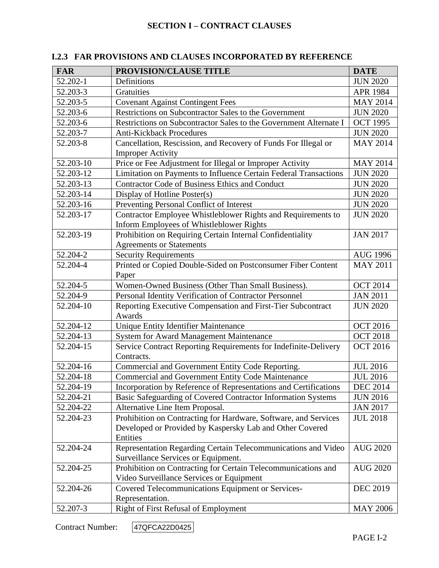| <b>FAR</b> | PROVISION/CLAUSE TITLE                                                                                    | <b>DATE</b>     |
|------------|-----------------------------------------------------------------------------------------------------------|-----------------|
| 52.202-1   | Definitions                                                                                               | <b>JUN 2020</b> |
| 52.203-3   | Gratuities                                                                                                | APR 1984        |
| 52.203-5   | <b>Covenant Against Contingent Fees</b>                                                                   | <b>MAY 2014</b> |
| 52.203-6   | Restrictions on Subcontractor Sales to the Government                                                     | <b>JUN 2020</b> |
| 52.203-6   | Restrictions on Subcontractor Sales to the Government Alternate I                                         | <b>OCT 1995</b> |
| 52.203-7   | <b>Anti-Kickback Procedures</b>                                                                           | <b>JUN 2020</b> |
| 52.203-8   | Cancellation, Rescission, and Recovery of Funds For Illegal or<br><b>Improper Activity</b>                | <b>MAY 2014</b> |
| 52.203-10  | Price or Fee Adjustment for Illegal or Improper Activity                                                  | <b>MAY 2014</b> |
| 52.203-12  | Limitation on Payments to Influence Certain Federal Transactions                                          | <b>JUN 2020</b> |
| 52.203-13  | Contractor Code of Business Ethics and Conduct                                                            | <b>JUN 2020</b> |
| 52.203-14  | Display of Hotline Poster(s)                                                                              | <b>JUN 2020</b> |
| 52.203-16  | Preventing Personal Conflict of Interest                                                                  | <b>JUN 2020</b> |
| 52.203-17  | Contractor Employee Whistleblower Rights and Requirements to<br>Inform Employees of Whistleblower Rights  | <b>JUN 2020</b> |
| 52.203-19  | Prohibition on Requiring Certain Internal Confidentiality<br><b>Agreements or Statements</b>              | <b>JAN 2017</b> |
| 52.204-2   | <b>Security Requirements</b>                                                                              | <b>AUG 1996</b> |
| 52.204-4   | Printed or Copied Double-Sided on Postconsumer Fiber Content<br>Paper                                     | <b>MAY 2011</b> |
| 52.204-5   | Women-Owned Business (Other Than Small Business).                                                         | <b>OCT 2014</b> |
| 52.204-9   | Personal Identity Verification of Contractor Personnel                                                    | <b>JAN 2011</b> |
| 52.204-10  | Reporting Executive Compensation and First-Tier Subcontract<br>Awards                                     | <b>JUN 2020</b> |
| 52.204-12  | Unique Entity Identifier Maintenance<br><b>OCT 2016</b>                                                   |                 |
| 52.204-13  | System for Award Management Maintenance                                                                   | <b>OCT 2018</b> |
| 52.204-15  | Service Contract Reporting Requirements for Indefinite-Delivery<br>Contracts.                             | <b>OCT 2016</b> |
| 52.204-16  | Commercial and Government Entity Code Reporting.                                                          | <b>JUL 2016</b> |
| 52.204-18  | <b>Commercial and Government Entity Code Maintenance</b>                                                  | <b>JUL 2016</b> |
| 52.204-19  | Incorporation by Reference of Representations and Certifications                                          | <b>DEC 2014</b> |
| 52.204-21  | Basic Safeguarding of Covered Contractor Information Systems                                              | <b>JUN 2016</b> |
| 52.204-22  | Alternative Line Item Proposal.                                                                           | <b>JAN 2017</b> |
| 52.204-23  | Prohibition on Contracting for Hardware, Software, and Services                                           | <b>JUL 2018</b> |
|            | Developed or Provided by Kaspersky Lab and Other Covered<br>Entities                                      |                 |
| 52.204-24  | Representation Regarding Certain Telecommunications and Video<br>Surveillance Services or Equipment.      | <b>AUG 2020</b> |
| 52.204-25  | Prohibition on Contracting for Certain Telecommunications and<br>Video Surveillance Services or Equipment | <b>AUG 2020</b> |
| 52.204-26  | Covered Telecommunications Equipment or Services-<br>Representation.                                      | <b>DEC 2019</b> |
| 52.207-3   | Right of First Refusal of Employment                                                                      | <b>MAY 2006</b> |

# **I.2.3 FAR PROVISIONS AND CLAUSES INCORPORATED BY REFERENCE**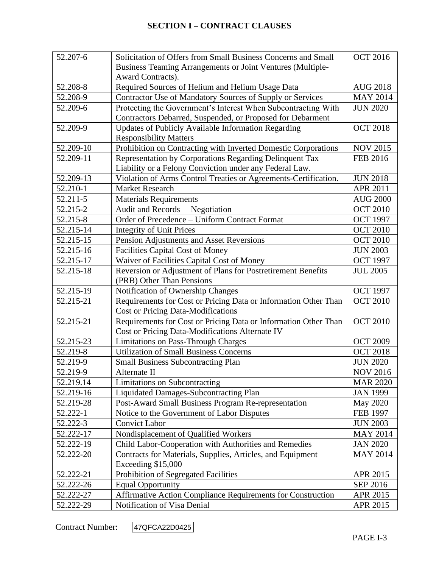| 52.207-6  | <b>OCT 2016</b><br>Solicitation of Offers from Small Business Concerns and Small   |                 |
|-----------|------------------------------------------------------------------------------------|-----------------|
|           | Business Teaming Arrangements or Joint Ventures (Multiple-                         |                 |
|           | Award Contracts).                                                                  |                 |
| 52.208-8  | Required Sources of Helium and Helium Usage Data                                   | <b>AUG 2018</b> |
| 52.208-9  | Contractor Use of Mandatory Sources of Supply or Services                          | <b>MAY 2014</b> |
| 52.209-6  | Protecting the Government's Interest When Subcontracting With<br><b>JUN 2020</b>   |                 |
|           | Contractors Debarred, Suspended, or Proposed for Debarment                         |                 |
| 52.209-9  | Updates of Publicly Available Information Regarding                                | <b>OCT 2018</b> |
|           | <b>Responsibility Matters</b>                                                      |                 |
| 52.209-10 | Prohibition on Contracting with Inverted Domestic Corporations                     | <b>NOV 2015</b> |
| 52.209-11 | Representation by Corporations Regarding Delinquent Tax                            | <b>FEB 2016</b> |
|           | Liability or a Felony Conviction under any Federal Law.                            |                 |
| 52.209-13 | Violation of Arms Control Treaties or Agreements-Certification.                    | <b>JUN 2018</b> |
| 52.210-1  | <b>Market Research</b>                                                             | <b>APR 2011</b> |
| 52.211-5  | <b>Materials Requirements</b>                                                      | <b>AUG 2000</b> |
| 52.215-2  | Audit and Records -Negotiation                                                     | <b>OCT 2010</b> |
| 52.215-8  | Order of Precedence - Uniform Contract Format                                      | <b>OCT 1997</b> |
| 52.215-14 | <b>Integrity of Unit Prices</b>                                                    | <b>OCT 2010</b> |
| 52.215-15 | Pension Adjustments and Asset Reversions                                           | <b>OCT 2010</b> |
| 52.215-16 | <b>Facilities Capital Cost of Money</b>                                            | <b>JUN 2003</b> |
| 52.215-17 | Waiver of Facilities Capital Cost of Money<br><b>OCT 1997</b>                      |                 |
| 52.215-18 | Reversion or Adjustment of Plans for Postretirement Benefits                       | <b>JUL 2005</b> |
|           | (PRB) Other Than Pensions                                                          |                 |
| 52.215-19 | Notification of Ownership Changes                                                  | <b>OCT 1997</b> |
| 52.215-21 | Requirements for Cost or Pricing Data or Information Other Than                    | <b>OCT 2010</b> |
|           | <b>Cost or Pricing Data-Modifications</b>                                          |                 |
| 52.215-21 | Requirements for Cost or Pricing Data or Information Other Than<br><b>OCT 2010</b> |                 |
|           | Cost or Pricing Data-Modifications Alternate IV                                    |                 |
| 52.215-23 | <b>Limitations on Pass-Through Charges</b>                                         | <b>OCT 2009</b> |
| 52.219-8  | <b>Utilization of Small Business Concerns</b>                                      | <b>OCT 2018</b> |
| 52.219-9  | <b>Small Business Subcontracting Plan</b>                                          | <b>JUN 2020</b> |
| 52.219-9  | Alternate II                                                                       | NOV 2016        |
| 52.219.14 | Limitations on Subcontracting                                                      | <b>MAR 2020</b> |
| 52.219-16 | <b>Liquidated Damages-Subcontracting Plan</b>                                      | <b>JAN 1999</b> |
| 52.219-28 | Post-Award Small Business Program Re-representation                                | May 2020        |
| 52.222-1  | Notice to the Government of Labor Disputes                                         | <b>FEB 1997</b> |
| 52.222-3  | <b>Convict Labor</b>                                                               | <b>JUN 2003</b> |
| 52.222-17 | Nondisplacement of Qualified Workers                                               | <b>MAY 2014</b> |
| 52.222-19 | Child Labor-Cooperation with Authorities and Remedies<br><b>JAN 2020</b>           |                 |
| 52.222-20 | Contracts for Materials, Supplies, Articles, and Equipment                         | <b>MAY 2014</b> |
|           | Exceeding \$15,000                                                                 |                 |
| 52.222-21 | Prohibition of Segregated Facilities                                               | APR 2015        |
| 52.222-26 | <b>Equal Opportunity</b>                                                           | SEP 2016        |
| 52.222-27 | Affirmative Action Compliance Requirements for Construction                        | APR 2015        |
| 52.222-29 | Notification of Visa Denial                                                        | APR 2015        |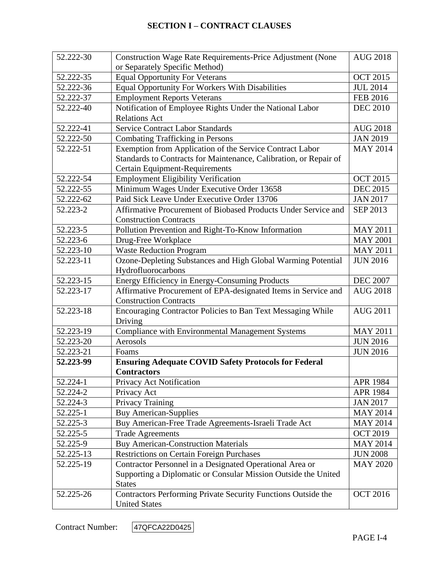| 52.222-30 | Construction Wage Rate Requirements-Price Adjustment (None                  | <b>AUG 2018</b> |
|-----------|-----------------------------------------------------------------------------|-----------------|
|           | or Separately Specific Method)                                              |                 |
| 52.222-35 | <b>Equal Opportunity For Veterans</b>                                       | <b>OCT 2015</b> |
| 52.222-36 | Equal Opportunity For Workers With Disabilities                             | <b>JUL 2014</b> |
| 52.222-37 | <b>Employment Reports Veterans</b>                                          | <b>FEB 2016</b> |
| 52.222-40 | Notification of Employee Rights Under the National Labor<br><b>DEC 2010</b> |                 |
|           | <b>Relations Act</b>                                                        |                 |
| 52.222-41 | <b>Service Contract Labor Standards</b>                                     | <b>AUG 2018</b> |
| 52.222-50 | <b>Combating Trafficking in Persons</b>                                     | <b>JAN 2019</b> |
| 52.222-51 | Exemption from Application of the Service Contract Labor                    | <b>MAY 2014</b> |
|           | Standards to Contracts for Maintenance, Calibration, or Repair of           |                 |
|           | Certain Equipment-Requirements                                              |                 |
| 52.222-54 | <b>Employment Eligibility Verification</b>                                  | <b>OCT 2015</b> |
| 52.222-55 | Minimum Wages Under Executive Order 13658                                   | <b>DEC 2015</b> |
| 52.222-62 | Paid Sick Leave Under Executive Order 13706                                 | <b>JAN 2017</b> |
| 52.223-2  | Affirmative Procurement of Biobased Products Under Service and              | SEP 2013        |
|           | <b>Construction Contracts</b>                                               |                 |
| 52.223-5  | Pollution Prevention and Right-To-Know Information                          | <b>MAY 2011</b> |
| 52.223-6  | Drug-Free Workplace                                                         | <b>MAY 2001</b> |
| 52.223-10 | <b>Waste Reduction Program</b>                                              | <b>MAY 2011</b> |
| 52.223-11 | Ozone-Depleting Substances and High Global Warming Potential                | <b>JUN 2016</b> |
|           | Hydrofluorocarbons                                                          |                 |
| 52.223-15 | Energy Efficiency in Energy-Consuming Products<br><b>DEC 2007</b>           |                 |
| 52.223-17 | Affirmative Procurement of EPA-designated Items in Service and              | <b>AUG 2018</b> |
|           | <b>Construction Contracts</b>                                               |                 |
| 52.223-18 | Encouraging Contractor Policies to Ban Text Messaging While                 | <b>AUG 2011</b> |
|           | Driving                                                                     |                 |
| 52.223-19 | <b>Compliance with Environmental Management Systems</b>                     | <b>MAY 2011</b> |
| 52.223-20 | Aerosols                                                                    | <b>JUN 2016</b> |
| 52.223-21 | Foams                                                                       | <b>JUN 2016</b> |
| 52.223-99 | <b>Ensuring Adequate COVID Safety Protocols for Federal</b>                 |                 |
|           | <b>Contractors</b>                                                          |                 |
| 52.224-1  | Privacy Act Notification                                                    | <b>APR 1984</b> |
| 52.224-2  | Privacy Act                                                                 | <b>APR 1984</b> |
| 52.224-3  | Privacy Training                                                            | <b>JAN 2017</b> |
| 52.225-1  | <b>Buy American-Supplies</b>                                                | <b>MAY 2014</b> |
| 52.225-3  | Buy American-Free Trade Agreements-Israeli Trade Act                        | <b>MAY 2014</b> |
| 52.225-5  | <b>Trade Agreements</b>                                                     | <b>OCT 2019</b> |
| 52.225-9  | <b>Buy American-Construction Materials</b>                                  | <b>MAY 2014</b> |
| 52.225-13 | <b>Restrictions on Certain Foreign Purchases</b>                            | <b>JUN 2008</b> |
| 52.225-19 | Contractor Personnel in a Designated Operational Area or                    | <b>MAY 2020</b> |
|           | Supporting a Diplomatic or Consular Mission Outside the United              |                 |
|           | <b>States</b>                                                               |                 |
| 52.225-26 | Contractors Performing Private Security Functions Outside the               | <b>OCT 2016</b> |
|           | <b>United States</b>                                                        |                 |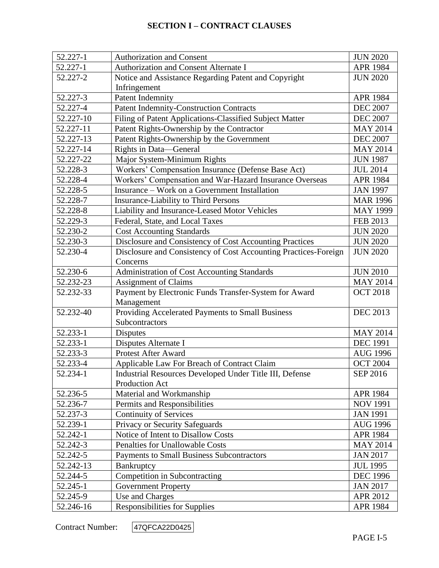| 52.227-1                                                      | <b>Authorization and Consent</b>                                | <b>JUN 2020</b> |
|---------------------------------------------------------------|-----------------------------------------------------------------|-----------------|
| 52.227-1                                                      | Authorization and Consent Alternate I                           | <b>APR 1984</b> |
| 52.227-2                                                      | Notice and Assistance Regarding Patent and Copyright            | <b>JUN 2020</b> |
|                                                               | Infringement                                                    |                 |
| 52.227-3                                                      | <b>Patent Indemnity</b>                                         | <b>APR 1984</b> |
| 52.227-4                                                      | <b>Patent Indemnity-Construction Contracts</b>                  | <b>DEC 2007</b> |
| 52.227-10                                                     | Filing of Patent Applications-Classified Subject Matter         | <b>DEC 2007</b> |
| 52.227-11                                                     | Patent Rights-Ownership by the Contractor                       | <b>MAY 2014</b> |
| 52.227-13                                                     | Patent Rights-Ownership by the Government                       | <b>DEC 2007</b> |
| 52.227-14                                                     | Rights in Data—General                                          | <b>MAY 2014</b> |
| 52.227-22                                                     | Major System-Minimum Rights                                     | <b>JUN 1987</b> |
| 52.228-3                                                      | Workers' Compensation Insurance (Defense Base Act)              | <b>JUL 2014</b> |
| 52.228-4                                                      | Workers' Compensation and War-Hazard Insurance Overseas         | <b>APR 1984</b> |
| 52.228-5                                                      | Insurance - Work on a Government Installation                   | <b>JAN 1997</b> |
| 52.228-7                                                      | <b>Insurance-Liability to Third Persons</b>                     | <b>MAR 1996</b> |
| 52.228-8                                                      | Liability and Insurance-Leased Motor Vehicles                   | <b>MAY 1999</b> |
| 52.229-3                                                      | Federal, State, and Local Taxes                                 | FEB 2013        |
| 52.230-2                                                      | <b>Cost Accounting Standards</b>                                | <b>JUN 2020</b> |
| 52.230-3                                                      | Disclosure and Consistency of Cost Accounting Practices         | <b>JUN 2020</b> |
| 52.230-4                                                      | Disclosure and Consistency of Cost Accounting Practices-Foreign | <b>JUN 2020</b> |
|                                                               | Concerns                                                        |                 |
| 52.230-6                                                      | Administration of Cost Accounting Standards                     | <b>JUN 2010</b> |
| 52.232-23                                                     | <b>Assignment of Claims</b><br><b>MAY 2014</b>                  |                 |
| 52.232-33                                                     | Payment by Electronic Funds Transfer-System for Award           | <b>OCT 2018</b> |
|                                                               | Management                                                      |                 |
| Providing Accelerated Payments to Small Business<br>52.232-40 |                                                                 | <b>DEC 2013</b> |
|                                                               | Subcontractors                                                  |                 |
| 52.233-1                                                      | <b>Disputes</b>                                                 | <b>MAY 2014</b> |
| 52.233-1                                                      | Disputes Alternate I                                            | <b>DEC 1991</b> |
| 52.233-3                                                      | Protest After Award                                             | <b>AUG 1996</b> |
| 52.233-4                                                      | Applicable Law For Breach of Contract Claim                     | <b>OCT 2004</b> |
| 52.234-1                                                      | Industrial Resources Developed Under Title III, Defense         | SEP 2016        |
|                                                               | Production Act                                                  |                 |
| 52.236-5                                                      | Material and Workmanship                                        | APR 1984        |
| 52.236-7                                                      | Permits and Responsibilities                                    | <b>NOV 1991</b> |
| 52.237-3                                                      | <b>Continuity of Services</b>                                   | <b>JAN 1991</b> |
| 52.239-1                                                      | Privacy or Security Safeguards                                  | <b>AUG 1996</b> |
| 52.242-1                                                      | Notice of Intent to Disallow Costs                              | APR 1984        |
| 52.242-3                                                      | Penalties for Unallowable Costs                                 | <b>MAY 2014</b> |
| 52.242-5                                                      | <b>Payments to Small Business Subcontractors</b>                | <b>JAN 2017</b> |
| 52.242-13                                                     | Bankruptcy                                                      | <b>JUL 1995</b> |
| 52.244-5                                                      | Competition in Subcontracting                                   | <b>DEC 1996</b> |
| 52.245-1                                                      | <b>Government Property</b>                                      | <b>JAN 2017</b> |
| 52.245-9                                                      | Use and Charges                                                 | APR 2012        |
| 52.246-16                                                     | <b>Responsibilities for Supplies</b>                            | APR 1984        |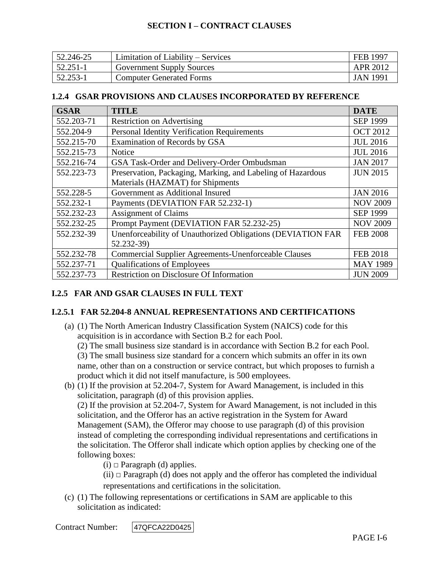| 52.246-25 | Limitation of Liability – Services | FEB 1997        |
|-----------|------------------------------------|-----------------|
| 52.251-1  | <b>Government Supply Sources</b>   | APR 2012        |
| 52.253-1  | <b>Computer Generated Forms</b>    | <b>JAN 1991</b> |

### **1.2.4 GSAR PROVISIONS AND CLAUSES INCORPORATED BY REFERENCE**

| <b>GSAR</b> | <b>TITLE</b>                                                       | <b>DATE</b>     |
|-------------|--------------------------------------------------------------------|-----------------|
| 552.203-71  | <b>Restriction on Advertising</b>                                  | <b>SEP 1999</b> |
| 552.204-9   | <b>Personal Identity Verification Requirements</b>                 | <b>OCT 2012</b> |
| 552.215-70  | Examination of Records by GSA                                      | <b>JUL 2016</b> |
| 552.215-73  | <b>Notice</b>                                                      | <b>JUL 2016</b> |
| 552.216-74  | GSA Task-Order and Delivery-Order Ombudsman                        | <b>JAN 2017</b> |
| 552.223-73  | Preservation, Packaging, Marking, and Labeling of Hazardous        | <b>JUN 2015</b> |
|             | Materials (HAZMAT) for Shipments                                   |                 |
| 552.228-5   | Government as Additional Insured<br><b>JAN 2016</b>                |                 |
| 552.232-1   | Payments (DEVIATION FAR 52.232-1)<br><b>NOV 2009</b>               |                 |
| 552.232-23  | <b>Assignment of Claims</b><br><b>SEP 1999</b>                     |                 |
| 552.232-25  | Prompt Payment (DEVIATION FAR 52.232-25)                           | <b>NOV 2009</b> |
| 552.232-39  | Unenforceability of Unauthorized Obligations (DEVIATION FAR        | <b>FEB 2008</b> |
|             | 52.232-39)                                                         |                 |
| 552.232-78  | <b>Commercial Supplier Agreements-Unenforceable Clauses</b>        | <b>FEB 2018</b> |
| 552.237-71  | <b>Qualifications of Employees</b><br><b>MAY 1989</b>              |                 |
| 552.237-73  | <b>Restriction on Disclosure Of Information</b><br><b>JUN 2009</b> |                 |

# **I.2.5 FAR AND GSAR CLAUSES IN FULL TEXT**

## **I.2.5.1 FAR 52.204-8 ANNUAL REPRESENTATIONS AND CERTIFICATIONS**

(a) (1) The North American Industry Classification System (NAICS) code for this acquisition is in accordance with Section B.2 for each Pool.

(2) The small business size standard is in accordance with Section B.2 for each Pool.

(3) The small business size standard for a concern which submits an offer in its own name, other than on a construction or service contract, but which proposes to furnish a product which it did not itself manufacture, is 500 employees.

(b) (1) If the provision at [52.204-7,](https://acquisition.gov/far/52.204-7#FAR_52_204_7) System for Award Management, is included in this solicitation, paragraph (d) of this provision applies.

(2) If the provision at [52.204-7,](https://acquisition.gov/far/52.204-7#FAR_52_204_7) System for Award Management, is not included in this solicitation, and the Offeror has an active registration in the System for Award Management (SAM), the Offeror may choose to use paragraph (d) of this provision instead of completing the corresponding individual representations and certifications in the solicitation. The Offeror shall indicate which option applies by checking one of the following boxes:

(i) *□* Paragraph (d) applies.

(ii) *□* Paragraph (d) does not apply and the offeror has completed the individual representations and certifications in the solicitation.

(c) (1) The following representations or certifications in SAM are applicable to this solicitation as indicated: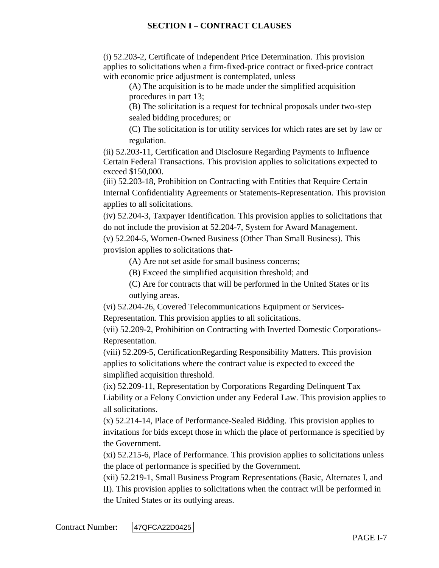(i) [52.203-2,](https://acquisition.gov/far/52.203-2#FAR_52_203_2) Certificate of Independent Price Determination. This provision applies to solicitations when a firm-fixed-price contract or fixed-price contract with economic price adjustment is contemplated, unless–

(A) The acquisition is to be made under the simplified acquisition procedures in [part 13;](https://acquisition.gov/far/Part_13.html#FAR_Part_13)

(B) The solicitation is a request for technical proposals under two-step sealed bidding procedures; or

(C) The solicitation is for utility services for which rates are set by law or regulation.

(ii) [52.203-11,](https://acquisition.gov/far/52.203-11#FAR_52_203_11) Certification and Disclosure Regarding Payments to Influence Certain Federal Transactions. This provision applies to solicitations expected to exceed \$150,000.

(iii) [52.203-18,](https://acquisition.gov/far/52.203-18#FAR_52_203_18) Prohibition on Contracting with Entities that Require Certain Internal Confidentiality Agreements or Statements-Representation. This provision applies to all solicitations.

(iv) [52.204-3,](https://acquisition.gov/far/52.204-3#FAR_52_204_3) Taxpayer Identification. This provision applies to solicitations that do not include the provision at [52.204-7,](https://acquisition.gov/far/52.204-7#FAR_52_204_7) System for Award Management.

(v) [52.204-5,](https://acquisition.gov/far/52.204-5#FAR_52_204_5) Women-Owned Business (Other Than Small Business). This provision applies to solicitations that-

(A) Are not set aside for small business concerns;

(B) Exceed the simplified acquisition threshold; and

(C) Are for contracts that will be performed in the United States or its outlying areas.

(vi) [52.204-26,](https://acquisition.gov/far/52.204-26#FAR_52_204_26) Covered Telecommunications Equipment or Services-

Representation. This provision applies to all solicitations.

(vii) [52.209-2,](https://acquisition.gov/far/52.209-2#FAR_52_209_2) Prohibition on Contracting with Inverted Domestic Corporations-Representation.

(viii) [52.209-5,](https://acquisition.gov/far/52.209-5#FAR_52_209_5) CertificationRegarding Responsibility Matters. This provision applies to solicitations where the contract value is expected to exceed the simplified acquisition threshold.

(ix) [52.209-11,](https://acquisition.gov/far/52.209-11#FAR_52_209_11) Representation by Corporations Regarding Delinquent Tax Liability or a Felony Conviction under any Federal Law. This provision applies to all solicitations.

(x) [52.214-14,](https://acquisition.gov/far/52.214-14#FAR_52_214_14) Place of Performance-Sealed Bidding. This provision applies to invitations for bids except those in which the place of performance is specified by the Government.

(xi) [52.215-6,](https://acquisition.gov/far/52.215-6#FAR_52_215_6) Place of Performance. This provision applies to solicitations unless the place of performance is specified by the Government.

(xii) [52.219-1,](https://acquisition.gov/far/52.219-1#FAR_52_219_1) Small Business Program Representations (Basic, Alternates I, and II). This provision applies to solicitations when the contract will be performed in the United States or its outlying areas.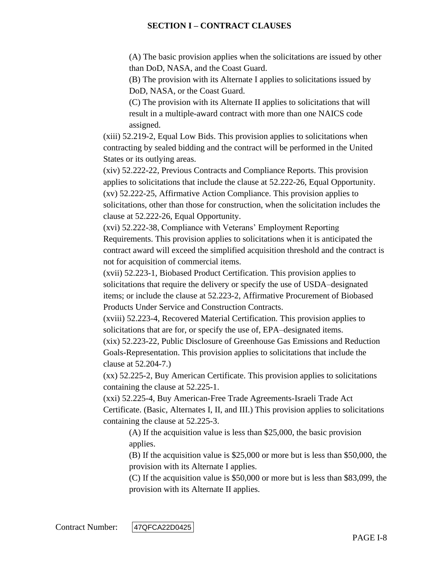(A) The basic provision applies when the solicitations are issued by other than DoD, NASA, and the Coast Guard.

(B) The provision with its Alternate I applies to solicitations issued by DoD, NASA, or the Coast Guard.

(C) The provision with its Alternate II applies to solicitations that will result in a multiple-award contract with more than one NAICS code assigned.

(xiii) [52.219-2,](https://acquisition.gov/far/52.219-2#FAR_52_219_2) Equal Low Bids. This provision applies to solicitations when contracting by sealed bidding and the contract will be performed in the United States or its outlying areas.

(xiv) [52.222-22,](https://acquisition.gov/far/52.222-22#FAR_52_222_22) Previous Contracts and Compliance Reports. This provision applies to solicitations that include the clause at [52.222-26,](https://acquisition.gov/far/52.222-26#FAR_52_222_26) Equal Opportunity. (xv) [52.222-25,](https://acquisition.gov/far/52.222-25#FAR_52_222_25) Affirmative Action Compliance. This provision applies to solicitations, other than those for construction, when the solicitation includes the clause at [52.222-26,](https://acquisition.gov/far/52.222-26#FAR_52_222_26) Equal Opportunity.

(xvi) [52.222-38,](https://acquisition.gov/far/52.222-38#FAR_52_222_38) Compliance with Veterans' Employment Reporting Requirements. This provision applies to solicitations when it is anticipated the contract award will exceed the simplified acquisition threshold and the contract is not for acquisition of commercial items.

(xvii) [52.223-1,](https://acquisition.gov/far/52.223-1#FAR_52_223_1) Biobased Product Certification. This provision applies to solicitations that require the delivery or specify the use of USDA–designated items; or include the clause at [52.223-2,](https://acquisition.gov/far/52.223-2#FAR_52_223_2) Affirmative Procurement of Biobased Products Under Service and Construction Contracts.

(xviii) [52.223-4,](https://acquisition.gov/far/52.223-4#FAR_52_223_4) Recovered Material Certification. This provision applies to solicitations that are for, or specify the use of, EPA–designated items.

(xix) [52.223-22,](https://acquisition.gov/far/52.223-22#FAR_52_223_22) Public Disclosure of Greenhouse Gas Emissions and Reduction Goals-Representation. This provision applies to solicitations that include the clause at [52.204-7.](https://acquisition.gov/far/52.204-7#FAR_52_204_7))

(xx) [52.225-2,](https://acquisition.gov/far/52.225-2#FAR_52_225_2) Buy American Certificate. This provision applies to solicitations containing the clause at [52.225-1.](https://acquisition.gov/far/52.225-1#FAR_52_225_1)

(xxi) [52.225-4,](https://acquisition.gov/far/52.225-4#FAR_52_225_4) Buy American-Free Trade Agreements-Israeli Trade Act Certificate. (Basic, Alternates I, II, and III.) This provision applies to solicitations containing the clause at [52.225-3.](https://acquisition.gov/far/52.225-3#FAR_52_225_3)

(A) If the acquisition value is less than \$25,000, the basic provision applies.

(B) If the acquisition value is \$25,000 or more but is less than \$50,000, the provision with its Alternate I applies.

(C) If the acquisition value is \$50,000 or more but is less than \$83,099, the provision with its Alternate II applies.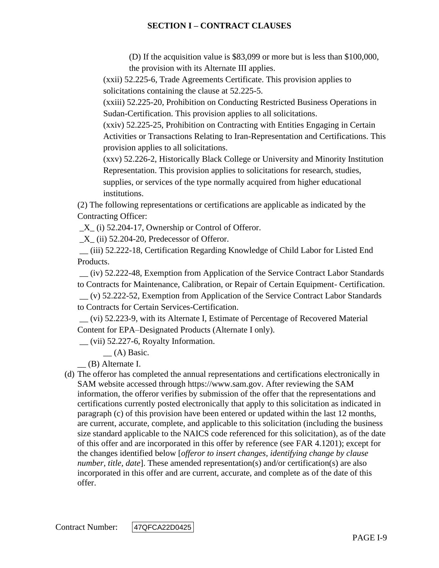(D) If the acquisition value is \$83,099 or more but is less than \$100,000, the provision with its Alternate III applies.

(xxii) [52.225-6,](https://acquisition.gov/far/52.225-6#FAR_52_225_6) Trade Agreements Certificate. This provision applies to solicitations containing the clause at [52.225-5.](https://acquisition.gov/far/52.225-5#FAR_52_225_5)

(xxiii) [52.225-20,](https://acquisition.gov/far/52.225-20#FAR_52_225_20) Prohibition on Conducting Restricted Business Operations in Sudan-Certification. This provision applies to all solicitations.

(xxiv) [52.225-25,](https://acquisition.gov/far/52.225-25#FAR_52_225_25) Prohibition on Contracting with Entities Engaging in Certain Activities or Transactions Relating to Iran-Representation and Certifications. This provision applies to all solicitations.

(xxv) [52.226-2,](https://acquisition.gov/far/52.226-2#FAR_52_226_2) Historically Black College or University and Minority Institution Representation. This provision applies to solicitations for research, studies, supplies, or services of the type normally acquired from higher educational institutions.

(2) The following representations or certifications are applicable as indicated by the Contracting Officer:

 $X_{1}$  (i) [52.204-17,](https://acquisition.gov/far/52.204-17#FAR_52_204_17) Ownership or Control of Offeror.

 $X$ <sub>(ii)</sub> [52.204-20,](https://acquisition.gov/far/52.204-20#FAR_52_204_20) Predecessor of Offeror.

\_\_ (iii) [52.222-18,](https://acquisition.gov/far/52.222-18#FAR_52_222_18) Certification Regarding Knowledge of Child Labor for Listed End Products.

\_\_ (iv) [52.222-48,](https://acquisition.gov/far/52.222-48#FAR_52_222_48) Exemption from Application of the Service Contract Labor Standards to Contracts for Maintenance, Calibration, or Repair of Certain Equipment- Certification. \_\_ (v) [52.222-52,](https://acquisition.gov/far/52.222-52#FAR_52_222_52) Exemption from Application of the Service Contract Labor Standards to Contracts for Certain Services-Certification.

\_\_ (vi) [52.223-9,](https://acquisition.gov/far/52.223-9#FAR_52_223_9) with its Alternate I, Estimate of Percentage of Recovered Material Content for EPA–Designated Products (Alternate I only).

 $\equiv$  (vii) [52.227-6,](https://acquisition.gov/far/52.227-6#FAR_52_227_6) Royalty Information.

\_\_ (A) Basic.

\_\_ (B) Alternate I.

(d) The offeror has completed the annual representations and certifications electronically in SAM website accessed through [https://www.sam.gov.](https://www.sam.gov/) After reviewing the SAM information, the offeror verifies by submission of the offer that the representations and certifications currently posted electronically that apply to this solicitation as indicated in paragraph (c) of this provision have been entered or updated within the last 12 months, are current, accurate, complete, and applicable to this solicitation (including the business size standard applicable to the NAICS code referenced for this solicitation), as of the date of this offer and are incorporated in this offer by reference (see FAR [4.1201\)](https://acquisition.gov/far/4.1201#FAR_4_1201); except for the changes identified below [*offeror to insert changes, identifying change by clause number, title, date*]. These amended representation(s) and/or certification(s) are also incorporated in this offer and are current, accurate, and complete as of the date of this offer.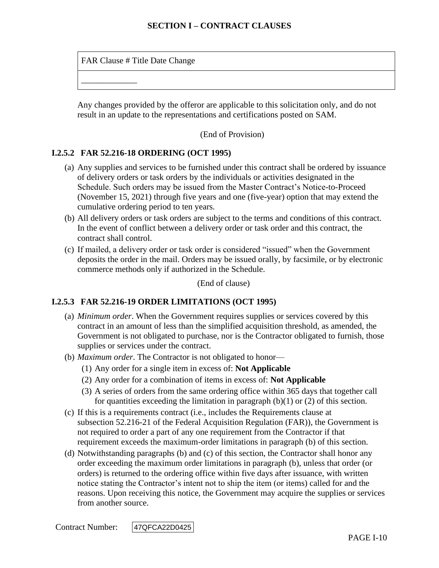FAR Clause # Title Date Change

\_\_\_\_\_\_\_\_\_\_\_\_\_

Any changes provided by the offeror are applicable to this solicitation only, and do not result in an update to the representations and certifications posted on SAM.

(End of Provision)

## **I.2.5.2 FAR 52.216-18 ORDERING (OCT 1995)**

- (a) Any supplies and services to be furnished under this contract shall be ordered by issuance of delivery orders or task orders by the individuals or activities designated in the Schedule. Such orders may be issued from the Master Contract's Notice-to-Proceed (November 15, 2021) through five years and one (five-year) option that may extend the cumulative ordering period to ten years.
- (b) All delivery orders or task orders are subject to the terms and conditions of this contract. In the event of conflict between a delivery order or task order and this contract, the contract shall control.
- (c) If mailed, a delivery order or task order is considered "issued" when the Government deposits the order in the mail. Orders may be issued orally, by facsimile, or by electronic commerce methods only if authorized in the Schedule.

(End of clause)

## **I.2.5.3 FAR 52.216-19 ORDER LIMITATIONS (OCT 1995)**

- (a) *Minimum order*. When the Government requires supplies or services covered by this contract in an amount of less than the simplified acquisition threshold, as amended, the Government is not obligated to purchase, nor is the Contractor obligated to furnish, those supplies or services under the contract.
- (b) *Maximum order*. The Contractor is not obligated to honor—
	- (1) Any order for a single item in excess of: **Not Applicable**
	- (2) Any order for a combination of items in excess of: **Not Applicable**
	- (3) A series of orders from the same ordering office within 365 days that together call for quantities exceeding the limitation in paragraph  $(b)(1)$  or  $(2)$  of this section.
- (c) If this is a requirements contract (i.e., includes the Requirements clause at subsection [52.216-21](https://www.acquisition.gov/far/current/html/52_216.html#wp1115057) of the Federal Acquisition Regulation (FAR)), the Government is not required to order a part of any one requirement from the Contractor if that requirement exceeds the maximum-order limitations in paragraph (b) of this section.
- (d) Notwithstanding paragraphs (b) and (c) of this section, the Contractor shall honor any order exceeding the maximum order limitations in paragraph (b), unless that order (or orders) is returned to the ordering office within five days after issuance, with written notice stating the Contractor's intent not to ship the item (or items) called for and the reasons. Upon receiving this notice, the Government may acquire the supplies or services from another source.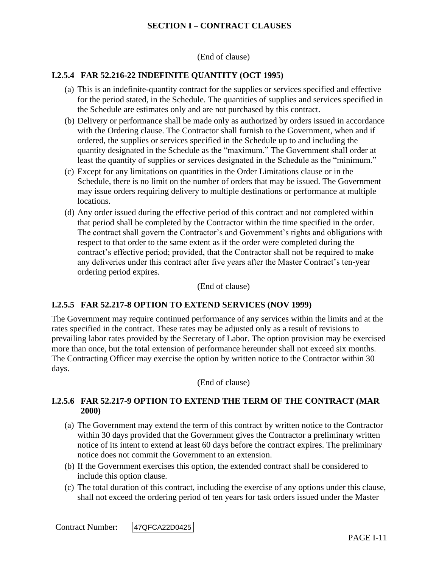(End of clause)

### **I.2.5.4 FAR 52.216-22 INDEFINITE QUANTITY (OCT 1995)**

- (a) This is an indefinite-quantity contract for the supplies or services specified and effective for the period stated, in the Schedule. The quantities of supplies and services specified in the Schedule are estimates only and are not purchased by this contract.
- (b) Delivery or performance shall be made only as authorized by orders issued in accordance with the Ordering clause. The Contractor shall furnish to the Government, when and if ordered, the supplies or services specified in the Schedule up to and including the quantity designated in the Schedule as the "maximum." The Government shall order at least the quantity of supplies or services designated in the Schedule as the "minimum."
- (c) Except for any limitations on quantities in the Order Limitations clause or in the Schedule, there is no limit on the number of orders that may be issued. The Government may issue orders requiring delivery to multiple destinations or performance at multiple locations.
- (d) Any order issued during the effective period of this contract and not completed within that period shall be completed by the Contractor within the time specified in the order. The contract shall govern the Contractor's and Government's rights and obligations with respect to that order to the same extent as if the order were completed during the contract's effective period; provided, that the Contractor shall not be required to make any deliveries under this contract after five years after the Master Contract's ten-year ordering period expires.

(End of clause)

#### **I.2.5.5 FAR 52.217-8 OPTION TO EXTEND SERVICES (NOV 1999)**

The Government may require continued performance of any services within the limits and at the rates specified in the contract. These rates may be adjusted only as a result of revisions to prevailing labor rates provided by the Secretary of Labor. The option provision may be exercised more than once, but the total extension of performance hereunder shall not exceed six months. The Contracting Officer may exercise the option by written notice to the Contractor within 30 days.

(End of clause)

#### **I.2.5.6 FAR 52.217-9 OPTION TO EXTEND THE TERM OF THE CONTRACT (MAR 2000)**

- (a) The Government may extend the term of this contract by written notice to the Contractor within 30 days provided that the Government gives the Contractor a preliminary written notice of its intent to extend at least 60 days before the contract expires. The preliminary notice does not commit the Government to an extension.
- (b) If the Government exercises this option, the extended contract shall be considered to include this option clause.
- (c) The total duration of this contract, including the exercise of any options under this clause, shall not exceed the ordering period of ten years for task orders issued under the Master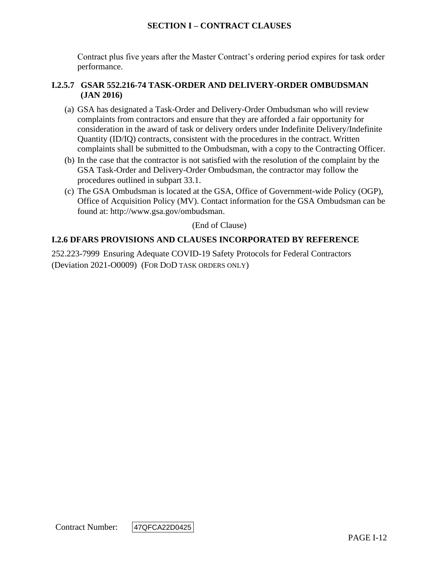Contract plus five years after the Master Contract's ordering period expires for task order performance.

### **I.2.5.7 GSAR 552.216-74 TASK-ORDER AND DELIVERY-ORDER OMBUDSMAN (JAN 2016)**

- (a) GSA has designated a Task-Order and Delivery-Order Ombudsman who will review complaints from contractors and ensure that they are afforded a fair opportunity for consideration in the award of task or delivery orders under Indefinite Delivery/Indefinite Quantity (ID/IQ) contracts, consistent with the procedures in the contract. Written complaints shall be submitted to the Ombudsman, with a copy to the Contracting Officer.
- (b) In the case that the contractor is not satisfied with the resolution of the complaint by the GSA Task-Order and Delivery-Order Ombudsman, the contractor may follow the procedures outlined in subpart 33.1.
- (c) The GSA Ombudsman is located at the GSA, Office of Government-wide Policy (OGP), Office of Acquisition Policy (MV). Contact information for the GSA Ombudsman can be found at: [http://www.gsa.gov/ombudsman.](http://www.gsa.gov/ombudsman)

(End of Clause)

## **I.2.6 DFARS PROVISIONS AND CLAUSES INCORPORATED BY REFERENCE**

252.223-7999 Ensuring Adequate COVID-19 Safety Protocols for Federal Contractors (Deviation 2021-O0009) (FOR DOD TASK ORDERS ONLY)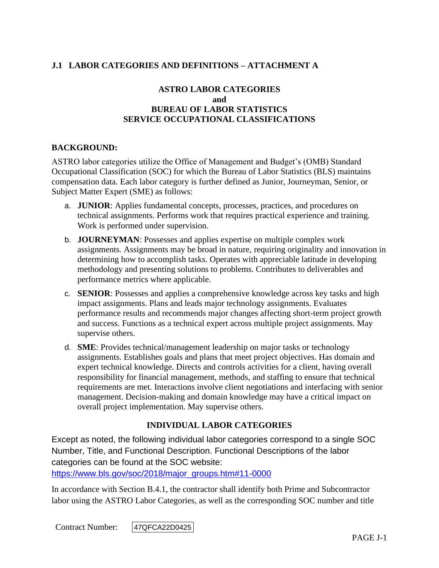# **J.1 LABOR CATEGORIES AND DEFINITIONS – ATTACHMENT A**

## **ASTRO LABOR CATEGORIES and BUREAU OF LABOR STATISTICS SERVICE OCCUPATIONAL CLASSIFICATIONS**

### **BACKGROUND:**

ASTRO labor categories utilize the Office of Management and Budget's (OMB) Standard Occupational Classification (SOC) for which the Bureau of Labor Statistics (BLS) maintains compensation data. Each labor category is further defined as Junior, Journeyman, Senior, or Subject Matter Expert (SME) as follows:

- a. **JUNIOR**: Applies fundamental concepts, processes, practices, and procedures on technical assignments. Performs work that requires practical experience and training. Work is performed under supervision.
- b. **JOURNEYMAN**: Possesses and applies expertise on multiple complex work assignments. Assignments may be broad in nature, requiring originality and innovation in determining how to accomplish tasks. Operates with appreciable latitude in developing methodology and presenting solutions to problems. Contributes to deliverables and performance metrics where applicable.
- c. **SENIOR**: Possesses and applies a comprehensive knowledge across key tasks and high impact assignments. Plans and leads major technology assignments. Evaluates performance results and recommends major changes affecting short-term project growth and success. Functions as a technical expert across multiple project assignments. May supervise others.
- d. **SME**: Provides technical/management leadership on major tasks or technology assignments. Establishes goals and plans that meet project objectives. Has domain and expert technical knowledge. Directs and controls activities for a client, having overall responsibility for financial management, methods, and staffing to ensure that technical requirements are met. Interactions involve client negotiations and interfacing with senior management. Decision-making and domain knowledge may have a critical impact on overall project implementation. May supervise others.

## **INDIVIDUAL LABOR CATEGORIES**

Except as noted, the following individual labor categories correspond to a single SOC Number, Title, and Functional Description. Functional Descriptions of the labor categories can be found at the SOC website:

[https://www.bls.gov/soc/2018/major\\_groups.htm#11-0000](https://www.bls.gov/soc/2018/major_groups.htm#11-0000)

In accordance with Section B.4.1, the contractor shall identify both Prime and Subcontractor labor using the ASTRO Labor Categories, as well as the corresponding SOC number and title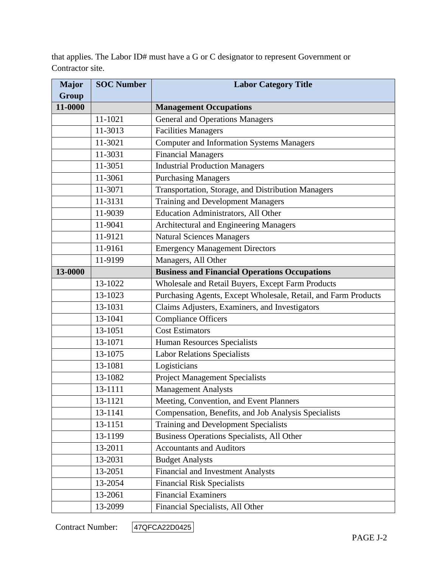that applies. The Labor ID# must have a G or C designator to represent Government or Contractor site.

| <b>Major</b> | <b>SOC Number</b> | <b>Labor Category Title</b>                                    |
|--------------|-------------------|----------------------------------------------------------------|
| <b>Group</b> |                   |                                                                |
| 11-0000      |                   | <b>Management Occupations</b>                                  |
|              | 11-1021           | <b>General and Operations Managers</b>                         |
|              | 11-3013           | <b>Facilities Managers</b>                                     |
|              | 11-3021           | <b>Computer and Information Systems Managers</b>               |
|              | 11-3031           | <b>Financial Managers</b>                                      |
|              | 11-3051           | <b>Industrial Production Managers</b>                          |
|              | 11-3061           | <b>Purchasing Managers</b>                                     |
|              | 11-3071           | Transportation, Storage, and Distribution Managers             |
|              | 11-3131           | <b>Training and Development Managers</b>                       |
|              | 11-9039           | Education Administrators, All Other                            |
|              | 11-9041           | Architectural and Engineering Managers                         |
|              | 11-9121           | Natural Sciences Managers                                      |
|              | 11-9161           | <b>Emergency Management Directors</b>                          |
|              | 11-9199           | Managers, All Other                                            |
| 13-0000      |                   | <b>Business and Financial Operations Occupations</b>           |
|              | 13-1022           | Wholesale and Retail Buyers, Except Farm Products              |
|              | 13-1023           | Purchasing Agents, Except Wholesale, Retail, and Farm Products |
|              | 13-1031           | Claims Adjusters, Examiners, and Investigators                 |
|              | 13-1041           | <b>Compliance Officers</b>                                     |
|              | 13-1051           | <b>Cost Estimators</b>                                         |
|              | 13-1071           | <b>Human Resources Specialists</b>                             |
|              | 13-1075           | <b>Labor Relations Specialists</b>                             |
|              | 13-1081           | Logisticians                                                   |
|              | 13-1082           | <b>Project Management Specialists</b>                          |
|              | 13-1111           | <b>Management Analysts</b>                                     |
|              | 13-1121           | Meeting, Convention, and Event Planners                        |
|              | 13-1141           | Compensation, Benefits, and Job Analysis Specialists           |
|              | 13-1151           | <b>Training and Development Specialists</b>                    |
|              | 13-1199           | Business Operations Specialists, All Other                     |
|              | 13-2011           | <b>Accountants and Auditors</b>                                |
|              | 13-2031           | <b>Budget Analysts</b>                                         |
|              | 13-2051           | <b>Financial and Investment Analysts</b>                       |
|              | 13-2054           | <b>Financial Risk Specialists</b>                              |
|              | 13-2061           | <b>Financial Examiners</b>                                     |
|              | 13-2099           | Financial Specialists, All Other                               |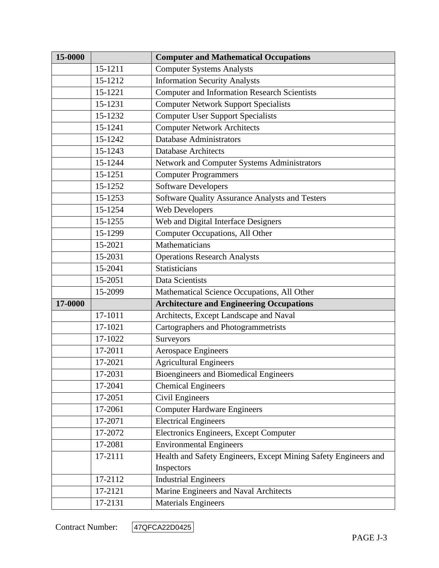| 15-0000 |         | <b>Computer and Mathematical Occupations</b>                    |
|---------|---------|-----------------------------------------------------------------|
|         | 15-1211 | <b>Computer Systems Analysts</b>                                |
|         | 15-1212 | <b>Information Security Analysts</b>                            |
|         | 15-1221 | Computer and Information Research Scientists                    |
|         | 15-1231 | <b>Computer Network Support Specialists</b>                     |
|         | 15-1232 | <b>Computer User Support Specialists</b>                        |
|         | 15-1241 | <b>Computer Network Architects</b>                              |
|         | 15-1242 | <b>Database Administrators</b>                                  |
|         | 15-1243 | <b>Database Architects</b>                                      |
|         | 15-1244 | Network and Computer Systems Administrators                     |
|         | 15-1251 | <b>Computer Programmers</b>                                     |
|         | 15-1252 | <b>Software Developers</b>                                      |
|         | 15-1253 | Software Quality Assurance Analysts and Testers                 |
|         | 15-1254 | Web Developers                                                  |
|         | 15-1255 | Web and Digital Interface Designers                             |
|         | 15-1299 | Computer Occupations, All Other                                 |
|         | 15-2021 | Mathematicians                                                  |
|         | 15-2031 | <b>Operations Research Analysts</b>                             |
|         | 15-2041 | Statisticians                                                   |
|         | 15-2051 | Data Scientists                                                 |
|         | 15-2099 | Mathematical Science Occupations, All Other                     |
| 17-0000 |         | <b>Architecture and Engineering Occupations</b>                 |
|         | 17-1011 | Architects, Except Landscape and Naval                          |
|         | 17-1021 | Cartographers and Photogrammetrists                             |
|         | 17-1022 | Surveyors                                                       |
|         | 17-2011 | <b>Aerospace Engineers</b>                                      |
|         | 17-2021 | <b>Agricultural Engineers</b>                                   |
|         | 17-2031 | <b>Bioengineers and Biomedical Engineers</b>                    |
|         | 17-2041 | <b>Chemical Engineers</b>                                       |
|         | 17-2051 | Civil Engineers                                                 |
|         | 17-2061 | <b>Computer Hardware Engineers</b>                              |
|         | 17-2071 | <b>Electrical Engineers</b>                                     |
|         | 17-2072 | Electronics Engineers, Except Computer                          |
|         | 17-2081 | <b>Environmental Engineers</b>                                  |
|         | 17-2111 | Health and Safety Engineers, Except Mining Safety Engineers and |
|         |         | Inspectors                                                      |
|         | 17-2112 | <b>Industrial Engineers</b>                                     |
|         | 17-2121 | Marine Engineers and Naval Architects                           |
|         | 17-2131 | <b>Materials Engineers</b>                                      |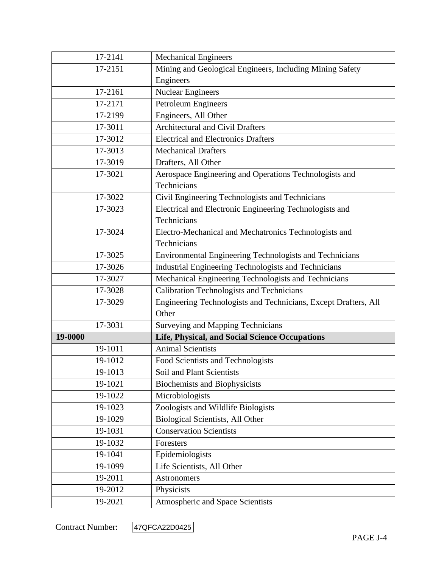|         | 17-2141 | <b>Mechanical Engineers</b>                                     |
|---------|---------|-----------------------------------------------------------------|
|         | 17-2151 | Mining and Geological Engineers, Including Mining Safety        |
|         |         | Engineers                                                       |
|         | 17-2161 | <b>Nuclear Engineers</b>                                        |
|         | 17-2171 | Petroleum Engineers                                             |
|         | 17-2199 | Engineers, All Other                                            |
|         | 17-3011 | <b>Architectural and Civil Drafters</b>                         |
|         | 17-3012 | <b>Electrical and Electronics Drafters</b>                      |
|         | 17-3013 | <b>Mechanical Drafters</b>                                      |
|         | 17-3019 | Drafters, All Other                                             |
|         | 17-3021 | Aerospace Engineering and Operations Technologists and          |
|         |         | Technicians                                                     |
|         | 17-3022 | Civil Engineering Technologists and Technicians                 |
|         | 17-3023 | Electrical and Electronic Engineering Technologists and         |
|         |         | Technicians                                                     |
|         | 17-3024 | Electro-Mechanical and Mechatronics Technologists and           |
|         |         | Technicians                                                     |
|         | 17-3025 | Environmental Engineering Technologists and Technicians         |
|         | 17-3026 | Industrial Engineering Technologists and Technicians            |
|         | 17-3027 | Mechanical Engineering Technologists and Technicians            |
|         | 17-3028 | <b>Calibration Technologists and Technicians</b>                |
|         | 17-3029 | Engineering Technologists and Technicians, Except Drafters, All |
|         |         | Other                                                           |
|         | 17-3031 | Surveying and Mapping Technicians                               |
| 19-0000 |         | Life, Physical, and Social Science Occupations                  |
|         | 19-1011 | <b>Animal Scientists</b>                                        |
|         | 19-1012 | Food Scientists and Technologists                               |
|         | 19-1013 | Soil and Plant Scientists                                       |
|         | 19-1021 | <b>Biochemists and Biophysicists</b>                            |
|         | 19-1022 | Microbiologists                                                 |
|         | 19-1023 | Zoologists and Wildlife Biologists                              |
|         | 19-1029 | Biological Scientists, All Other                                |
|         | 19-1031 | <b>Conservation Scientists</b>                                  |
|         | 19-1032 | Foresters                                                       |
|         | 19-1041 | Epidemiologists                                                 |
|         | 19-1099 | Life Scientists, All Other                                      |
|         | 19-2011 | Astronomers                                                     |
|         | 19-2012 | Physicists                                                      |
|         | 19-2021 | Atmospheric and Space Scientists                                |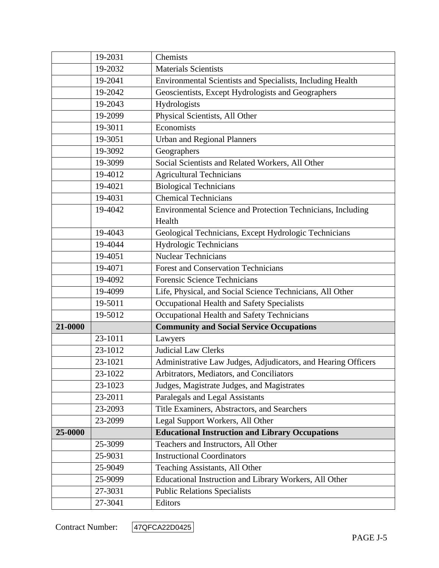|         | 19-2031 | Chemists                                                      |
|---------|---------|---------------------------------------------------------------|
|         | 19-2032 | <b>Materials Scientists</b>                                   |
|         | 19-2041 | Environmental Scientists and Specialists, Including Health    |
|         | 19-2042 | Geoscientists, Except Hydrologists and Geographers            |
|         | 19-2043 | Hydrologists                                                  |
|         | 19-2099 | Physical Scientists, All Other                                |
|         | 19-3011 | Economists                                                    |
|         | 19-3051 | <b>Urban and Regional Planners</b>                            |
|         | 19-3092 | Geographers                                                   |
|         | 19-3099 | Social Scientists and Related Workers, All Other              |
|         | 19-4012 | <b>Agricultural Technicians</b>                               |
|         | 19-4021 | <b>Biological Technicians</b>                                 |
|         | 19-4031 | <b>Chemical Technicians</b>                                   |
|         | 19-4042 | Environmental Science and Protection Technicians, Including   |
|         |         | Health                                                        |
|         | 19-4043 | Geological Technicians, Except Hydrologic Technicians         |
|         | 19-4044 | Hydrologic Technicians                                        |
|         | 19-4051 | <b>Nuclear Technicians</b>                                    |
|         | 19-4071 | <b>Forest and Conservation Technicians</b>                    |
|         | 19-4092 | <b>Forensic Science Technicians</b>                           |
|         | 19-4099 | Life, Physical, and Social Science Technicians, All Other     |
|         | 19-5011 | Occupational Health and Safety Specialists                    |
|         | 19-5012 | Occupational Health and Safety Technicians                    |
| 21-0000 |         | <b>Community and Social Service Occupations</b>               |
|         | 23-1011 | Lawyers                                                       |
|         | 23-1012 | <b>Judicial Law Clerks</b>                                    |
|         | 23-1021 | Administrative Law Judges, Adjudicators, and Hearing Officers |
|         | 23-1022 | Arbitrators, Mediators, and Conciliators                      |
|         | 23-1023 | Judges, Magistrate Judges, and Magistrates                    |
|         | 23-2011 | Paralegals and Legal Assistants                               |
|         | 23-2093 | Title Examiners, Abstractors, and Searchers                   |
|         | 23-2099 | Legal Support Workers, All Other                              |
| 25-0000 |         | <b>Educational Instruction and Library Occupations</b>        |
|         | 25-3099 | Teachers and Instructors, All Other                           |
|         | 25-9031 | <b>Instructional Coordinators</b>                             |
|         | 25-9049 | Teaching Assistants, All Other                                |
|         | 25-9099 | Educational Instruction and Library Workers, All Other        |
|         | 27-3031 | <b>Public Relations Specialists</b>                           |
|         | 27-3041 | Editors                                                       |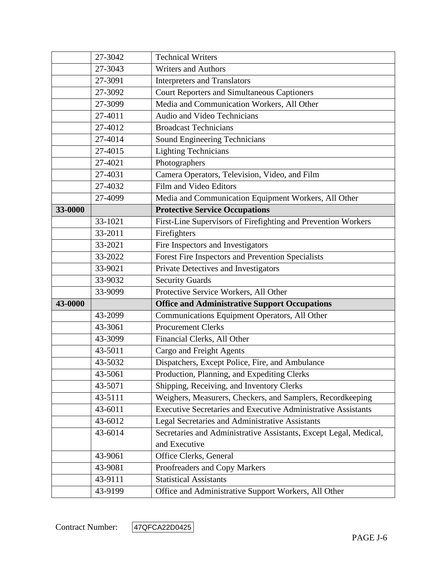|         | 27-3042 | <b>Technical Writers</b>                                             |
|---------|---------|----------------------------------------------------------------------|
|         | 27-3043 | <b>Writers and Authors</b>                                           |
|         | 27-3091 | <b>Interpreters and Translators</b>                                  |
|         | 27-3092 | <b>Court Reporters and Simultaneous Captioners</b>                   |
|         | 27-3099 | Media and Communication Workers, All Other                           |
|         | 27-4011 | Audio and Video Technicians                                          |
|         | 27-4012 | <b>Broadcast Technicians</b>                                         |
|         | 27-4014 | Sound Engineering Technicians                                        |
|         | 27-4015 | <b>Lighting Technicians</b>                                          |
|         | 27-4021 | Photographers                                                        |
|         | 27-4031 | Camera Operators, Television, Video, and Film                        |
|         | 27-4032 | Film and Video Editors                                               |
|         | 27-4099 | Media and Communication Equipment Workers, All Other                 |
| 33-0000 |         | <b>Protective Service Occupations</b>                                |
|         | 33-1021 | First-Line Supervisors of Firefighting and Prevention Workers        |
|         | 33-2011 | Firefighters                                                         |
|         | 33-2021 | Fire Inspectors and Investigators                                    |
|         | 33-2022 | Forest Fire Inspectors and Prevention Specialists                    |
|         | 33-9021 | Private Detectives and Investigators                                 |
|         | 33-9032 | <b>Security Guards</b>                                               |
|         | 33-9099 | Protective Service Workers, All Other                                |
| 43-0000 |         | <b>Office and Administrative Support Occupations</b>                 |
|         | 43-2099 | Communications Equipment Operators, All Other                        |
|         | 43-3061 | <b>Procurement Clerks</b>                                            |
|         | 43-3099 | Financial Clerks, All Other                                          |
|         | 43-5011 | Cargo and Freight Agents                                             |
|         | 43-5032 | Dispatchers, Except Police, Fire, and Ambulance                      |
|         | 43-5061 | Production, Planning, and Expediting Clerks                          |
|         | 43-5071 | Shipping, Receiving, and Inventory Clerks                            |
|         | 43-5111 | Weighers, Measurers, Checkers, and Samplers, Recordkeeping           |
|         | 43-6011 | <b>Executive Secretaries and Executive Administrative Assistants</b> |
|         | 43-6012 | Legal Secretaries and Administrative Assistants                      |
|         | 43-6014 | Secretaries and Administrative Assistants, Except Legal, Medical,    |
|         |         | and Executive                                                        |
|         | 43-9061 | Office Clerks, General                                               |
|         | 43-9081 | Proofreaders and Copy Markers                                        |
|         | 43-9111 | <b>Statistical Assistants</b>                                        |
|         |         |                                                                      |

Contract Number: 47QFCA22D0425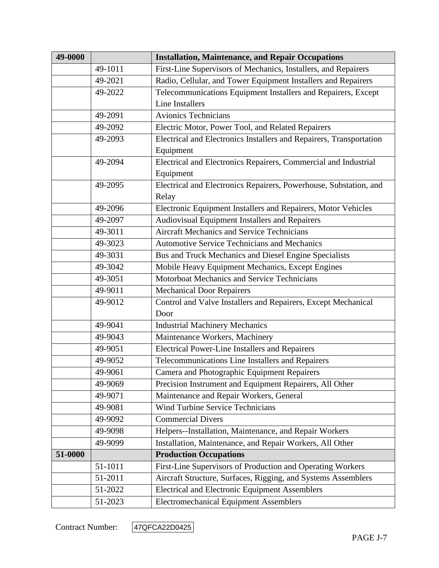| 49-0000 |         | <b>Installation, Maintenance, and Repair Occupations</b>            |
|---------|---------|---------------------------------------------------------------------|
|         | 49-1011 | First-Line Supervisors of Mechanics, Installers, and Repairers      |
|         | 49-2021 | Radio, Cellular, and Tower Equipment Installers and Repairers       |
|         | 49-2022 | Telecommunications Equipment Installers and Repairers, Except       |
|         |         | <b>Line Installers</b>                                              |
|         | 49-2091 | <b>Avionics Technicians</b>                                         |
|         | 49-2092 | Electric Motor, Power Tool, and Related Repairers                   |
|         | 49-2093 | Electrical and Electronics Installers and Repairers, Transportation |
|         |         | Equipment                                                           |
|         | 49-2094 | Electrical and Electronics Repairers, Commercial and Industrial     |
|         |         | Equipment                                                           |
|         | 49-2095 | Electrical and Electronics Repairers, Powerhouse, Substation, and   |
|         |         | Relay                                                               |
|         | 49-2096 | Electronic Equipment Installers and Repairers, Motor Vehicles       |
|         | 49-2097 | Audiovisual Equipment Installers and Repairers                      |
|         | 49-3011 | <b>Aircraft Mechanics and Service Technicians</b>                   |
|         | 49-3023 | <b>Automotive Service Technicians and Mechanics</b>                 |
|         | 49-3031 | Bus and Truck Mechanics and Diesel Engine Specialists               |
|         | 49-3042 | Mobile Heavy Equipment Mechanics, Except Engines                    |
|         | 49-3051 | Motorboat Mechanics and Service Technicians                         |
|         | 49-9011 | <b>Mechanical Door Repairers</b>                                    |
|         | 49-9012 | Control and Valve Installers and Repairers, Except Mechanical       |
|         |         | Door                                                                |
|         | 49-9041 | <b>Industrial Machinery Mechanics</b>                               |
|         | 49-9043 | Maintenance Workers, Machinery                                      |
|         | 49-9051 | <b>Electrical Power-Line Installers and Repairers</b>               |
|         | 49-9052 | Telecommunications Line Installers and Repairers                    |
|         | 49-9061 | Camera and Photographic Equipment Repairers                         |
|         | 49-9069 | Precision Instrument and Equipment Repairers, All Other             |
|         | 49-9071 | Maintenance and Repair Workers, General                             |
|         | 49-9081 | <b>Wind Turbine Service Technicians</b>                             |
|         | 49-9092 | <b>Commercial Divers</b>                                            |
|         | 49-9098 | Helpers--Installation, Maintenance, and Repair Workers              |
|         | 49-9099 | Installation, Maintenance, and Repair Workers, All Other            |
| 51-0000 |         | <b>Production Occupations</b>                                       |
|         | 51-1011 | First-Line Supervisors of Production and Operating Workers          |
|         | 51-2011 | Aircraft Structure, Surfaces, Rigging, and Systems Assemblers       |
|         | 51-2022 | <b>Electrical and Electronic Equipment Assemblers</b>               |
|         | 51-2023 | <b>Electromechanical Equipment Assemblers</b>                       |

Contract Number: 47QFCA22D0425